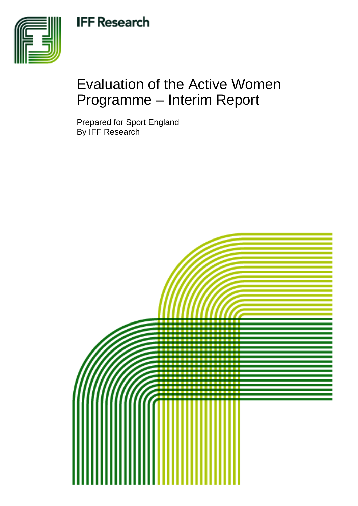## **IFF Research**



# Evaluation of the Active Women Programme – Interim Report

Prepared for Sport England By IFF Research

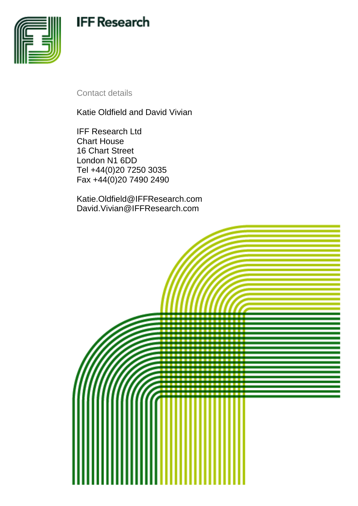## **IFF Research**



Contact details

Katie Oldfield and David Vivian

IFF Research Ltd Chart House 16 Chart Street London N1 6DD Tel +44(0)20 7250 3035 Fax +44(0)20 7490 2490

Katie.Oldfield@IFFResearch.com David.Vivian@IFFResearch.com

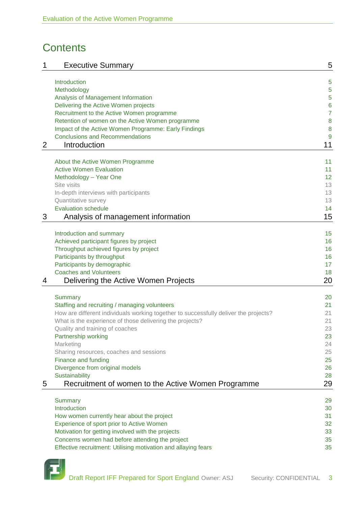## **Contents**

| 1 | <b>Executive Summary</b>                                                                                                                         | 5              |
|---|--------------------------------------------------------------------------------------------------------------------------------------------------|----------------|
|   | Introduction                                                                                                                                     | 5              |
|   | Methodology                                                                                                                                      | 5              |
|   | Analysis of Management Information                                                                                                               | 5              |
|   | Delivering the Active Women projects                                                                                                             | 6              |
|   | Recruitment to the Active Women programme                                                                                                        | $\overline{7}$ |
|   | Retention of women on the Active Women programme                                                                                                 | 8              |
|   | Impact of the Active Women Programme: Early Findings                                                                                             | 8              |
|   | <b>Conclusions and Recommendations</b>                                                                                                           | 9              |
| 2 | Introduction                                                                                                                                     | 11             |
|   | About the Active Women Programme                                                                                                                 | 11             |
|   | <b>Active Women Evaluation</b>                                                                                                                   | 11             |
|   | Methodology - Year One                                                                                                                           | 12             |
|   | Site visits                                                                                                                                      | 13             |
|   | In-depth interviews with participants                                                                                                            | 13             |
|   | Quantitative survey                                                                                                                              | 13             |
|   | <b>Evaluation schedule</b>                                                                                                                       | 14             |
| 3 | Analysis of management information                                                                                                               | 15             |
|   |                                                                                                                                                  | 15             |
|   | Introduction and summary<br>Achieved participant figures by project                                                                              | 16             |
|   | Throughput achieved figures by project                                                                                                           | 16             |
|   | Participants by throughput                                                                                                                       | 16             |
|   | Participants by demographic                                                                                                                      | 17             |
|   | <b>Coaches and Volunteers</b>                                                                                                                    | 18             |
| 4 | Delivering the Active Women Projects                                                                                                             | 20             |
|   |                                                                                                                                                  |                |
|   | <b>Summary</b>                                                                                                                                   | 20             |
|   | Staffing and recruiting / managing volunteers                                                                                                    | 21             |
|   | How are different individuals working together to successfully deliver the projects?<br>What is the experience of those delivering the projects? | 21<br>21       |
|   | Quality and training of coaches                                                                                                                  | 23             |
|   | Partnership working                                                                                                                              | 23             |
|   | Marketing                                                                                                                                        | 24             |
|   | Sharing resources, coaches and sessions                                                                                                          | 25             |
|   | Finance and funding                                                                                                                              | 25             |
|   | Divergence from original models                                                                                                                  | 26             |
|   | Sustainability                                                                                                                                   | 28             |
| 5 | Recruitment of women to the Active Women Programme                                                                                               | 29             |
|   | <b>Summary</b>                                                                                                                                   | 29             |
|   | Introduction                                                                                                                                     | 30             |
|   | How women currently hear about the project                                                                                                       | 31             |
|   | Experience of sport prior to Active Women                                                                                                        | 32             |
|   | Motivation for getting involved with the projects                                                                                                | 33             |
|   | Concerns women had before attending the project                                                                                                  | 35             |
|   | Effective recruitment: Utilising motivation and allaying fears                                                                                   | 35             |
|   |                                                                                                                                                  |                |

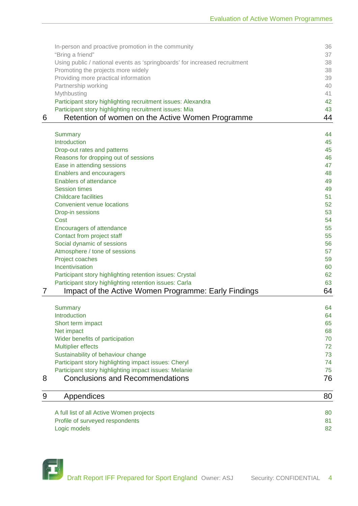|   | Using public / national events as 'springboards' for increased recruitment<br>Promoting the projects more widely       | 38<br>38 |
|---|------------------------------------------------------------------------------------------------------------------------|----------|
|   | Providing more practical information                                                                                   | 39       |
|   | Partnership working                                                                                                    | 40       |
|   | Mythbusting                                                                                                            | 41       |
|   | Participant story highlighting recruitment issues: Alexandra<br>Participant story highlighting recruitment issues: Mia | 42<br>43 |
| 6 | Retention of women on the Active Women Programme                                                                       | 44       |
|   | Summary                                                                                                                | 44       |
|   | Introduction                                                                                                           | 45       |
|   | Drop-out rates and patterns                                                                                            | 45       |
|   | Reasons for dropping out of sessions                                                                                   | 46       |
|   | Ease in attending sessions                                                                                             | 47       |
|   | Enablers and encouragers                                                                                               | 48       |
|   | Enablers of attendance<br><b>Session times</b>                                                                         | 49       |
|   | <b>Childcare facilities</b>                                                                                            | 49<br>51 |
|   | Convenient venue locations                                                                                             | 52       |
|   | Drop-in sessions                                                                                                       | 53       |
|   | Cost                                                                                                                   | 54       |
|   | Encouragers of attendance                                                                                              | 55       |
|   | Contact from project staff                                                                                             | 55       |
|   | Social dynamic of sessions                                                                                             | 56       |
|   | Atmosphere / tone of sessions                                                                                          | 57       |
|   | Project coaches                                                                                                        | 59       |
|   | Incentivisation                                                                                                        | 60       |
|   | Participant story highlighting retention issues: Crystal<br>Participant story highlighting retention issues: Carla     | 62<br>63 |
| 7 | Impact of the Active Women Programme: Early Findings                                                                   | 64       |
|   |                                                                                                                        |          |
|   | <b>Summary</b><br>Introduction                                                                                         | 64       |
|   | Short term impact                                                                                                      | 64<br>65 |
|   | Net impact                                                                                                             | 68       |
|   | Wider benefits of participation                                                                                        | 70       |
|   | <b>Multiplier effects</b>                                                                                              | 72       |
|   | Sustainability of behaviour change                                                                                     | 73       |
|   | Participant story highlighting impact issues: Cheryl                                                                   | 74       |
|   | Participant story highlighting impact issues: Melanie                                                                  | 75       |
| 8 | <b>Conclusions and Recommendations</b>                                                                                 | 76       |
| 9 | Appendices                                                                                                             | 80       |
|   | A full list of all Active Women projects                                                                               | 80       |
|   | Profile of surveyed respondents                                                                                        | 81       |
|   | Logic models                                                                                                           | 82       |

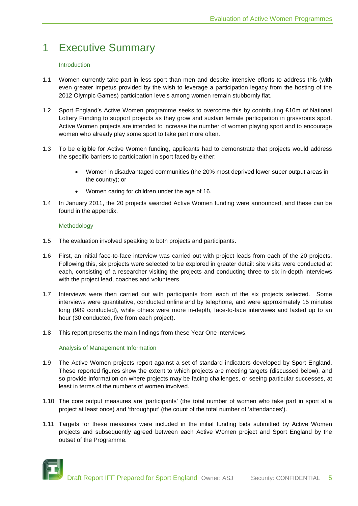### 1 Executive Summary

#### Introduction

- 1.1 Women currently take part in less sport than men and despite intensive efforts to address this (with even greater impetus provided by the wish to leverage a participation legacy from the hosting of the 2012 Olympic Games) participation levels among women remain stubbornly flat.
- 1.2 Sport England's Active Women programme seeks to overcome this by contributing £10m of National Lottery Funding to support projects as they grow and sustain female participation in grassroots sport. Active Women projects are intended to increase the number of women playing sport and to encourage women who already play some sport to take part more often.
- 1.3 To be eligible for Active Women funding, applicants had to demonstrate that projects would address the specific barriers to participation in sport faced by either:
	- Women in disadvantaged communities (the 20% most deprived lower super output areas in the country); or
	- Women caring for children under the age of 16.
- 1.4 In January 2011, the 20 projects awarded Active Women funding were announced, and these can be found in the appendix.

#### Methodology

- 1.5 The evaluation involved speaking to both projects and participants.
- 1.6 First, an initial face-to-face interview was carried out with project leads from each of the 20 projects. Following this, six projects were selected to be explored in greater detail: site visits were conducted at each, consisting of a researcher visiting the projects and conducting three to six in-depth interviews with the project lead, coaches and volunteers.
- 1.7 Interviews were then carried out with participants from each of the six projects selected. Some interviews were quantitative, conducted online and by telephone, and were approximately 15 minutes long (989 conducted), while others were more in-depth, face-to-face interviews and lasted up to an hour (30 conducted, five from each project).
- 1.8 This report presents the main findings from these Year One interviews.

#### Analysis of Management Information

- 1.9 The Active Women projects report against a set of standard indicators developed by Sport England. These reported figures show the extent to which projects are meeting targets (discussed below), and so provide information on where projects may be facing challenges, or seeing particular successes, at least in terms of the numbers of women involved.
- 1.10 The core output measures are 'participants' (the total number of women who take part in sport at a project at least once) and 'throughput' (the count of the total number of 'attendances').
- 1.11 Targets for these measures were included in the initial funding bids submitted by Active Women projects and subsequently agreed between each Active Women project and Sport England by the outset of the Programme.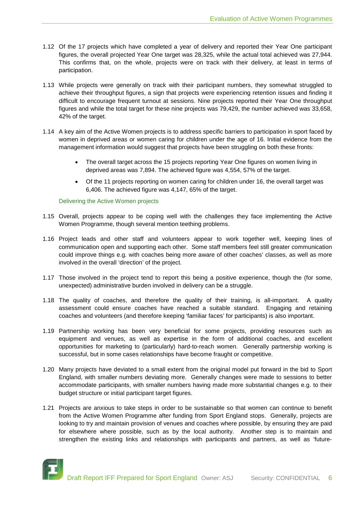- 1.12 Of the 17 projects which have completed a year of delivery and reported their Year One participant figures, the overall projected Year One target was 28,325, while the actual total achieved was 27,944. This confirms that, on the whole, projects were on track with their delivery, at least in terms of participation.
- 1.13 While projects were generally on track with their participant numbers, they somewhat struggled to achieve their throughput figures, a sign that projects were experiencing retention issues and finding it difficult to encourage frequent turnout at sessions. Nine projects reported their Year One throughput figures and while the total target for these nine projects was 79,429, the number achieved was 33,658, 42% of the target.
- 1.14 A key aim of the Active Women projects is to address specific barriers to participation in sport faced by women in deprived areas or women caring for children under the age of 16. Initial evidence from the management information would suggest that projects have been struggling on both these fronts:
	- The overall target across the 15 projects reporting Year One figures on women living in deprived areas was 7,894. The achieved figure was 4,554, 57% of the target.
	- Of the 11 projects reporting on women caring for children under 16, the overall target was 6,406. The achieved figure was 4,147, 65% of the target.

#### Delivering the Active Women projects

- 1.15 Overall, projects appear to be coping well with the challenges they face implementing the Active Women Programme, though several mention teething problems.
- 1.16 Project leads and other staff and volunteers appear to work together well, keeping lines of communication open and supporting each other. Some staff members feel still greater communication could improve things e.g. with coaches being more aware of other coaches' classes, as well as more involved in the overall 'direction' of the project.
- 1.17 Those involved in the project tend to report this being a positive experience, though the (for some, unexpected) administrative burden involved in delivery can be a struggle.
- 1.18 The quality of coaches, and therefore the quality of their training, is all-important. A quality assessment could ensure coaches have reached a suitable standard. Engaging and retaining coaches and volunteers (and therefore keeping 'familiar faces' for participants) is also important.
- 1.19 Partnership working has been very beneficial for some projects, providing resources such as equipment and venues, as well as expertise in the form of additional coaches, and excellent opportunities for marketing to (particularly) hard-to-reach women. Generally partnership working is successful, but in some cases relationships have become fraught or competitive.
- 1.20 Many projects have deviated to a small extent from the original model put forward in the bid to Sport England, with smaller numbers deviating more. Generally changes were made to sessions to better accommodate participants, with smaller numbers having made more substantial changes e.g. to their budget structure or initial participant target figures.
- 1.21 Projects are anxious to take steps in order to be sustainable so that women can continue to benefit from the Active Women Programme after funding from Sport England stops. Generally, projects are looking to try and maintain provision of venues and coaches where possible, by ensuring they are paid for elsewhere where possible, such as by the local authority. Another step is to maintain and strengthen the existing links and relationships with participants and partners, as well as 'future-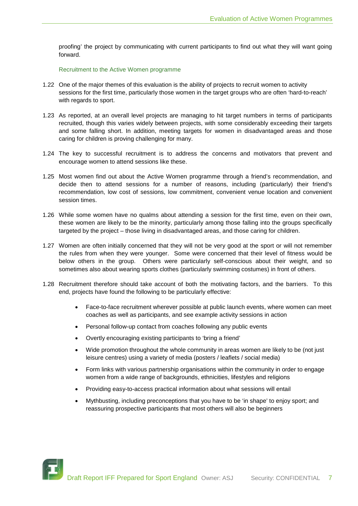proofing' the project by communicating with current participants to find out what they will want going forward.

Recruitment to the Active Women programme

- 1.22 One of the major themes of this evaluation is the ability of projects to recruit women to activity sessions for the first time, particularly those women in the target groups who are often 'hard-to-reach' with regards to sport.
- 1.23 As reported, at an overall level projects are managing to hit target numbers in terms of participants recruited, though this varies widely between projects, with some considerably exceeding their targets and some falling short. In addition, meeting targets for women in disadvantaged areas and those caring for children is proving challenging for many.
- 1.24 The key to successful recruitment is to address the concerns and motivators that prevent and encourage women to attend sessions like these.
- 1.25 Most women find out about the Active Women programme through a friend's recommendation, and decide then to attend sessions for a number of reasons, including (particularly) their friend's recommendation, low cost of sessions, low commitment, convenient venue location and convenient session times.
- 1.26 While some women have no qualms about attending a session for the first time, even on their own, these women are likely to be the minority, particularly among those falling into the groups specifically targeted by the project – those living in disadvantaged areas, and those caring for children.
- 1.27 Women are often initially concerned that they will not be very good at the sport or will not remember the rules from when they were younger. Some were concerned that their level of fitness would be below others in the group. Others were particularly self-conscious about their weight, and so sometimes also about wearing sports clothes (particularly swimming costumes) in front of others.
- 1.28 Recruitment therefore should take account of both the motivating factors, and the barriers. To this end, projects have found the following to be particularly effective:
	- Face-to-face recruitment wherever possible at public launch events, where women can meet coaches as well as participants, and see example activity sessions in action
	- Personal follow-up contact from coaches following any public events
	- Overtly encouraging existing participants to 'bring a friend'
	- Wide promotion throughout the whole community in areas women are likely to be (not just leisure centres) using a variety of media (posters / leaflets / social media)
	- Form links with various partnership organisations within the community in order to engage women from a wide range of backgrounds, ethnicities, lifestyles and religions
	- Providing easy-to-access practical information about what sessions will entail
	- Mythbusting, including preconceptions that you have to be 'in shape' to enjoy sport; and reassuring prospective participants that most others will also be beginners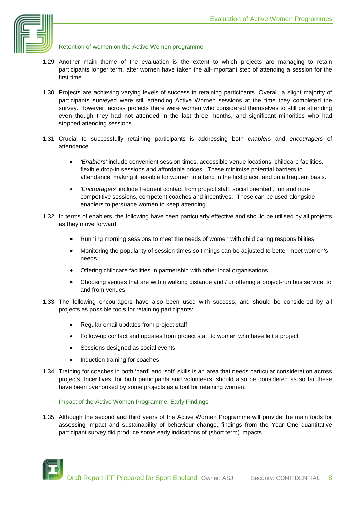

#### Retention of women on the Active Women programme

- 1.29 Another main theme of the evaluation is the extent to which projects are managing to retain participants longer term, after women have taken the all-important step of attending a session for the first time.
- 1.30 Projects are achieving varying levels of success in retaining participants. Overall, a slight majority of participants surveyed were still attending Active Women sessions at the time they completed the survey. However, across projects there were women who considered themselves to still be attending even though they had not attended in the last three months, and significant minorities who had stopped attending sessions.
- 1.31 Crucial to successfully retaining participants is addressing both *enablers* and *encouragers* of attendance.
	- *'Enablers'* include convenient session times, accessible venue locations, childcare facilities, flexible drop-in sessions and affordable prices. These minimise potential barriers to attendance, making it feasible for women to attend in the first place, and on a frequent basis.
	- *'Encouragers'* include frequent contact from project staff, social oriented , fun and noncompetitive sessions, competent coaches and incentives. These can be used alongside enablers to persuade women to keep attending.
- 1.32 In terms of enablers, the following have been particularly effective and should be utilised by all projects as they move forward:
	- Running morning sessions to meet the needs of women with child caring responsibilities
	- Monitoring the popularity of session times so timings can be adjusted to better meet women's needs
	- Offering childcare facilities in partnership with other local organisations
	- Choosing venues that are within walking distance and / or offering a project-run bus service, to and from venues
- 1.33 The following encouragers have also been used with success, and should be considered by all projects as possible tools for retaining participants:
	- Regular email updates from project staff
	- Follow-up contact and updates from project staff to women who have left a project
	- Sessions designed as social events
	- Induction training for coaches
- 1.34 Training for coaches in both 'hard' and 'soft' skills is an area that needs particular consideration across projects. Incentives, for both participants and volunteers, should also be considered as so far these have been overlooked by some projects as a tool for retaining women.

#### Impact of the Active Women Programme: Early Findings

1.35 Although the second and third years of the Active Women Programme will provide the main tools for assessing impact and sustainability of behaviour change, findings from the Year One quantitative participant survey did produce some early indications of (short term) impacts.

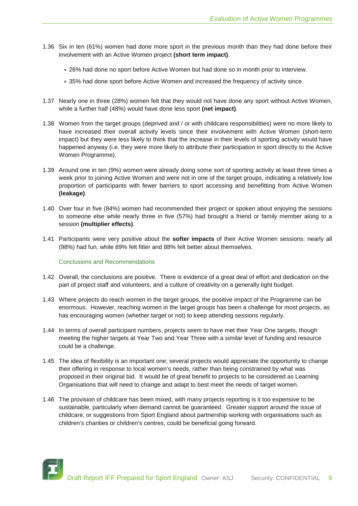- 1.36 Six in ten (61%) women had done more sport in the previous month than they had done before their involvement with an Active Women project **(short term impact)**.
	- 26% had done no sport before Active Women but had done so in month prior to interview.
	- 35% had done sport before Active Women and increased the frequency of activity since.
- 1.37 Nearly one in three (28%) women felt that they would not have done any sport without Active Women, while a further half (48%) would have done less sport **(net impact)**.
- 1.38 Women from the target groups (deprived and / or with childcare responsibilities) were no more likely to have increased their overall activity levels since their involvement with Active Women (short-term impact) but they were less likely to think that the increase in their levels of sporting activity would have happened anyway (i.e. they were more likely to attribute their participation in sport directly to the Active Women Programme).
- 1.39 Around one in ten (9%) women were already doing some sort of sporting activity at least three times a week prior to joining Active Women and were not in one of the target groups, indicating a relatively low proportion of participants with fewer barriers to sport accessing and benefitting from Active Women **(leakage)**.
- 1.40 Over four in five (84%) women had recommended their project or spoken about enjoying the sessions to someone else while nearly three in five (57%) had brought a friend or family member along to a session **(multiplier effects)**.
- 1.41 Participants were very positive about the **softer impacts** of their Active Women sessions: nearly all (98%) had fun, while 89% felt fitter and 88% felt better about themselves.

#### Conclusions and Recommendations

- 1.42 Overall, the conclusions are positive. There is evidence of a great deal of effort and dedication on the part of project staff and volunteers, and a culture of creativity on a generally tight budget.
- 1.43 Where projects do reach women in the target groups, the positive impact of the Programme can be enormous. However, reaching women in the target groups has been a challenge for most projects, as has encouraging women (whether target or not) to keep attending sessions regularly.
- 1.44 In terms of overall participant numbers, projects seem to have met their Year One targets, though meeting the higher targets at Year Two and Year Three with a similar level of funding and resource could be a challenge.
- 1.45 The idea of flexibility is an important one; several projects would appreciate the opportunity to change their offering in response to local women's needs, rather than being constrained by what was proposed in their original bid. It would be of great benefit to projects to be considered as Learning Organisations that will need to change and adapt to best meet the needs of target women.
- 1.46 The provision of childcare has been mixed, with many projects reporting is it too expensive to be sustainable, particularly when demand cannot be guaranteed. Greater support around the issue of childcare, or suggestions from Sport England about partnership working with organisations such as children's charities or children's centres, could be beneficial going forward.

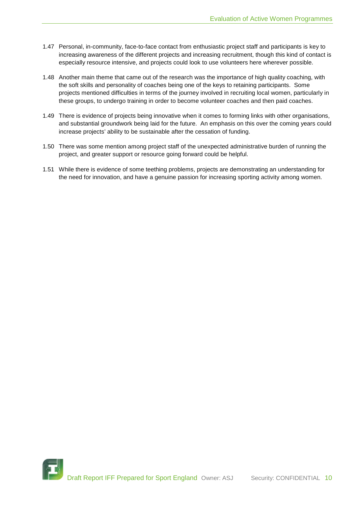- 1.47 Personal, in-community, face-to-face contact from enthusiastic project staff and participants is key to increasing awareness of the different projects and increasing recruitment, though this kind of contact is especially resource intensive, and projects could look to use volunteers here wherever possible.
- 1.48 Another main theme that came out of the research was the importance of high quality coaching, with the soft skills and personality of coaches being one of the keys to retaining participants. Some projects mentioned difficulties in terms of the journey involved in recruiting local women, particularly in these groups, to undergo training in order to become volunteer coaches and then paid coaches.
- 1.49 There is evidence of projects being innovative when it comes to forming links with other organisations, and substantial groundwork being laid for the future. An emphasis on this over the coming years could increase projects' ability to be sustainable after the cessation of funding.
- 1.50 There was some mention among project staff of the unexpected administrative burden of running the project, and greater support or resource going forward could be helpful.
- 1.51 While there is evidence of some teething problems, projects are demonstrating an understanding for the need for innovation, and have a genuine passion for increasing sporting activity among women.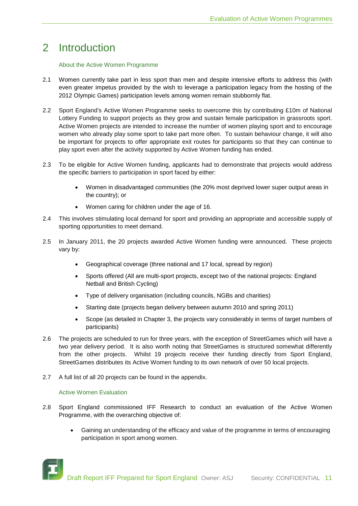### 2 Introduction

#### About the Active Women Programme

- 2.1 Women currently take part in less sport than men and despite intensive efforts to address this (with even greater impetus provided by the wish to leverage a participation legacy from the hosting of the 2012 Olympic Games) participation levels among women remain stubbornly flat.
- 2.2 Sport England's Active Women Programme seeks to overcome this by contributing £10m of National Lottery Funding to support projects as they grow and sustain female participation in grassroots sport. Active Women projects are intended to increase the number of women playing sport and to encourage women who already play some sport to take part more often. To sustain behaviour change, it will also be important for projects to offer appropriate exit routes for participants so that they can continue to play sport even after the activity supported by Active Women funding has ended.
- 2.3 To be eligible for Active Women funding, applicants had to demonstrate that projects would address the specific barriers to participation in sport faced by either:
	- Women in disadvantaged communities (the 20% most deprived lower super output areas in the country); or
	- Women caring for children under the age of 16.
- 2.4 This involves stimulating local demand for sport and providing an appropriate and accessible supply of sporting opportunities to meet demand.
- 2.5 In January 2011, the 20 projects awarded Active Women funding were announced. These projects vary by:
	- Geographical coverage (three national and 17 local, spread by region)
	- Sports offered (All are multi-sport projects, except two of the national projects: England Netball and British Cycling)
	- Type of delivery organisation (including councils, NGBs and charities)
	- Starting date (projects began delivery between autumn 2010 and spring 2011)
	- Scope (as detailed in Chapter 3, the projects vary considerably in terms of target numbers of participants)
- 2.6 The projects are scheduled to run for three years, with the exception of StreetGames which will have a two year delivery period. It is also worth noting that StreetGames is structured somewhat differently from the other projects. Whilst 19 projects receive their funding directly from Sport England, StreetGames distributes its Active Women funding to its own network of over 50 local projects.
- 2.7 A full list of all 20 projects can be found in the appendix.

#### Active Women Evaluation

- 2.8 Sport England commissioned IFF Research to conduct an evaluation of the Active Women Programme, with the overarching objective of:
	- Gaining an understanding of the efficacy and value of the programme in terms of encouraging participation in sport among women.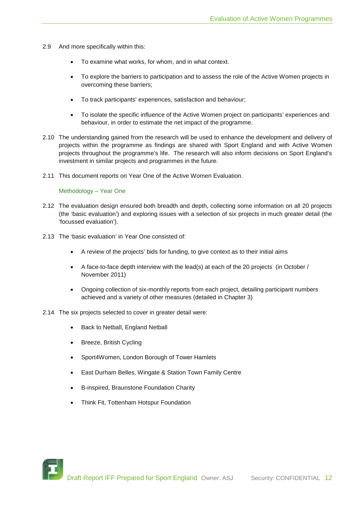- 2.9 And more specifically within this:
	- To examine what works, for whom, and in what context.
	- To explore the barriers to participation and to assess the role of the Active Women projects in overcoming these barriers;
	- To track participants' experiences, satisfaction and behaviour;
	- To isolate the specific influence of the Active Women project on participants' experiences and behaviour, in order to estimate the net impact of the programme.
- 2.10 The understanding gained from the research will be used to enhance the development and delivery of projects within the programme as findings are shared with Sport England and with Active Women projects throughout the programme's life. The research will also inform decisions on Sport England's investment in similar projects and programmes in the future.
- 2.11 This document reports on Year One of the Active Women Evaluation.

Methodology – Year One

- 2.12 The evaluation design ensured both breadth and depth, collecting some information on all 20 projects (the 'basic evaluation') and exploring issues with a selection of six projects in much greater detail (the 'focussed evaluation').
- 2.13 The 'basic evaluation' in Year One consisted of:
	- A review of the projects' bids for funding, to give context as to their initial aims
	- A face-to-face depth interview with the lead(s) at each of the 20 projects (in October / November 2011)
	- Ongoing collection of six-monthly reports from each project, detailing participant numbers achieved and a variety of other measures (detailed in Chapter 3)

2.14 The six projects selected to cover in greater detail were:

- Back to Netball, England Netball
- Breeze, British Cycling
- Sport4Women, London Borough of Tower Hamlets
- East Durham Belles, Wingate & Station Town Family Centre
- B-inspired, Braunstone Foundation Charity
- Think Fit, Tottenham Hotspur Foundation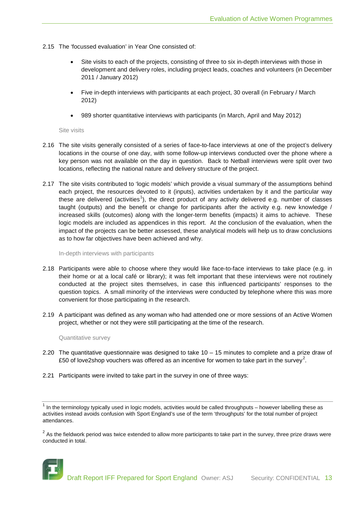- 2.15 The 'focussed evaluation' in Year One consisted of:
	- Site visits to each of the projects, consisting of three to six in-depth interviews with those in development and delivery roles, including project leads, coaches and volunteers (in December 2011 / January 2012)
	- Five in-depth interviews with participants at each project, 30 overall (in February / March 2012)
	- 989 shorter quantitative interviews with participants (in March, April and May 2012)

Site visits

- 2.16 The site visits generally consisted of a series of face-to-face interviews at one of the project's delivery locations in the course of one day, with some follow-up interviews conducted over the phone where a key person was not available on the day in question. Back to Netball interviews were split over two locations, reflecting the national nature and delivery structure of the project.
- 2.17 The site visits contributed to 'logic models' which provide a visual summary of the assumptions behind each project, the resources devoted to it (inputs), activities undertaken by it and the particular way these are delivered (activities<sup>[1](#page-12-0)</sup>), the direct product of any activity delivered e.g. number of classes taught (outputs) and the benefit or change for participants after the activity e.g. new knowledge / increased skills (outcomes) along with the longer-term benefits (impacts) it aims to achieve. These logic models are included as appendices in this report. At the conclusion of the evaluation, when the impact of the projects can be better assessed, these analytical models will help us to draw conclusions as to how far objectives have been achieved and why.

In-depth interviews with participants

- 2.18 Participants were able to choose where they would like face-to-face interviews to take place (e.g. in their home or at a local café or library); it was felt important that these interviews were not routinely conducted at the project sites themselves, in case this influenced participants' responses to the question topics. A small minority of the interviews were conducted by telephone where this was more convenient for those participating in the research.
- 2.19 A participant was defined as any woman who had attended one or more sessions of an Active Women project, whether or not they were still participating at the time of the research.

Quantitative survey

- 2.20 The quantitative questionnaire was designed to take  $10 15$  minutes to complete and a prize draw of £50 of love[2](#page-12-1)shop vouchers was offered as an incentive for women to take part in the survey<sup>2</sup>.
- 2.21 Participants were invited to take part in the survey in one of three ways:

<span id="page-12-1"></span> $2$  As the fieldwork period was twice extended to allow more participants to take part in the survey, three prize draws were conducted in total.



<span id="page-12-0"></span> $1$  In the terminology typically used in logic models, activities would be called throughputs – however labelling these as activities instead avoids confusion with Sport England's use of the term 'throughputs' for the total number of project attendances.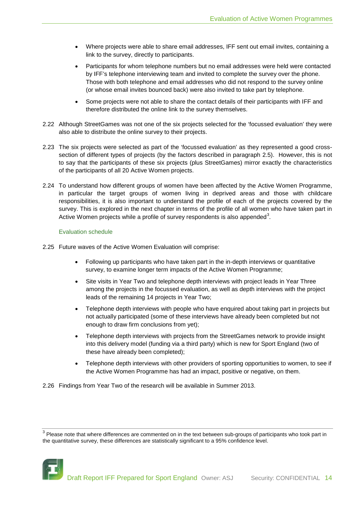- Where projects were able to share email addresses, IFF sent out email invites, containing a link to the survey, directly to participants.
- Participants for whom telephone numbers but no email addresses were held were contacted by IFF's telephone interviewing team and invited to complete the survey over the phone. Those with both telephone and email addresses who did not respond to the survey online (or whose email invites bounced back) were also invited to take part by telephone.
- Some projects were not able to share the contact details of their participants with IFF and therefore distributed the online link to the survey themselves.
- 2.22 Although StreetGames was not one of the six projects selected for the 'focussed evaluation' they were also able to distribute the online survey to their projects.
- 2.23 The six projects were selected as part of the 'focussed evaluation' as they represented a good crosssection of different types of projects (by the factors described in paragraph 2.5). However, this is not to say that the participants of these six projects (plus StreetGames) mirror exactly the characteristics of the participants of all 20 Active Women projects.
- 2.24 To understand how different groups of women have been affected by the Active Women Programme, in particular the target groups of women living in deprived areas and those with childcare responsibilities, it is also important to understand the profile of each of the projects covered by the survey. This is explored in the next chapter in terms of the profile of all women who have taken part in Active Women projects while a profile of survey respondents is also appended<sup>[3](#page-13-0)</sup>.

#### Evaluation schedule

- 2.25 Future waves of the Active Women Evaluation will comprise:
	- Following up participants who have taken part in the in-depth interviews or quantitative survey, to examine longer term impacts of the Active Women Programme;
	- Site visits in Year Two and telephone depth interviews with project leads in Year Three among the projects in the focussed evaluation, as well as depth interviews with the project leads of the remaining 14 projects in Year Two;
	- Telephone depth interviews with people who have enquired about taking part in projects but not actually participated (some of these interviews have already been completed but not enough to draw firm conclusions from yet);
	- Telephone depth interviews with projects from the StreetGames network to provide insight into this delivery model (funding via a third party) which is new for Sport England (two of these have already been completed);
	- Telephone depth interviews with other providers of sporting opportunities to women, to see if the Active Women Programme has had an impact, positive or negative, on them.

2.26 Findings from Year Two of the research will be available in Summer 2013.

<span id="page-13-0"></span> $3$  Please note that where differences are commented on in the text between sub-groups of participants who took part in the quantitative survey, these differences are statistically significant to a 95% confidence level.

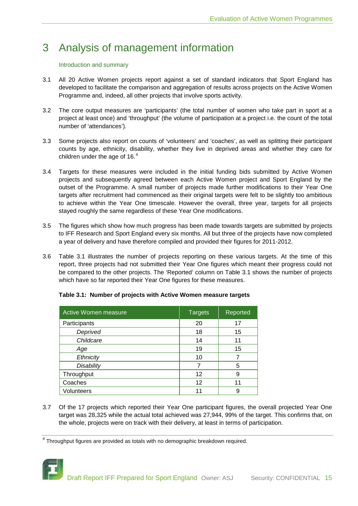### 3 Analysis of management information

#### Introduction and summary

- 3.1 All 20 Active Women projects report against a set of standard indicators that Sport England has developed to facilitate the comparison and aggregation of results across projects on the Active Women Programme and, indeed, all other projects that involve sports activity.
- 3.2 The core output measures are 'participants' (the total number of women who take part in sport at a project at least once) and 'throughput' (the volume of participation at a project i.e. the count of the total number of 'attendances').
- 3.3 Some projects also report on counts of 'volunteers' and 'coaches', as well as splitting their participant counts by age, ethnicity, disability, whether they live in deprived areas and whether they care for children under the age of 16. $^4$  $^4$
- 3.4 Targets for these measures were included in the initial funding bids submitted by Active Women projects and subsequently agreed between each Active Women project and Sport England by the outset of the Programme. A small number of projects made further modifications to their Year One targets after recruitment had commenced as their original targets were felt to be slightly too ambitious to achieve within the Year One timescale. However the overall, three year, targets for all projects stayed roughly the same regardless of these Year One modifications.
- 3.5 The figures which show how much progress has been made towards targets are submitted by projects to IFF Research and Sport England every six months. All but three of the projects have now completed a year of delivery and have therefore compiled and provided their figures for 2011-2012.
- 3.6 Table 3.1 illustrates the number of projects reporting on these various targets. At the time of this report, three projects had not submitted their Year One figures which meant their progress could not be compared to the other projects. The 'Reported' column on Table 3.1 shows the number of projects which have so far reported their Year One figures for these measures.

| Active Women measure | <b>Targets</b> | Reported |
|----------------------|----------------|----------|
| Participants         | 20             | 17       |
| Deprived             | 18             | 15       |
| Childcare            | 14             | 11       |
| Age                  | 19             | 15       |
| Ethnicity            | 10             |          |
| <b>Disability</b>    | 7              | 5        |
| Throughput           | 12             | 9        |
| Coaches              | 12             | 11       |
| Volunteers           |                | 9        |

#### **Table 3.1: Number of projects with Active Women measure targets**

3.7 Of the 17 projects which reported their Year One participant figures, the overall projected Year One target was 28,325 while the actual total achieved was 27,944, 99% of the target. This confirms that, on the whole, projects were on track with their delivery, at least in terms of participation.

<span id="page-14-0"></span><sup>4</sup> Throughput figures are provided as totals with no demographic breakdown required.

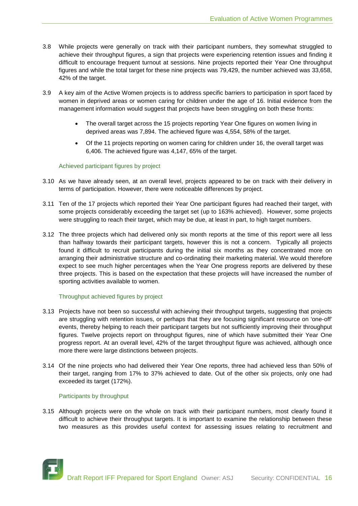- 3.8 While projects were generally on track with their participant numbers, they somewhat struggled to achieve their throughput figures, a sign that projects were experiencing retention issues and finding it difficult to encourage frequent turnout at sessions. Nine projects reported their Year One throughput figures and while the total target for these nine projects was 79,429, the number achieved was 33,658, 42% of the target.
- 3.9 A key aim of the Active Women projects is to address specific barriers to participation in sport faced by women in deprived areas or women caring for children under the age of 16. Initial evidence from the management information would suggest that projects have been struggling on both these fronts:
	- The overall target across the 15 projects reporting Year One figures on women living in deprived areas was 7,894. The achieved figure was 4,554, 58% of the target.
	- Of the 11 projects reporting on women caring for children under 16, the overall target was 6,406. The achieved figure was 4,147, 65% of the target.

#### Achieved participant figures by project

- 3.10 As we have already seen, at an overall level, projects appeared to be on track with their delivery in terms of participation. However, there were noticeable differences by project.
- 3.11 Ten of the 17 projects which reported their Year One participant figures had reached their target, with some projects considerably exceeding the target set (up to 163% achieved). However, some projects were struggling to reach their target, which may be due, at least in part, to high target numbers.
- 3.12 The three projects which had delivered only six month reports at the time of this report were all less than halfway towards their participant targets, however this is not a concern. Typically all projects found it difficult to recruit participants during the initial six months as they concentrated more on arranging their administrative structure and co-ordinating their marketing material. We would therefore expect to see much higher percentages when the Year One progress reports are delivered by these three projects. This is based on the expectation that these projects will have increased the number of sporting activities available to women.

#### Throughput achieved figures by project

- 3.13 Projects have not been so successful with achieving their throughput targets, suggesting that projects are struggling with retention issues, or perhaps that they are focusing significant resource on 'one-off' events, thereby helping to reach their participant targets but not sufficiently improving their throughput figures. Twelve projects report on throughput figures, nine of which have submitted their Year One progress report. At an overall level, 42% of the target throughput figure was achieved, although once more there were large distinctions between projects.
- 3.14 Of the nine projects who had delivered their Year One reports, three had achieved less than 50% of their target, ranging from 17% to 37% achieved to date. Out of the other six projects, only one had exceeded its target (172%).

#### Participants by throughput

3.15 Although projects were on the whole on track with their participant numbers, most clearly found it difficult to achieve their throughput targets. It is important to examine the relationship between these two measures as this provides useful context for assessing issues relating to recruitment and

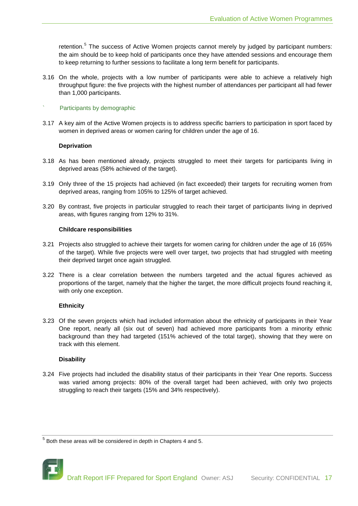retention.<sup>[5](#page-16-0)</sup> The success of Active Women projects cannot merely by judged by participant numbers: the aim should be to keep hold of participants once they have attended sessions and encourage them to keep returning to further sessions to facilitate a long term benefit for participants.

3.16 On the whole, projects with a low number of participants were able to achieve a relatively high throughput figure: the five projects with the highest number of attendances per participant all had fewer than 1,000 participants.

#### Participants by demographic

3.17 A key aim of the Active Women projects is to address specific barriers to participation in sport faced by women in deprived areas or women caring for children under the age of 16.

#### **Deprivation**

- 3.18 As has been mentioned already, projects struggled to meet their targets for participants living in deprived areas (58% achieved of the target).
- 3.19 Only three of the 15 projects had achieved (in fact exceeded) their targets for recruiting women from deprived areas, ranging from 105% to 125% of target achieved.
- 3.20 By contrast, five projects in particular struggled to reach their target of participants living in deprived areas, with figures ranging from 12% to 31%.

#### **Childcare responsibilities**

- 3.21 Projects also struggled to achieve their targets for women caring for children under the age of 16 (65% of the target). While five projects were well over target, two projects that had struggled with meeting their deprived target once again struggled.
- 3.22 There is a clear correlation between the numbers targeted and the actual figures achieved as proportions of the target, namely that the higher the target, the more difficult projects found reaching it, with only one exception.

#### **Ethnicity**

3.23 Of the seven projects which had included information about the ethnicity of participants in their Year One report, nearly all (six out of seven) had achieved more participants from a minority ethnic background than they had targeted (151% achieved of the total target), showing that they were on track with this element.

#### **Disability**

3.24 Five projects had included the disability status of their participants in their Year One reports. Success was varied among projects: 80% of the overall target had been achieved, with only two projects struggling to reach their targets (15% and 34% respectively).

<span id="page-16-0"></span> $5$  Both these areas will be considered in depth in Chapters 4 and 5.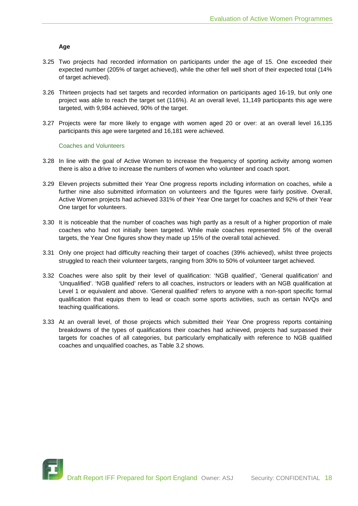#### **Age**

- 3.25 Two projects had recorded information on participants under the age of 15. One exceeded their expected number (205% of target achieved), while the other fell well short of their expected total (14% of target achieved).
- 3.26 Thirteen projects had set targets and recorded information on participants aged 16-19, but only one project was able to reach the target set (116%). At an overall level, 11,149 participants this age were targeted, with 9,984 achieved, 90% of the target.
- 3.27 Projects were far more likely to engage with women aged 20 or over: at an overall level 16,135 participants this age were targeted and 16,181 were achieved.

#### Coaches and Volunteers

- 3.28 In line with the goal of Active Women to increase the frequency of sporting activity among women there is also a drive to increase the numbers of women who volunteer and coach sport.
- 3.29 Eleven projects submitted their Year One progress reports including information on coaches, while a further nine also submitted information on volunteers and the figures were fairly positive. Overall, Active Women projects had achieved 331% of their Year One target for coaches and 92% of their Year One target for volunteers.
- 3.30 It is noticeable that the number of coaches was high partly as a result of a higher proportion of male coaches who had not initially been targeted. While male coaches represented 5% of the overall targets, the Year One figures show they made up 15% of the overall total achieved.
- 3.31 Only one project had difficulty reaching their target of coaches (39% achieved), whilst three projects struggled to reach their volunteer targets, ranging from 30% to 50% of volunteer target achieved.
- 3.32 Coaches were also split by their level of qualification: 'NGB qualified', 'General qualification' and 'Unqualified'. 'NGB qualified' refers to all coaches, instructors or leaders with an NGB qualification at Level 1 or equivalent and above. 'General qualified' refers to anyone with a non-sport specific formal qualification that equips them to lead or coach some sports activities, such as certain NVQs and teaching qualifications.
- 3.33 At an overall level, of those projects which submitted their Year One progress reports containing breakdowns of the types of qualifications their coaches had achieved, projects had surpassed their targets for coaches of all categories, but particularly emphatically with reference to NGB qualified coaches and unqualified coaches, as Table 3.2 shows.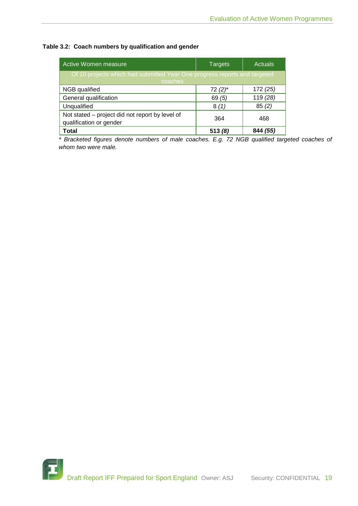### **Table 3.2: Coach numbers by qualification and gender**

| Active Women measure                                                                 | Targets   | <b>Actuals</b> |  |  |  |
|--------------------------------------------------------------------------------------|-----------|----------------|--|--|--|
| Of 10 projects which had submitted Year One progress reports and targeted<br>coaches |           |                |  |  |  |
| NGB qualified                                                                        | $72(2)$ * | 172 (25)       |  |  |  |
| General qualification                                                                | 69(5)     | 119 (28)       |  |  |  |
| Unqualified                                                                          | 8(1)      | 85(2)          |  |  |  |
| Not stated – project did not report by level of<br>qualification or gender           | 364       | 468            |  |  |  |
| <b>Total</b>                                                                         | 513(8)    | 844 (55)       |  |  |  |

*\* Bracketed figures denote numbers of male coaches. E.g. 72 NGB qualified targeted coaches of whom two were male.*

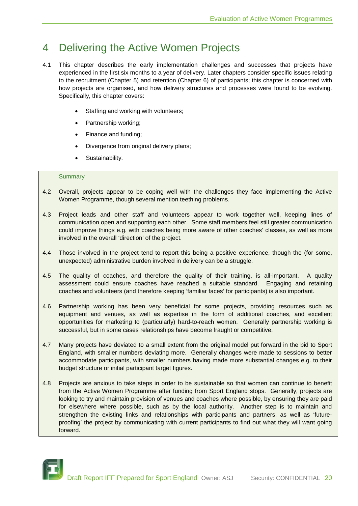### 4 Delivering the Active Women Projects

- 4.1 This chapter describes the early implementation challenges and successes that projects have experienced in the first six months to a year of delivery. Later chapters consider specific issues relating to the recruitment (Chapter 5) and retention (Chapter 6) of participants; this chapter is concerned with how projects are organised, and how delivery structures and processes were found to be evolving. Specifically, this chapter covers:
	- Staffing and working with volunteers;
	- Partnership working;
	- Finance and funding;
	- Divergence from original delivery plans;
	- Sustainability.

#### **Summary**

- 4.2 Overall, projects appear to be coping well with the challenges they face implementing the Active Women Programme, though several mention teething problems.
- 4.3 Project leads and other staff and volunteers appear to work together well, keeping lines of communication open and supporting each other. Some staff members feel still greater communication could improve things e.g. with coaches being more aware of other coaches' classes, as well as more involved in the overall 'direction' of the project.
- 4.4 Those involved in the project tend to report this being a positive experience, though the (for some, unexpected) administrative burden involved in delivery can be a struggle.
- 4.5 The quality of coaches, and therefore the quality of their training, is all-important. A quality assessment could ensure coaches have reached a suitable standard. Engaging and retaining coaches and volunteers (and therefore keeping 'familiar faces' for participants) is also important.
- 4.6 Partnership working has been very beneficial for some projects, providing resources such as equipment and venues, as well as expertise in the form of additional coaches, and excellent opportunities for marketing to (particularly) hard-to-reach women. Generally partnership working is successful, but in some cases relationships have become fraught or competitive.
- 4.7 Many projects have deviated to a small extent from the original model put forward in the bid to Sport England, with smaller numbers deviating more. Generally changes were made to sessions to better accommodate participants, with smaller numbers having made more substantial changes e.g. to their budget structure or initial participant target figures.
- 4.8 Projects are anxious to take steps in order to be sustainable so that women can continue to benefit from the Active Women Programme after funding from Sport England stops. Generally, projects are looking to try and maintain provision of venues and coaches where possible, by ensuring they are paid for elsewhere where possible, such as by the local authority. Another step is to maintain and strengthen the existing links and relationships with participants and partners, as well as 'futureproofing' the project by communicating with current participants to find out what they will want going forward.

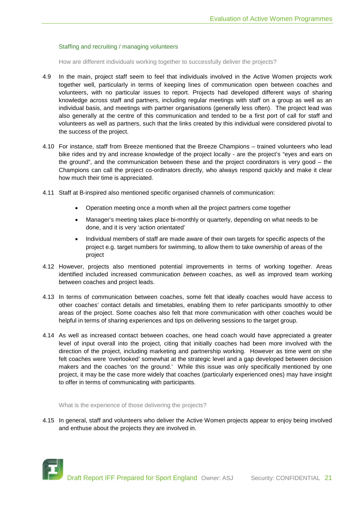#### Staffing and recruiting / managing volunteers

How are different individuals working together to successfully deliver the projects?

- 4.9 In the main, project staff seem to feel that individuals involved in the Active Women projects work together well, particularly in terms of keeping lines of communication open between coaches and volunteers, with no particular issues to report. Projects had developed different ways of sharing knowledge across staff and partners, including regular meetings with staff on a group as well as an individual basis, and meetings with partner organisations (generally less often). The project lead was also generally at the centre of this communication and tended to be a first port of call for staff and volunteers as well as partners, such that the links created by this individual were considered pivotal to the success of the project.
- 4.10 For instance, staff from Breeze mentioned that the Breeze Champions trained volunteers who lead bike rides and try and increase knowledge of the project locally - are the project's "eyes and ears on the ground", and the communication between these and the project coordinators is very good – the Champions can call the project co-ordinators directly, who always respond quickly and make it clear how much their time is appreciated.
- 4.11 Staff at B-inspired also mentioned specific organised channels of communication:
	- Operation meeting once a month when all the project partners come together
	- Manager's meeting takes place bi-monthly or quarterly, depending on what needs to be done, and it is very 'action orientated'
	- Individual members of staff are made aware of their own targets for specific aspects of the project e.g. target numbers for swimming, to allow them to take ownership of areas of the project
- 4.12 However, projects also mentioned potential improvements in terms of working together. Areas identified included increased communication *between* coaches, as well as improved team working between coaches and project leads.
- 4.13 In terms of communication between coaches, some felt that ideally coaches would have access to other coaches' contact details and timetables, enabling them to refer participants smoothly to other areas of the project. Some coaches also felt that more communication with other coaches would be helpful in terms of sharing experiences and tips on delivering sessions to the target group.
- 4.14 As well as increased contact between coaches, one head coach would have appreciated a greater level of input overall into the project, citing that initially coaches had been more involved with the direction of the project, including marketing and partnership working. However as time went on she felt coaches were 'overlooked' somewhat at the strategic level and a gap developed between decision makers and the coaches 'on the ground.' While this issue was only specifically mentioned by one project, it may be the case more widely that coaches (particularly experienced ones) may have insight to offer in terms of communicating with participants.

What is the experience of those delivering the projects?

4.15 In general, staff and volunteers who deliver the Active Women projects appear to enjoy being involved and enthuse about the projects they are involved in.

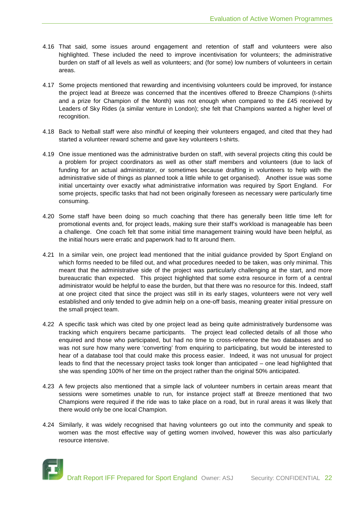- 4.16 That said, some issues around engagement and retention of staff and volunteers were also highlighted. These included the need to improve incentivisation for volunteers; the administrative burden on staff of all levels as well as volunteers; and (for some) low numbers of volunteers in certain areas.
- 4.17 Some projects mentioned that rewarding and incentivising volunteers could be improved, for instance the project lead at Breeze was concerned that the incentives offered to Breeze Champions (t-shirts and a prize for Champion of the Month) was not enough when compared to the £45 received by Leaders of Sky Rides (a similar venture in London); she felt that Champions wanted a higher level of recognition.
- 4.18 Back to Netball staff were also mindful of keeping their volunteers engaged, and cited that they had started a volunteer reward scheme and gave key volunteers t-shirts.
- 4.19 One issue mentioned was the administrative burden on staff, with several projects citing this could be a problem for project coordinators as well as other staff members and volunteers (due to lack of funding for an actual administrator, or sometimes because drafting in volunteers to help with the administrative side of things as planned took a little while to get organised). Another issue was some initial uncertainty over exactly what administrative information was required by Sport England. For some projects, specific tasks that had not been originally foreseen as necessary were particularly time consuming.
- 4.20 Some staff have been doing so much coaching that there has generally been little time left for promotional events and, for project leads, making sure their staff's workload is manageable has been a challenge. One coach felt that some initial time management training would have been helpful, as the initial hours were erratic and paperwork had to fit around them.
- 4.21 In a similar vein, one project lead mentioned that the initial guidance provided by Sport England on which forms needed to be filled out, and what procedures needed to be taken, was only minimal. This meant that the administrative side of the project was particularly challenging at the start, and more bureaucratic than expected. This project highlighted that some extra resource in form of a central administrator would be helpful to ease the burden, but that there was no resource for this. Indeed, staff at one project cited that since the project was still in its early stages, volunteers were not very well established and only tended to give admin help on a one-off basis, meaning greater initial pressure on the small project team.
- 4.22 A specific task which was cited by one project lead as being quite administratively burdensome was tracking which enquirers became participants. The project lead collected details of all those who enquired and those who participated, but had no time to cross-reference the two databases and so was not sure how many were 'converting' from enquiring to participating, but would be interested to hear of a database tool that could make this process easier. Indeed, it was not unusual for project leads to find that the necessary project tasks took longer than anticipated – one lead highlighted that she was spending 100% of her time on the project rather than the original 50% anticipated.
- 4.23 A few projects also mentioned that a simple lack of volunteer numbers in certain areas meant that sessions were sometimes unable to run, for instance project staff at Breeze mentioned that two Champions were required if the ride was to take place on a road, but in rural areas it was likely that there would only be one local Champion.
- 4.24 Similarly, it was widely recognised that having volunteers go out into the community and speak to women was the most effective way of getting women involved, however this was also particularly resource intensive.

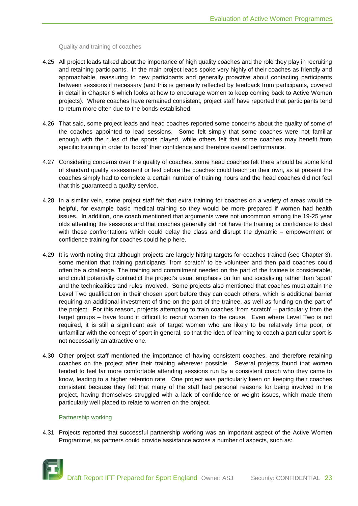Quality and training of coaches

- 4.25 All project leads talked about the importance of high quality coaches and the role they play in recruiting and retaining participants. In the main project leads spoke very highly of their coaches as friendly and approachable, reassuring to new participants and generally proactive about contacting participants between sessions if necessary (and this is generally reflected by feedback from participants, covered in detail in Chapter 6 which looks at how to encourage women to keep coming back to Active Women projects). Where coaches have remained consistent, project staff have reported that participants tend to return more often due to the bonds established.
- 4.26 That said, some project leads and head coaches reported some concerns about the quality of some of the coaches appointed to lead sessions. Some felt simply that some coaches were not familiar enough with the rules of the sports played, while others felt that some coaches may benefit from specific training in order to 'boost' their confidence and therefore overall performance.
- 4.27 Considering concerns over the quality of coaches, some head coaches felt there should be some kind of standard quality assessment or test before the coaches could teach on their own, as at present the coaches simply had to complete a certain number of training hours and the head coaches did not feel that this guaranteed a quality service.
- 4.28 In a similar vein, some project staff felt that extra training for coaches on a variety of areas would be helpful, for example basic medical training so they would be more prepared if women had health issues. In addition, one coach mentioned that arguments were not uncommon among the 19-25 year olds attending the sessions and that coaches generally did not have the training or confidence to deal with these confrontations which could delay the class and disrupt the dynamic – empowerment or confidence training for coaches could help here.
- 4.29 It is worth noting that although projects are largely hitting targets for coaches trained (see Chapter 3), some mention that training participants 'from scratch' to be volunteer and then paid coaches could often be a challenge. The training and commitment needed on the part of the trainee is considerable, and could potentially contradict the project's usual emphasis on fun and socialising rather than 'sport' and the technicalities and rules involved. Some projects also mentioned that coaches must attain the Level Two qualification in their chosen sport before they can coach others, which is additional barrier requiring an additional investment of time on the part of the trainee, as well as funding on the part of the project. For this reason, projects attempting to train coaches 'from scratch' – particularly from the target groups – have found it difficult to recruit women to the cause. Even where Level Two is not required, it is still a significant ask of target women who are likely to be relatively time poor, or unfamiliar with the concept of sport in general, so that the idea of learning to coach a particular sport is not necessarily an attractive one.
- 4.30 Other project staff mentioned the importance of having consistent coaches, and therefore retaining coaches on the project after their training wherever possible. Several projects found that women tended to feel far more comfortable attending sessions run by a consistent coach who they came to know, leading to a higher retention rate. One project was particularly keen on keeping their coaches consistent because they felt that many of the staff had personal reasons for being involved in the project, having themselves struggled with a lack of confidence or weight issues, which made them particularly well placed to relate to women on the project.

#### Partnership working

4.31 Projects reported that successful partnership working was an important aspect of the Active Women Programme, as partners could provide assistance across a number of aspects, such as:

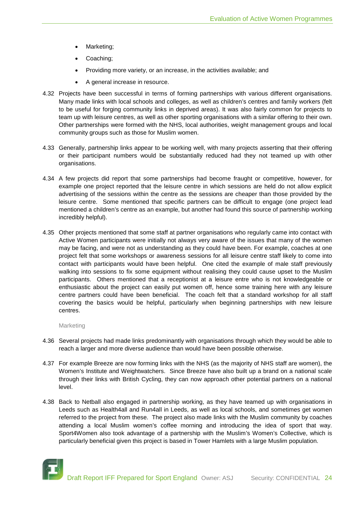- Marketing;
- Coaching;
- Providing more variety, or an increase, in the activities available; and
- A general increase in resource.
- 4.32 Projects have been successful in terms of forming partnerships with various different organisations. Many made links with local schools and colleges, as well as children's centres and family workers (felt to be useful for forging community links in deprived areas). It was also fairly common for projects to team up with leisure centres, as well as other sporting organisations with a similar offering to their own. Other partnerships were formed with the NHS, local authorities, weight management groups and local community groups such as those for Muslim women.
- 4.33 Generally, partnership links appear to be working well, with many projects asserting that their offering or their participant numbers would be substantially reduced had they not teamed up with other organisations.
- 4.34 A few projects did report that some partnerships had become fraught or competitive, however, for example one project reported that the leisure centre in which sessions are held do not allow explicit advertising of the sessions within the centre as the sessions are cheaper than those provided by the leisure centre. Some mentioned that specific partners can be difficult to engage (one project lead mentioned a children's centre as an example, but another had found this source of partnership working incredibly helpful).
- 4.35 Other projects mentioned that some staff at partner organisations who regularly came into contact with Active Women participants were initially not always very aware of the issues that many of the women may be facing, and were not as understanding as they could have been. For example, coaches at one project felt that some workshops or awareness sessions for all leisure centre staff likely to come into contact with participants would have been helpful. One cited the example of male staff previously walking into sessions to fix some equipment without realising they could cause upset to the Muslim participants. Others mentioned that a receptionist at a leisure entre who is not knowledgeable or enthusiastic about the project can easily put women off, hence some training here with any leisure centre partners could have been beneficial. The coach felt that a standard workshop for all staff covering the basics would be helpful, particularly when beginning partnerships with new leisure centres.

#### Marketing

- 4.36 Several projects had made links predominantly with organisations through which they would be able to reach a larger and more diverse audience than would have been possible otherwise.
- 4.37 For example Breeze are now forming links with the NHS (as the majority of NHS staff are women), the Women's Institute and Weightwatchers. Since Breeze have also built up a brand on a national scale through their links with British Cycling, they can now approach other potential partners on a national level.
- 4.38 Back to Netball also engaged in partnership working, as they have teamed up with organisations in Leeds such as Health4all and Run4all in Leeds, as well as local schools, and sometimes get women referred to the project from these. The project also made links with the Muslim community by coaches attending a local Muslim women's coffee morning and introducing the idea of sport that way. Sport4Women also took advantage of a partnership with the Muslim's Women's Collective, which is particularly beneficial given this project is based in Tower Hamlets with a large Muslim population.

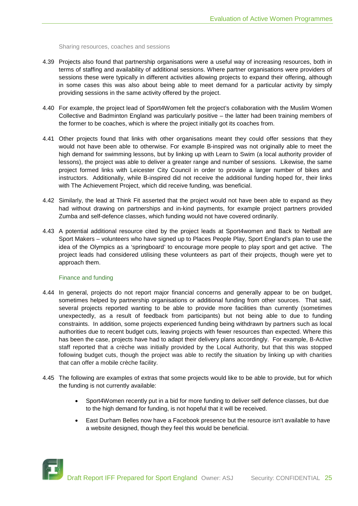Sharing resources, coaches and sessions

- 4.39 Projects also found that partnership organisations were a useful way of increasing resources, both in terms of staffing and availability of additional sessions. Where partner organisations were providers of sessions these were typically in different activities allowing projects to expand their offering, although in some cases this was also about being able to meet demand for a particular activity by simply providing sessions in the same activity offered by the project.
- 4.40 For example, the project lead of Sport4Women felt the project's collaboration with the Muslim Women Collective and Badminton England was particularly positive – the latter had been training members of the former to be coaches, which is where the project initially got its coaches from.
- 4.41 Other projects found that links with other organisations meant they could offer sessions that they would not have been able to otherwise. For example B-inspired was not originally able to meet the high demand for swimming lessons, but by linking up with Learn to Swim (a local authority provider of lessons), the project was able to deliver a greater range and number of sessions. Likewise, the same project formed links with Leicester City Council in order to provide a larger number of bikes and instructors. Additionally, while B-inspired did not receive the additional funding hoped for, their links with The Achievement Project, which did receive funding, was beneficial.
- 4.42 Similarly, the lead at Think Fit asserted that the project would not have been able to expand as they had without drawing on partnerships and in-kind payments, for example project partners provided Zumba and self-defence classes, which funding would not have covered ordinarily.
- 4.43 A potential additional resource cited by the project leads at Sport4women and Back to Netball are Sport Makers – volunteers who have signed up to Places People Play, Sport England's plan to use the idea of the Olympics as a 'springboard' to encourage more people to play sport and get active. The project leads had considered utilising these volunteers as part of their projects, though were yet to approach them.

#### Finance and funding

- 4.44 In general, projects do not report major financial concerns and generally appear to be on budget, sometimes helped by partnership organisations or additional funding from other sources. That said, several projects reported wanting to be able to provide more facilities than currently (sometimes unexpectedly, as a result of feedback from participants) but not being able to due to funding constraints. In addition, some projects experienced funding being withdrawn by partners such as local authorities due to recent budget cuts, leaving projects with fewer resources than expected. Where this has been the case, projects have had to adapt their delivery plans accordingly. For example, B-Active staff reported that a crèche was initially provided by the Local Authority, but that this was stopped following budget cuts, though the project was able to rectify the situation by linking up with charities that can offer a mobile crèche facility.
- 4.45 The following are examples of extras that some projects would like to be able to provide, but for which the funding is not currently available:
	- Sport4Women recently put in a bid for more funding to deliver self defence classes, but due to the high demand for funding, is not hopeful that it will be received.
	- East Durham Belles now have a Facebook presence but the resource isn't available to have a website designed, though they feel this would be beneficial.

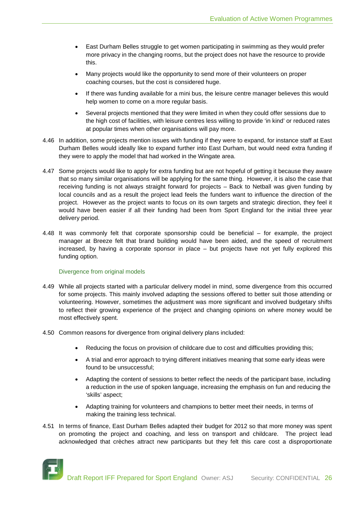- East Durham Belles struggle to get women participating in swimming as they would prefer more privacy in the changing rooms, but the project does not have the resource to provide this.
- Many projects would like the opportunity to send more of their volunteers on proper coaching courses, but the cost is considered huge.
- If there was funding available for a mini bus, the leisure centre manager believes this would help women to come on a more regular basis.
- Several projects mentioned that they were limited in when they could offer sessions due to the high cost of facilities, with leisure centres less willing to provide 'in kind' or reduced rates at popular times when other organisations will pay more.
- 4.46 In addition, some projects mention issues with funding if they were to expand, for instance staff at East Durham Belles would ideally like to expand further into East Durham, but would need extra funding if they were to apply the model that had worked in the Wingate area.
- 4.47 Some projects would like to apply for extra funding but are not hopeful of getting it because they aware that so many similar organisations will be applying for the same thing. However, it is also the case that receiving funding is not always straight forward for projects – Back to Netball was given funding by local councils and as a result the project lead feels the funders want to influence the direction of the project. However as the project wants to focus on its own targets and strategic direction, they feel it would have been easier if all their funding had been from Sport England for the initial three year delivery period.
- 4.48 It was commonly felt that corporate sponsorship could be beneficial for example, the project manager at Breeze felt that brand building would have been aided, and the speed of recruitment increased, by having a corporate sponsor in place – but projects have not yet fully explored this funding option.

#### Divergence from original models

- 4.49 While all projects started with a particular delivery model in mind, some divergence from this occurred for some projects. This mainly involved adapting the sessions offered to better suit those attending or volunteering. However, sometimes the adjustment was more significant and involved budgetary shifts to reflect their growing experience of the project and changing opinions on where money would be most effectively spent.
- 4.50 Common reasons for divergence from original delivery plans included:
	- Reducing the focus on provision of childcare due to cost and difficulties providing this;
	- A trial and error approach to trying different initiatives meaning that some early ideas were found to be unsuccessful;
	- Adapting the content of sessions to better reflect the needs of the participant base, including a reduction in the use of spoken language, increasing the emphasis on fun and reducing the 'skills' aspect;
	- Adapting training for volunteers and champions to better meet their needs, in terms of making the training less technical.
- 4.51 In terms of finance, East Durham Belles adapted their budget for 2012 so that more money was spent on promoting the project and coaching, and less on transport and childcare. The project lead acknowledged that crèches attract new participants but they felt this care cost a disproportionate

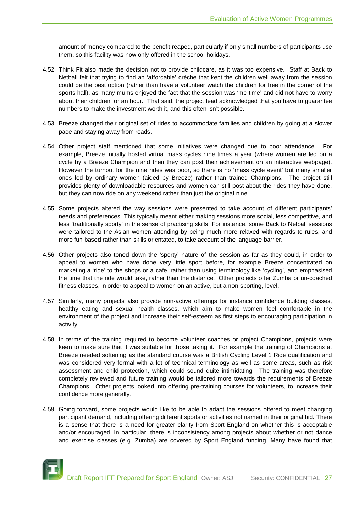amount of money compared to the benefit reaped, particularly if only small numbers of participants use them, so this facility was now only offered in the school holidays.

- 4.52 Think Fit also made the decision not to provide childcare, as it was too expensive. Staff at Back to Netball felt that trying to find an 'affordable' crèche that kept the children well away from the session could be the best option (rather than have a volunteer watch the children for free in the corner of the sports hall), as many mums enjoyed the fact that the session was 'me-time' and did not have to worry about their children for an hour. That said, the project lead acknowledged that you have to guarantee numbers to make the investment worth it, and this often isn't possible.
- 4.53 Breeze changed their original set of rides to accommodate families and children by going at a slower pace and staying away from roads.
- 4.54 Other project staff mentioned that some initiatives were changed due to poor attendance. For example, Breeze initially hosted virtual mass cycles nine times a year (where women are led on a cycle by a Breeze Champion and then they can post their achievement on an interactive webpage). However the turnout for the nine rides was poor, so there is no 'mass cycle event' but many smaller ones led by ordinary women (aided by Breeze) rather than trained Champions. The project still provides plenty of downloadable resources and women can still post about the rides they have done, but they can now ride on any weekend rather than just the original nine.
- 4.55 Some projects altered the way sessions were presented to take account of different participants' needs and preferences. This typically meant either making sessions more social, less competitive, and less 'traditionally sporty' in the sense of practising skills. For instance, some Back to Netball sessions were tailored to the Asian women attending by being much more relaxed with regards to rules, and more fun-based rather than skills orientated, to take account of the language barrier.
- 4.56 Other projects also toned down the 'sporty' nature of the session as far as they could, in order to appeal to women who have done very little sport before, for example Breeze concentrated on marketing a 'ride' to the shops or a cafe, rather than using terminology like 'cycling', and emphasised the time that the ride would take, rather than the distance. Other projects offer Zumba or un-coached fitness classes, in order to appeal to women on an active, but a non-sporting, level.
- 4.57 Similarly, many projects also provide non-active offerings for instance confidence building classes, healthy eating and sexual health classes, which aim to make women feel comfortable in the environment of the project and increase their self-esteem as first steps to encouraging participation in activity.
- 4.58 In terms of the training required to become volunteer coaches or project Champions, projects were keen to make sure that it was suitable for those taking it. For example the training of Champions at Breeze needed softening as the standard course was a British Cycling Level 1 Ride qualification and was considered very formal with a lot of technical terminology as well as some areas, such as risk assessment and child protection, which could sound quite intimidating. The training was therefore completely reviewed and future training would be tailored more towards the requirements of Breeze Champions. Other projects looked into offering pre-training courses for volunteers, to increase their confidence more generally.
- 4.59 Going forward, some projects would like to be able to adapt the sessions offered to meet changing participant demand, including offering different sports or activities not named in their original bid. There is a sense that there is a need for greater clarity from Sport England on whether this is acceptable and/or encouraged. In particular, there is inconsistency among projects about whether or not dance and exercise classes (e.g. Zumba) are covered by Sport England funding. Many have found that

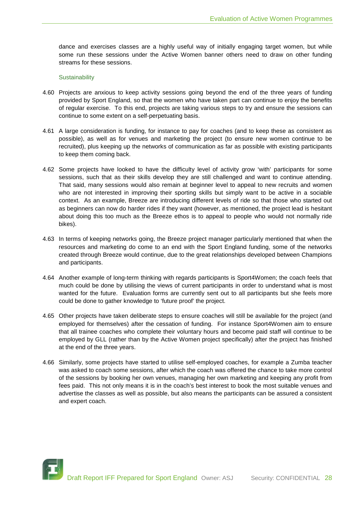dance and exercises classes are a highly useful way of initially engaging target women, but while some run these sessions under the Active Women banner others need to draw on other funding streams for these sessions.

#### **Sustainability**

- 4.60 Projects are anxious to keep activity sessions going beyond the end of the three years of funding provided by Sport England, so that the women who have taken part can continue to enjoy the benefits of regular exercise. To this end, projects are taking various steps to try and ensure the sessions can continue to some extent on a self-perpetuating basis.
- 4.61 A large consideration is funding, for instance to pay for coaches (and to keep these as consistent as possible), as well as for venues and marketing the project (to ensure new women continue to be recruited), plus keeping up the networks of communication as far as possible with existing participants to keep them coming back.
- 4.62 Some projects have looked to have the difficulty level of activity grow 'with' participants for some sessions, such that as their skills develop they are still challenged and want to continue attending. That said, many sessions would also remain at beginner level to appeal to new recruits and women who are not interested in improving their sporting skills but simply want to be active in a sociable context. As an example, Breeze are introducing different levels of ride so that those who started out as beginners can now do harder rides if they want (however, as mentioned, the project lead is hesitant about doing this too much as the Breeze ethos is to appeal to people who would not normally ride bikes).
- 4.63 In terms of keeping networks going, the Breeze project manager particularly mentioned that when the resources and marketing do come to an end with the Sport England funding, some of the networks created through Breeze would continue, due to the great relationships developed between Champions and participants.
- 4.64 Another example of long-term thinking with regards participants is Sport4Women; the coach feels that much could be done by utilising the views of current participants in order to understand what is most wanted for the future. Evaluation forms are currently sent out to all participants but she feels more could be done to gather knowledge to 'future proof' the project.
- 4.65 Other projects have taken deliberate steps to ensure coaches will still be available for the project (and employed for themselves) after the cessation of funding. For instance Sport4Women aim to ensure that all trainee coaches who complete their voluntary hours and become paid staff will continue to be employed by GLL (rather than by the Active Women project specifically) after the project has finished at the end of the three years.
- 4.66 Similarly, some projects have started to utilise self-employed coaches, for example a Zumba teacher was asked to coach some sessions, after which the coach was offered the chance to take more control of the sessions by booking her own venues, managing her own marketing and keeping any profit from fees paid. This not only means it is in the coach's best interest to book the most suitable venues and advertise the classes as well as possible, but also means the participants can be assured a consistent and expert coach.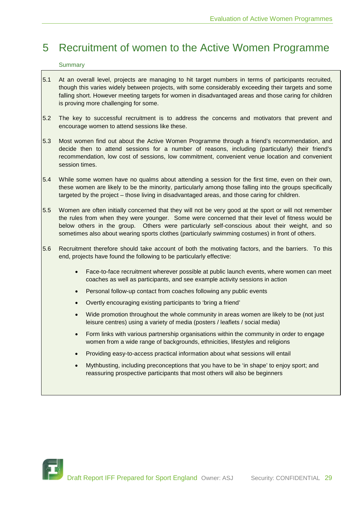### 5 Recruitment of women to the Active Women Programme

#### **Summary**

- 5.1 At an overall level, projects are managing to hit target numbers in terms of participants recruited, though this varies widely between projects, with some considerably exceeding their targets and some falling short. However meeting targets for women in disadvantaged areas and those caring for children is proving more challenging for some.
- 5.2 The key to successful recruitment is to address the concerns and motivators that prevent and encourage women to attend sessions like these.
- 5.3 Most women find out about the Active Women Programme through a friend's recommendation, and decide then to attend sessions for a number of reasons, including (particularly) their friend's recommendation, low cost of sessions, low commitment, convenient venue location and convenient session times.
- 5.4 While some women have no qualms about attending a session for the first time, even on their own, these women are likely to be the minority, particularly among those falling into the groups specifically targeted by the project – those living in disadvantaged areas, and those caring for children.
- 5.5 Women are often initially concerned that they will not be very good at the sport or will not remember the rules from when they were younger. Some were concerned that their level of fitness would be below others in the group. Others were particularly self-conscious about their weight, and so sometimes also about wearing sports clothes (particularly swimming costumes) in front of others.
- 5.6 Recruitment therefore should take account of both the motivating factors, and the barriers. To this end, projects have found the following to be particularly effective:
	- Face-to-face recruitment wherever possible at public launch events, where women can meet coaches as well as participants, and see example activity sessions in action
	- Personal follow-up contact from coaches following any public events
	- Overtly encouraging existing participants to 'bring a friend'
	- Wide promotion throughout the whole community in areas women are likely to be (not just leisure centres) using a variety of media (posters / leaflets / social media)
	- Form links with various partnership organisations within the community in order to engage women from a wide range of backgrounds, ethnicities, lifestyles and religions
	- Providing easy-to-access practical information about what sessions will entail
	- Mythbusting, including preconceptions that you have to be 'in shape' to enjoy sport; and reassuring prospective participants that most others will also be beginners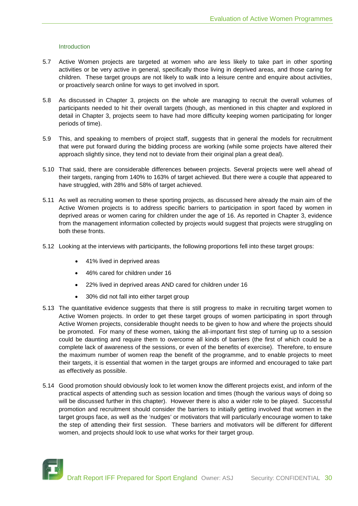#### Introduction

- 5.7 Active Women projects are targeted at women who are less likely to take part in other sporting activities or be very active in general, specifically those living in deprived areas, and those caring for children. These target groups are not likely to walk into a leisure centre and enquire about activities, or proactively search online for ways to get involved in sport.
- 5.8 As discussed in Chapter 3, projects on the whole are managing to recruit the overall volumes of participants needed to hit their overall targets (though, as mentioned in this chapter and explored in detail in Chapter 3, projects seem to have had more difficulty keeping women participating for longer periods of time).
- 5.9 This, and speaking to members of project staff, suggests that in general the models for recruitment that were put forward during the bidding process are working (while some projects have altered their approach slightly since, they tend not to deviate from their original plan a great deal).
- 5.10 That said, there are considerable differences between projects. Several projects were well ahead of their targets, ranging from 140% to 163% of target achieved. But there were a couple that appeared to have struggled, with 28% and 58% of target achieved.
- 5.11 As well as recruiting women to these sporting projects, as discussed here already the main aim of the Active Women projects is to address specific barriers to participation in sport faced by women in deprived areas or women caring for children under the age of 16. As reported in Chapter 3, evidence from the management information collected by projects would suggest that projects were struggling on both these fronts.
- 5.12 Looking at the interviews with participants, the following proportions fell into these target groups:
	- 41% lived in deprived areas
	- 46% cared for children under 16
	- 22% lived in deprived areas AND cared for children under 16
	- 30% did not fall into either target group
- 5.13 The quantitative evidence suggests that there is still progress to make in recruiting target women to Active Women projects. In order to get these target groups of women participating in sport through Active Women projects, considerable thought needs to be given to how and where the projects should be promoted. For many of these women, taking the all-important first step of turning up to a session could be daunting and require them to overcome all kinds of barriers (the first of which could be a complete lack of awareness of the sessions, or even of the benefits of exercise). Therefore, to ensure the maximum number of women reap the benefit of the programme, and to enable projects to meet their targets, it is essential that women in the target groups are informed and encouraged to take part as effectively as possible.
- 5.14 Good promotion should obviously look to let women know the different projects exist, and inform of the practical aspects of attending such as session location and times (though the various ways of doing so will be discussed further in this chapter). However there is also a wider role to be played. Successful promotion and recruitment should consider the barriers to initially getting involved that women in the target groups face, as well as the 'nudges' or motivators that will particularly encourage women to take the step of attending their first session. These barriers and motivators will be different for different women, and projects should look to use what works for their target group.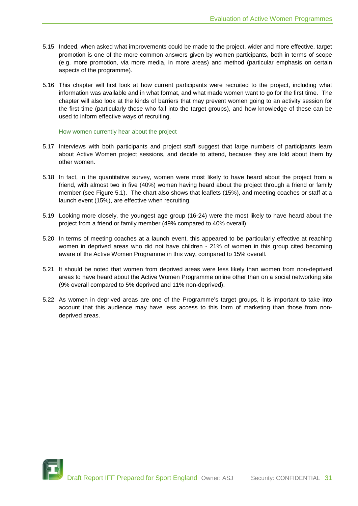- 5.15 Indeed, when asked what improvements could be made to the project, wider and more effective, target promotion is one of the more common answers given by women participants, both in terms of scope (e.g. more promotion, via more media, in more areas) and method (particular emphasis on certain aspects of the programme).
- 5.16 This chapter will first look at how current participants were recruited to the project, including what information was available and in what format, and what made women want to go for the first time. The chapter will also look at the kinds of barriers that may prevent women going to an activity session for the first time (particularly those who fall into the target groups), and how knowledge of these can be used to inform effective ways of recruiting.

How women currently hear about the project

- 5.17 Interviews with both participants and project staff suggest that large numbers of participants learn about Active Women project sessions, and decide to attend, because they are told about them by other women.
- 5.18 In fact, in the quantitative survey, women were most likely to have heard about the project from a friend, with almost two in five (40%) women having heard about the project through a friend or family member (see Figure 5.1). The chart also shows that leaflets (15%), and meeting coaches or staff at a launch event (15%), are effective when recruiting.
- 5.19 Looking more closely, the youngest age group (16-24) were the most likely to have heard about the project from a friend or family member (49% compared to 40% overall).
- 5.20 In terms of meeting coaches at a launch event, this appeared to be particularly effective at reaching women in deprived areas who did not have children - 21% of women in this group cited becoming aware of the Active Women Programme in this way, compared to 15% overall.
- 5.21 It should be noted that women from deprived areas were less likely than women from non-deprived areas to have heard about the Active Women Programme online other than on a social networking site (9% overall compared to 5% deprived and 11% non-deprived).
- 5.22 As women in deprived areas are one of the Programme's target groups, it is important to take into account that this audience may have less access to this form of marketing than those from nondeprived areas.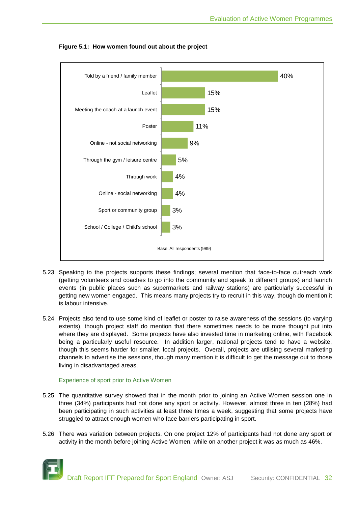

**Figure 5.1: How women found out about the project**

- 5.23 Speaking to the projects supports these findings; several mention that face-to-face outreach work (getting volunteers and coaches to go into the community and speak to different groups) and launch events (in public places such as supermarkets and railway stations) are particularly successful in getting new women engaged. This means many projects try to recruit in this way, though do mention it is labour intensive.
- 5.24 Projects also tend to use some kind of leaflet or poster to raise awareness of the sessions (to varying extents), though project staff do mention that there sometimes needs to be more thought put into where they are displayed. Some projects have also invested time in marketing online, with Facebook being a particularly useful resource. In addition larger, national projects tend to have a website, though this seems harder for smaller, local projects. Overall, projects are utilising several marketing channels to advertise the sessions, though many mention it is difficult to get the message out to those living in disadvantaged areas.

#### Experience of sport prior to Active Women

- 5.25 The quantitative survey showed that in the month prior to joining an Active Women session one in three (34%) participants had not done any sport or activity. However, almost three in ten (28%) had been participating in such activities at least three times a week, suggesting that some projects have struggled to attract enough women who face barriers participating in sport.
- 5.26 There was variation between projects. On one project 12% of participants had not done any sport or activity in the month before joining Active Women, while on another project it was as much as 46%.

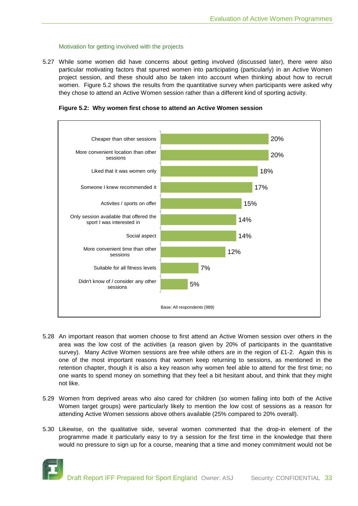#### Motivation for getting involved with the projects

5.27 While some women did have concerns about getting involved (discussed later), there were also particular motivating factors that spurred women into participating (particularly) in an Active Women project session, and these should also be taken into account when thinking about how to recruit women. Figure 5.2 shows the results from the quantitative survey when participants were asked why they chose to attend an Active Women session rather than a different kind of sporting activity.

**Figure 5.2: Why women first chose to attend an Active Women session**



- 5.28 An important reason that women choose to first attend an Active Women session over others in the area was the low cost of the activities (a reason given by 20% of participants in the quantitative survey). Many Active Women sessions are free while others are in the region of £1-2. Again this is one of the most important reasons that women keep returning to sessions, as mentioned in the retention chapter, though it is also a key reason why women feel able to attend for the first time; no one wants to spend money on something that they feel a bit hesitant about, and think that they might not like.
- 5.29 Women from deprived areas who also cared for children (so women falling into both of the Active Women target groups) were particularly likely to mention the low cost of sessions as a reason for attending Active Women sessions above others available (25% compared to 20% overall).
- 5.30 Likewise, on the qualitative side, several women commented that the drop-in element of the programme made it particularly easy to try a session for the first time in the knowledge that there would no pressure to sign up for a course, meaning that a time and money commitment would not be

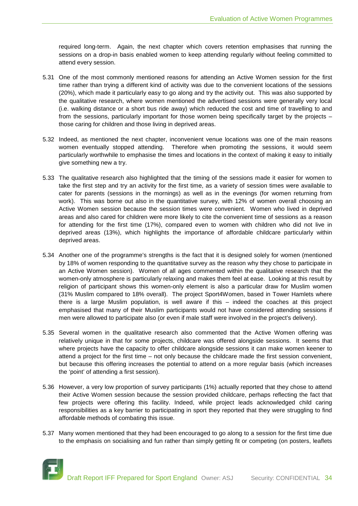required long-term. Again, the next chapter which covers retention emphasises that running the sessions on a drop-in basis enabled women to keep attending regularly without feeling committed to attend every session.

- 5.31 One of the most commonly mentioned reasons for attending an Active Women session for the first time rather than trying a different kind of activity was due to the convenient locations of the sessions (20%), which made it particularly easy to go along and try the activity out. This was also supported by the qualitative research, where women mentioned the advertised sessions were generally very local (i.e. walking distance or a short bus ride away) which reduced the cost and time of travelling to and from the sessions, particularly important for those women being specifically target by the projects – those caring for children and those living in deprived areas.
- 5.32 Indeed, as mentioned the next chapter, inconvenient venue locations was one of the main reasons women eventually stopped attending. Therefore when promoting the sessions, it would seem particularly worthwhile to emphasise the times and locations in the context of making it easy to initially give something new a try.
- 5.33 The qualitative research also highlighted that the timing of the sessions made it easier for women to take the first step and try an activity for the first time, as a variety of session times were available to cater for parents (sessions in the mornings) as well as in the evenings (for women returning from work). This was borne out also in the quantitative survey, with 12% of women overall choosing an Active Women session because the session times were convenient. Women who lived in deprived areas and also cared for children were more likely to cite the convenient time of sessions as a reason for attending for the first time (17%), compared even to women with children who did not live in deprived areas (13%), which highlights the importance of affordable childcare particularly within deprived areas.
- 5.34 Another one of the programme's strengths is the fact that it is designed solely for women (mentioned by 18% of women responding to the quantitative survey as the reason why they chose to participate in an Active Women session). Women of all ages commented within the qualitative research that the women-only atmosphere is particularly relaxing and makes them feel at ease. Looking at this result by religion of participant shows this women-only element is also a particular draw for Muslim women (31% Muslim compared to 18% overall). The project Sport4Women, based in Tower Hamlets where there is a large Muslim population, is well aware if this – indeed the coaches at this project emphasised that many of their Muslim participants would not have considered attending sessions if men were allowed to participate also (or even if male staff were involved in the project's delivery).
- 5.35 Several women in the qualitative research also commented that the Active Women offering was relatively unique in that for some projects, childcare was offered alongside sessions. It seems that where projects have the capacity to offer childcare alongside sessions it can make women keener to attend a project for the first time – not only because the childcare made the first session convenient, but because this offering increases the potential to attend on a more regular basis (which increases the 'point' of attending a first session).
- 5.36 However, a very low proportion of survey participants (1%) actually reported that they chose to attend their Active Women session because the session provided childcare, perhaps reflecting the fact that few projects were offering this facility. Indeed, while project leads acknowledged child caring responsibilities as a key barrier to participating in sport they reported that they were struggling to find affordable methods of combating this issue.
- 5.37 Many women mentioned that they had been encouraged to go along to a session for the first time due to the emphasis on socialising and fun rather than simply getting fit or competing (on posters, leaflets

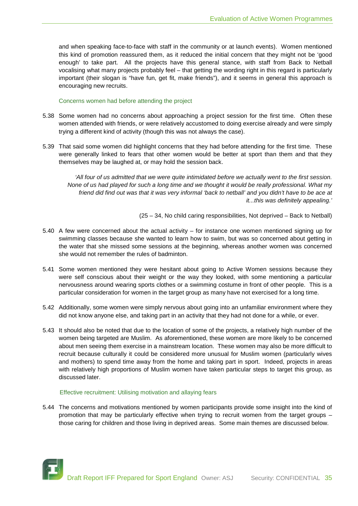and when speaking face-to-face with staff in the community or at launch events). Women mentioned this kind of promotion reassured them, as it reduced the initial concern that they might not be 'good enough' to take part. All the projects have this general stance, with staff from Back to Netball vocalising what many projects probably feel – that getting the wording right in this regard is particularly important (their slogan is "have fun, get fit, make friends"), and it seems in general this approach is encouraging new recruits.

Concerns women had before attending the project

- 5.38 Some women had no concerns about approaching a project session for the first time. Often these women attended with friends, or were relatively accustomed to doing exercise already and were simply trying a different kind of activity (though this was not always the case).
- 5.39 That said some women did highlight concerns that they had before attending for the first time. These were generally linked to fears that other women would be better at sport than them and that they themselves may be laughed at, or may hold the session back.

*'All four of us admitted that we were quite intimidated before we actually went to the first session. None of us had played for such a long time and we thought it would be really professional. What my friend did find out was that it was very informal 'back to netball' and you didn't have to be ace at it...this was definitely appealing.'*

(25 – 34, No child caring responsibilities, Not deprived – Back to Netball)

- 5.40 A few were concerned about the actual activity for instance one women mentioned signing up for swimming classes because she wanted to learn how to swim, but was so concerned about getting in the water that she missed some sessions at the beginning, whereas another women was concerned she would not remember the rules of badminton.
- 5.41 Some women mentioned they were hesitant about going to Active Women sessions because they were self conscious about their weight or the way they looked, with some mentioning a particular nervousness around wearing sports clothes or a swimming costume in front of other people. This is a particular consideration for women in the target group as many have not exercised for a long time.
- 5.42 Additionally, some women were simply nervous about going into an unfamiliar environment where they did not know anyone else, and taking part in an activity that they had not done for a while, or ever.
- 5.43 It should also be noted that due to the location of some of the projects, a relatively high number of the women being targeted are Muslim. As aforementioned, these women are more likely to be concerned about men seeing them exercise in a mainstream location. These women may also be more difficult to recruit because culturally it could be considered more unusual for Muslim women (particularly wives and mothers) to spend time away from the home and taking part in sport. Indeed, projects in areas with relatively high proportions of Muslim women have taken particular steps to target this group, as discussed later.

#### Effective recruitment: Utilising motivation and allaying fears

5.44 The concerns and motivations mentioned by women participants provide some insight into the kind of promotion that may be particularly effective when trying to recruit women from the target groups – those caring for children and those living in deprived areas. Some main themes are discussed below.

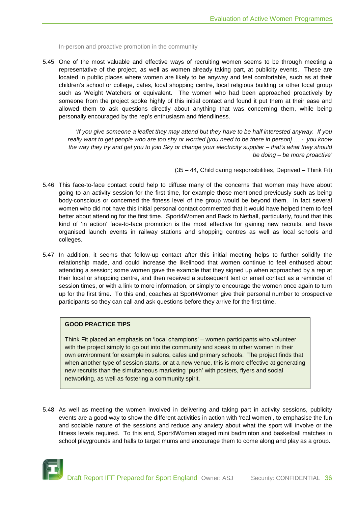In-person and proactive promotion in the community

5.45 One of the most valuable and effective ways of recruiting women seems to be through meeting a representative of the project, as well as women already taking part, at publicity events. These are located in public places where women are likely to be anyway and feel comfortable, such as at their children's school or college, cafes, local shopping centre, local religious building or other local group such as Weight Watchers or equivalent. The women who had been approached proactively by someone from the project spoke highly of this initial contact and found it put them at their ease and allowed them to ask questions directly about anything that was concerning them, while being personally encouraged by the rep's enthusiasm and friendliness.

*'If you give someone a leaflet they may attend but they have to be half interested anyway. If you really want to get people who are too shy or worried [you need to be there in person] … - you know the way they try and get you to join Sky or change your electricity supplier – that's what they should be doing – be more proactive'*

(35 – 44, Child caring responsibilities, Deprived – Think Fit)

- 5.46 This face-to-face contact could help to diffuse many of the concerns that women may have about going to an activity session for the first time, for example those mentioned previously such as being body-conscious or concerned the fitness level of the group would be beyond them. In fact several women who did not have this initial personal contact commented that it would have helped them to feel better about attending for the first time. Sport4Women and Back to Netball, particularly, found that this kind of 'in action' face-to-face promotion is the most effective for gaining new recruits, and have organised launch events in railway stations and shopping centres as well as local schools and colleges.
- 5.47 In addition, it seems that follow-up contact after this initial meeting helps to further solidify the relationship made, and could increase the likelihood that women continue to feel enthused about attending a session; some women gave the example that they signed up when approached by a rep at their local or shopping centre, and then received a subsequent text or email contact as a reminder of session times, or with a link to more information, or simply to encourage the women once again to turn up for the first time. To this end, coaches at Sport4Women give their personal number to prospective participants so they can call and ask questions before they arrive for the first time.

#### **GOOD PRACTICE TIPS**

Think Fit placed an emphasis on 'local champions' – women participants who volunteer with the project simply to go out into the community and speak to other women in their own environment for example in salons, cafes and primary schools. The project finds that when another type of session starts, or at a new venue, this is more effective at generating new recruits than the simultaneous marketing 'push' with posters, flyers and social networking, as well as fostering a community spirit.

5.48 As well as meeting the women involved in delivering and taking part in activity sessions, publicity events are a good way to show the different activities in action with 'real women', to emphasise the fun and sociable nature of the sessions and reduce any anxiety about what the sport will involve or the fitness levels required. To this end, Sport4Women staged mini badminton and basketball matches in school playgrounds and halls to target mums and encourage them to come along and play as a group.

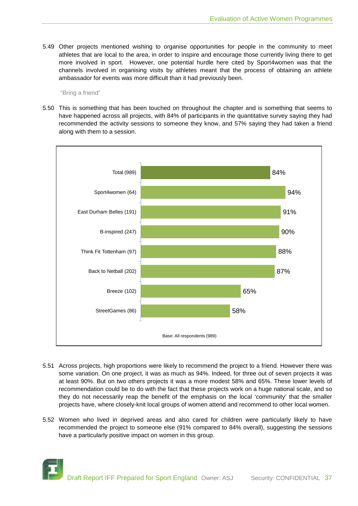5.49 Other projects mentioned wishing to organise opportunities for people in the community to meet athletes that are local to the area, in order to inspire and encourage those currently living there to get more involved in sport. However, one potential hurdle here cited by Sport4women was that the channels involved in organising visits by athletes meant that the process of obtaining an athlete ambassador for events was more difficult than it had previously been.

#### "Bring a friend"

5.50 This is something that has been touched on throughout the chapter and is something that seems to have happened across all projects, with 84% of participants in the quantitative survey saying they had recommended the activity sessions to someone they know, and 57% saying they had taken a friend along with them to a session.



- 5.51 Across projects, high proportions were likely to recommend the project to a friend. However there was some variation. On one project, it was as much as 94%. Indeed, for three out of seven projects it was at least 90%. But on two others projects it was a more modest 58% and 65%. These lower levels of recommendation could be to do with the fact that these projects work on a huge national scale, and so they do not necessarily reap the benefit of the emphasis on the local 'community' that the smaller projects have, where closely-knit local groups of women attend and recommend to other local women.
- 5.52 Women who lived in deprived areas and also cared for children were particularly likely to have recommended the project to someone else (91% compared to 84% overall), suggesting the sessions have a particularly positive impact on women in this group.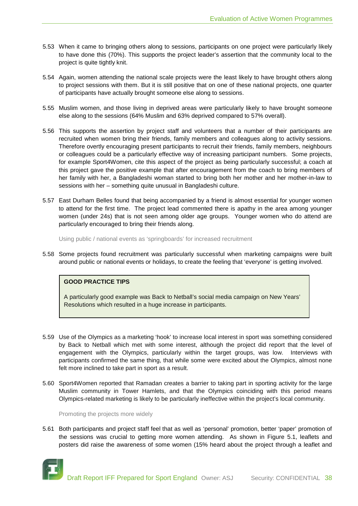- 5.53 When it came to bringing others along to sessions, participants on one project were particularly likely to have done this (70%). This supports the project leader's assertion that the community local to the project is quite tightly knit.
- 5.54 Again, women attending the national scale projects were the least likely to have brought others along to project sessions with them. But it is still positive that on one of these national projects, one quarter of participants have actually brought someone else along to sessions.
- 5.55 Muslim women, and those living in deprived areas were particularly likely to have brought someone else along to the sessions (64% Muslim and 63% deprived compared to 57% overall).
- 5.56 This supports the assertion by project staff and volunteers that a number of their participants are recruited when women bring their friends, family members and colleagues along to activity sessions. Therefore overtly encouraging present participants to recruit their friends, family members, neighbours or colleagues could be a particularly effective way of increasing participant numbers. Some projects, for example Sport4Women, cite this aspect of the project as being particularly successful; a coach at this project gave the positive example that after encouragement from the coach to bring members of her family with her, a Bangladeshi woman started to bring both her mother and her mother-in-law to sessions with her – something quite unusual in Bangladeshi culture.
- 5.57 East Durham Belles found that being accompanied by a friend is almost essential for younger women to attend for the first time. The project lead commented there is apathy in the area among younger women (under 24s) that is not seen among older age groups. Younger women who do attend are particularly encouraged to bring their friends along.

Using public / national events as 'springboards' for increased recruitment

5.58 Some projects found recruitment was particularly successful when marketing campaigns were built around public or national events or holidays, to create the feeling that 'everyone' is getting involved.

#### **GOOD PRACTICE TIPS**

A particularly good example was Back to Netball's social media campaign on New Years' Resolutions which resulted in a huge increase in participants.

- 5.59 Use of the Olympics as a marketing 'hook' to increase local interest in sport was something considered by Back to Netball which met with some interest, although the project did report that the level of engagement with the Olympics, particularly within the target groups, was low. Interviews with participants confirmed the same thing, that while some were excited about the Olympics, almost none felt more inclined to take part in sport as a result.
- 5.60 Sport4Women reported that Ramadan creates a barrier to taking part in sporting activity for the large Muslim community in Tower Hamlets, and that the Olympics coinciding with this period means Olympics-related marketing is likely to be particularly ineffective within the project's local community.

Promoting the projects more widely

5.61 Both participants and project staff feel that as well as 'personal' promotion, better 'paper' promotion of the sessions was crucial to getting more women attending. As shown in Figure 5.1, leaflets and posters did raise the awareness of some women (15% heard about the project through a leaflet and

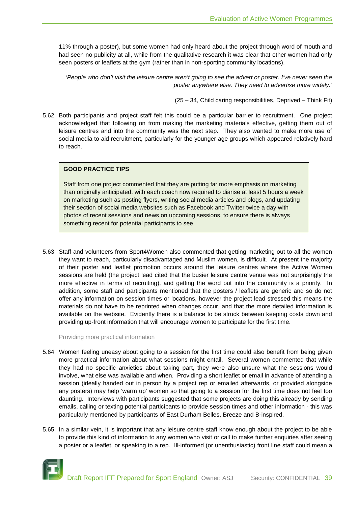11% through a poster), but some women had only heard about the project through word of mouth and had seen no publicity at all, while from the qualitative research it was clear that other women had only seen posters or leaflets at the gym (rather than in non-sporting community locations).

*'People who don't visit the leisure centre aren't going to see the advert or poster. I've never seen the poster anywhere else. They need to advertise more widely.'*

(25 – 34, Child caring responsibilities, Deprived – Think Fit)

5.62 Both participants and project staff felt this could be a particular barrier to recruitment. One project acknowledged that following on from making the marketing materials effective, getting them out of leisure centres and into the community was the next step. They also wanted to make more use of social media to aid recruitment, particularly for the younger age groups which appeared relatively hard to reach.

# **GOOD PRACTICE TIPS**

Staff from one project commented that they are putting far more emphasis on marketing than originally anticipated, with each coach now required to diarise at least 5 hours a week on marketing such as posting flyers, writing social media articles and blogs, and updating their section of social media websites such as Facebook and Twitter twice a day with photos of recent sessions and news on upcoming sessions, to ensure there is always something recent for potential participants to see.

5.63 Staff and volunteers from Sport4Women also commented that getting marketing out to all the women they want to reach, particularly disadvantaged and Muslim women, is difficult. At present the majority of their poster and leaflet promotion occurs around the leisure centres where the Active Women sessions are held (the project lead cited that the busier leisure centre venue was not surprisingly the more effective in terms of recruiting), and getting the word out into the community is a priority. In addition, some staff and participants mentioned that the posters / leaflets are generic and so do not offer any information on session times or locations, however the project lead stressed this means the materials do not have to be reprinted when changes occur, and that the more detailed information is available on the website. Evidently there is a balance to be struck between keeping costs down and providing up-front information that will encourage women to participate for the first time.

Providing more practical information

- 5.64 Women feeling uneasy about going to a session for the first time could also benefit from being given more practical information about what sessions might entail. Several women commented that while they had no specific anxieties about taking part, they were also unsure what the sessions would involve, what else was available and when. Providing a short leaflet or email in advance of attending a session (ideally handed out in person by a project rep or emailed afterwards, or provided alongside any posters) may help 'warm up' women so that going to a session for the first time does not feel too daunting. Interviews with participants suggested that some projects are doing this already by sending emails, calling or texting potential participants to provide session times and other information - this was particularly mentioned by participants of East Durham Belles, Breeze and B-inspired.
- 5.65 In a similar vein, it is important that any leisure centre staff know enough about the project to be able to provide this kind of information to any women who visit or call to make further enquiries after seeing a poster or a leaflet, or speaking to a rep. Ill-informed (or unenthusiastic) front line staff could mean a

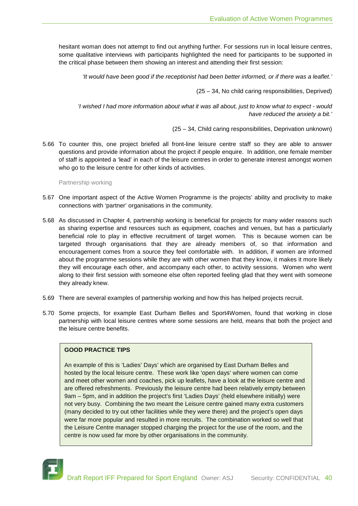hesitant woman does not attempt to find out anything further. For sessions run in local leisure centres, some qualitative interviews with participants highlighted the need for participants to be supported in the critical phase between them showing an interest and attending their first session:

*'It would have been good if the receptionist had been better informed, or if there was a leaflet.'*

(25 – 34, No child caring responsibilities, Deprived)

*'I wished I had more information about what it was all about, just to know what to expect - would have reduced the anxiety a bit.'*

(25 – 34, Child caring responsibilities, Deprivation unknown)

5.66 To counter this, one project briefed all front-line leisure centre staff so they are able to answer questions and provide information about the project if people enquire. In addition, one female member of staff is appointed a 'lead' in each of the leisure centres in order to generate interest amongst women who go to the leisure centre for other kinds of activities.

Partnership working

- 5.67 One important aspect of the Active Women Programme is the projects' ability and proclivity to make connections with 'partner' organisations in the community.
- 5.68 As discussed in Chapter 4, partnership working is beneficial for projects for many wider reasons such as sharing expertise and resources such as equipment, coaches and venues, but has a particularly beneficial role to play in effective recruitment of target women. This is because women can be targeted through organisations that they are already members of, so that information and encouragement comes from a source they feel comfortable with. In addition, if women are informed about the programme sessions while they are with other women that they know, it makes it more likely they will encourage each other, and accompany each other, to activity sessions. Women who went along to their first session with someone else often reported feeling glad that they went with someone they already knew.
- 5.69 There are several examples of partnership working and how this has helped projects recruit.
- 5.70 Some projects, for example East Durham Belles and Sport4Women, found that working in close partnership with local leisure centres where some sessions are held, means that both the project and the leisure centre benefits.

# **GOOD PRACTICE TIPS**

An example of this is 'Ladies' Days' which are organised by East Durham Belles and hosted by the local leisure centre. These work like 'open days' where women can come and meet other women and coaches, pick up leaflets, have a look at the leisure centre and are offered refreshments. Previously the leisure centre had been relatively empty between 9am – 5pm, and in addition the project's first 'Ladies Days' (held elsewhere initially) were not very busy. Combining the two meant the Leisure centre gained many extra customers (many decided to try out other facilities while they were there) and the project's open days were far more popular and resulted in more recruits. The combination worked so well that the Leisure Centre manager stopped charging the project for the use of the room, and the centre is now used far more by other organisations in the community.

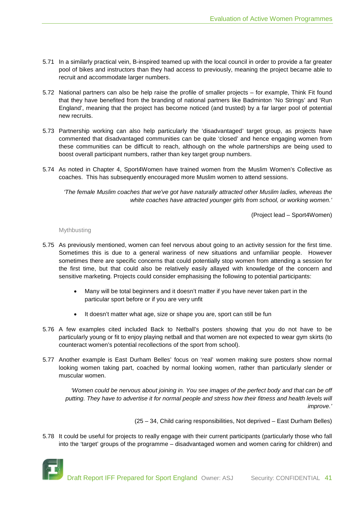- 5.71 In a similarly practical vein, B-inspired teamed up with the local council in order to provide a far greater pool of bikes and instructors than they had access to previously, meaning the project became able to recruit and accommodate larger numbers.
- 5.72 National partners can also be help raise the profile of smaller projects for example, Think Fit found that they have benefited from the branding of national partners like Badminton 'No Strings' and 'Run England', meaning that the project has become noticed (and trusted) by a far larger pool of potential new recruits.
- 5.73 Partnership working can also help particularly the 'disadvantaged' target group, as projects have commented that disadvantaged communities can be quite 'closed' and hence engaging women from these communities can be difficult to reach, although on the whole partnerships are being used to boost overall participant numbers, rather than key target group numbers.
- 5.74 As noted in Chapter 4, Sport4Women have trained women from the Muslim Women's Collective as coaches. This has subsequently encouraged more Muslim women to attend sessions.

*'The female Muslim coaches that we've got have naturally attracted other Muslim ladies, whereas the white coaches have attracted younger girls from school, or working women.'*

(Project lead – Sport4Women)

#### Mythbusting

- 5.75 As previously mentioned, women can feel nervous about going to an activity session for the first time. Sometimes this is due to a general wariness of new situations and unfamiliar people. However sometimes there are specific concerns that could potentially stop women from attending a session for the first time, but that could also be relatively easily allayed with knowledge of the concern and sensitive marketing. Projects could consider emphasising the following to potential participants:
	- Many will be total beginners and it doesn't matter if you have never taken part in the particular sport before or if you are very unfit
	- It doesn't matter what age, size or shape you are, sport can still be fun
- 5.76 A few examples cited included Back to Netball's posters showing that you do not have to be particularly young or fit to enjoy playing netball and that women are not expected to wear gym skirts (to counteract women's potential recollections of the sport from school).
- 5.77 Another example is East Durham Belles' focus on 'real' women making sure posters show normal looking women taking part, coached by normal looking women, rather than particularly slender or muscular women.

*'Women could be nervous about joining in. You see images of the perfect body and that can be off putting. They have to advertise it for normal people and stress how their fitness and health levels will improve.'*

(25 – 34, Child caring responsibilities, Not deprived – East Durham Belles)

5.78 It could be useful for projects to really engage with their current participants (particularly those who fall into the 'target' groups of the programme – disadvantaged women and women caring for children) and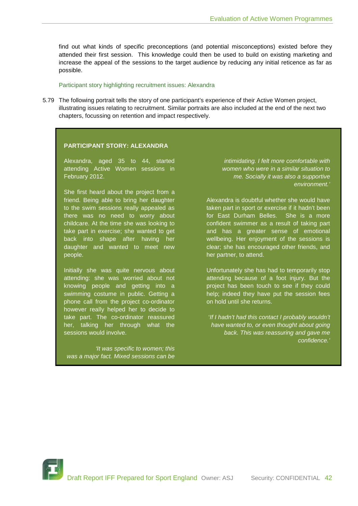find out what kinds of specific preconceptions (and potential misconceptions) existed before they attended their first session. This knowledge could then be used to build on existing marketing and increase the appeal of the sessions to the target audience by reducing any initial reticence as far as possible.

#### Participant story highlighting recruitment issues: Alexandra

5.79 The following portrait tells the story of one participant's experience of their Active Women project, illustrating issues relating to recruitment. Similar portraits are also included at the end of the next two chapters, focussing on retention and impact respectively.

#### **PARTICIPANT STORY: ALEXANDRA**

Alexandra, aged 35 to 44, started attending Active Women sessions in February 2012.

She first heard about the project from a friend. Being able to bring her daughter to the swim sessions really appealed as there was no need to worry about childcare. At the time she was looking to take part in exercise; she wanted to get back into shape after having her daughter and wanted to meet new people.

Initially she was quite nervous about attending: she was worried about not knowing people and getting into a swimming costume in public. Getting a phone call from the project co-ordinator however really helped her to decide to take part. The co-ordinator reassured her, talking her through what the sessions would involve.

*'It was specific to women; this was a major fact. Mixed sessions can be* 

*intimidating. I felt more comfortable with women who were in a similar situation to me. Socially it was also a supportive environment.'*

Alexandra is doubtful whether she would have taken part in sport or exercise if it hadn't been for East Durham Belles. She is a more confident swimmer as a result of taking part and has a greater sense of emotional wellbeing. Her enjoyment of the sessions is clear; she has encouraged other friends, and her partner, to attend.

Unfortunately she has had to temporarily stop attending because of a foot injury. But the project has been touch to see if they could help; indeed they have put the session fees on hold until she returns.

'*If I hadn't had this contact I probably wouldn't have wanted to, or even thought about going back. This was reassuring and gave me confidence.'*

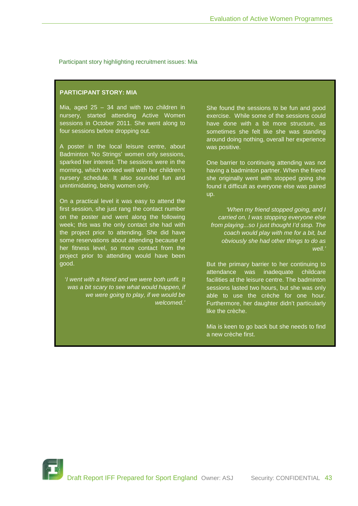#### Participant story highlighting recruitment issues: Mia

# **PARTICIPANT STORY: MIA**

Mia, aged  $25 - 34$  and with two children in nursery, started attending Active Women sessions in October 2011. She went along to four sessions before dropping out.

A poster in the local leisure centre, about Badminton 'No Strings' women only sessions, sparked her interest. The sessions were in the morning, which worked well with her children's nursery schedule. It also sounded fun and unintimidating, being women only.

On a practical level it was easy to attend the first session, she just rang the contact number on the poster and went along the following week; this was the only contact she had with the project prior to attending. She did have some reservations about attending because of her fitness level, so more contact from the project prior to attending would have been good.

'*I went with a friend and we were both unfit. It was a bit scary to see what would happen, if we were going to play, if we would be welcomed.'*

She found the sessions to be fun and good exercise. While some of the sessions could have done with a bit more structure, as sometimes she felt like she was standing around doing nothing, overall her experience was positive.

One barrier to continuing attending was not having a badminton partner. When the friend she originally went with stopped going she found it difficult as everyone else was paired up.

*'When my friend stopped going, and I carried on, I was stopping everyone else from playing...so I just thought I'd stop. The coach would play with me for a bit, but obviously she had other things to do as well.'*

But the primary barrier to her continuing to attendance was inadequate childcare facilities at the leisure centre. The badminton sessions lasted two hours, but she was only able to use the crèche for one hour. Furthermore, her daughter didn't particularly like the crèche.

Mia is keen to go back but she needs to find a new crèche first.

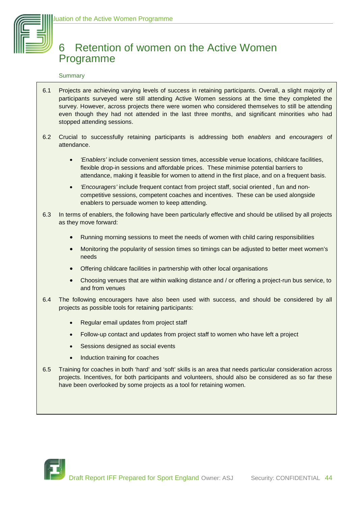# 6 Retention of women on the Active Women Programme

# Summary

- 6.1 Projects are achieving varying levels of success in retaining participants. Overall, a slight majority of participants surveyed were still attending Active Women sessions at the time they completed the survey. However, across projects there were women who considered themselves to still be attending even though they had not attended in the last three months, and significant minorities who had stopped attending sessions.
- 6.2 Crucial to successfully retaining participants is addressing both *enablers* and *encouragers* of attendance.
	- *'Enablers'* include convenient session times, accessible venue locations, childcare facilities, flexible drop-in sessions and affordable prices. These minimise potential barriers to attendance, making it feasible for women to attend in the first place, and on a frequent basis.
	- *'Encouragers'* include frequent contact from project staff, social oriented , fun and noncompetitive sessions, competent coaches and incentives. These can be used alongside enablers to persuade women to keep attending.
- 6.3 In terms of enablers, the following have been particularly effective and should be utilised by all projects as they move forward:
	- Running morning sessions to meet the needs of women with child caring responsibilities
	- Monitoring the popularity of session times so timings can be adjusted to better meet women's needs
	- Offering childcare facilities in partnership with other local organisations
	- Choosing venues that are within walking distance and / or offering a project-run bus service, to and from venues
- 6.4 The following encouragers have also been used with success, and should be considered by all projects as possible tools for retaining participants:
	- Regular email updates from project staff
	- Follow-up contact and updates from project staff to women who have left a project
	- Sessions designed as social events
	- Induction training for coaches
- 6.5 Training for coaches in both 'hard' and 'soft' skills is an area that needs particular consideration across projects. Incentives, for both participants and volunteers, should also be considered as so far these have been overlooked by some projects as a tool for retaining women.

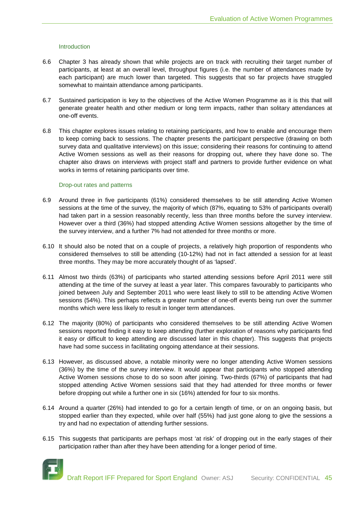#### Introduction

- 6.6 Chapter 3 has already shown that while projects are on track with recruiting their target number of participants, at least at an overall level, throughput figures (i.e. the number of attendances made by each participant) are much lower than targeted. This suggests that so far projects have struggled somewhat to maintain attendance among participants.
- 6.7 Sustained participation is key to the objectives of the Active Women Programme as it is this that will generate greater health and other medium or long term impacts, rather than solitary attendances at one-off events.
- 6.8 This chapter explores issues relating to retaining participants, and how to enable and encourage them to keep coming back to sessions. The chapter presents the participant perspective (drawing on both survey data and qualitative interviews) on this issue; considering their reasons for continuing to attend Active Women sessions as well as their reasons for dropping out, where they have done so. The chapter also draws on interviews with project staff and partners to provide further evidence on what works in terms of retaining participants over time.

#### Drop-out rates and patterns

- 6.9 Around three in five participants (61%) considered themselves to be still attending Active Women sessions at the time of the survey, the majority of which (87%, equating to 53% of participants overall) had taken part in a session reasonably recently, less than three months before the survey interview. However over a third (36%) had stopped attending Active Women sessions altogether by the time of the survey interview, and a further 7% had not attended for three months or more.
- 6.10 It should also be noted that on a couple of projects, a relatively high proportion of respondents who considered themselves to still be attending (10-12%) had not in fact attended a session for at least three months. They may be more accurately thought of as 'lapsed'.
- 6.11 Almost two thirds (63%) of participants who started attending sessions before April 2011 were still attending at the time of the survey at least a year later. This compares favourably to participants who joined between July and September 2011 who were least likely to still to be attending Active Women sessions (54%). This perhaps reflects a greater number of one-off events being run over the summer months which were less likely to result in longer term attendances.
- 6.12 The majority (80%) of participants who considered themselves to be still attending Active Women sessions reported finding it easy to keep attending (further exploration of reasons why participants find it easy or difficult to keep attending are discussed later in this chapter). This suggests that projects have had some success in facilitating ongoing attendance at their sessions.
- 6.13 However, as discussed above, a notable minority were no longer attending Active Women sessions (36%) by the time of the survey interview. It would appear that participants who stopped attending Active Women sessions chose to do so soon after joining. Two-thirds (67%) of participants that had stopped attending Active Women sessions said that they had attended for three months or fewer before dropping out while a further one in six (16%) attended for four to six months.
- 6.14 Around a quarter (26%) had intended to go for a certain length of time, or on an ongoing basis, but stopped earlier than they expected, while over half (55%) had just gone along to give the sessions a try and had no expectation of attending further sessions.
- 6.15 This suggests that participants are perhaps most 'at risk' of dropping out in the early stages of their participation rather than after they have been attending for a longer period of time.

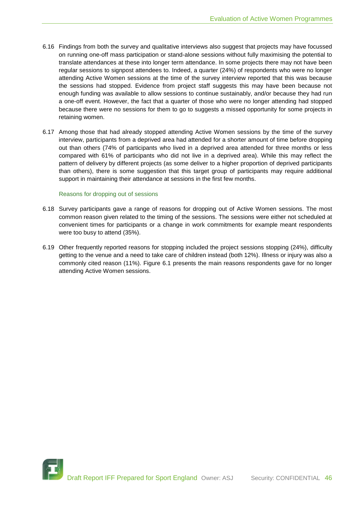- 6.16 Findings from both the survey and qualitative interviews also suggest that projects may have focussed on running one-off mass participation or stand-alone sessions without fully maximising the potential to translate attendances at these into longer term attendance. In some projects there may not have been regular sessions to signpost attendees to. Indeed, a quarter (24%) of respondents who were no longer attending Active Women sessions at the time of the survey interview reported that this was because the sessions had stopped. Evidence from project staff suggests this may have been because not enough funding was available to allow sessions to continue sustainably, and/or because they had run a one-off event. However, the fact that a quarter of those who were no longer attending had stopped because there were no sessions for them to go to suggests a missed opportunity for some projects in retaining women.
- 6.17 Among those that had already stopped attending Active Women sessions by the time of the survey interview, participants from a deprived area had attended for a shorter amount of time before dropping out than others (74% of participants who lived in a deprived area attended for three months or less compared with 61% of participants who did not live in a deprived area). While this may reflect the pattern of delivery by different projects (as some deliver to a higher proportion of deprived participants than others), there is some suggestion that this target group of participants may require additional support in maintaining their attendance at sessions in the first few months.

#### Reasons for dropping out of sessions

- 6.18 Survey participants gave a range of reasons for dropping out of Active Women sessions. The most common reason given related to the timing of the sessions. The sessions were either not scheduled at convenient times for participants or a change in work commitments for example meant respondents were too busy to attend (35%).
- 6.19 Other frequently reported reasons for stopping included the project sessions stopping (24%), difficulty getting to the venue and a need to take care of children instead (both 12%). Illness or injury was also a commonly cited reason (11%). Figure 6.1 presents the main reasons respondents gave for no longer attending Active Women sessions.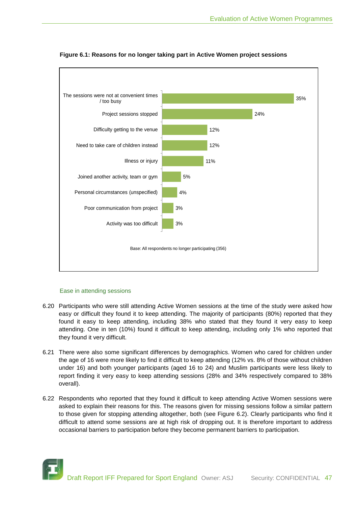

# **Figure 6.1: Reasons for no longer taking part in Active Women project sessions**

# Ease in attending sessions

- 6.20 Participants who were still attending Active Women sessions at the time of the study were asked how easy or difficult they found it to keep attending. The majority of participants (80%) reported that they found it easy to keep attending, including 38% who stated that they found it very easy to keep attending. One in ten (10%) found it difficult to keep attending, including only 1% who reported that they found it very difficult.
- 6.21 There were also some significant differences by demographics. Women who cared for children under the age of 16 were more likely to find it difficult to keep attending (12% vs. 8% of those without children under 16) and both younger participants (aged 16 to 24) and Muslim participants were less likely to report finding it very easy to keep attending sessions (28% and 34% respectively compared to 38% overall).
- 6.22 Respondents who reported that they found it difficult to keep attending Active Women sessions were asked to explain their reasons for this. The reasons given for missing sessions follow a similar pattern to those given for stopping attending altogether, both (see Figure 6.2). Clearly participants who find it difficult to attend some sessions are at high risk of dropping out. It is therefore important to address occasional barriers to participation before they become permanent barriers to participation.

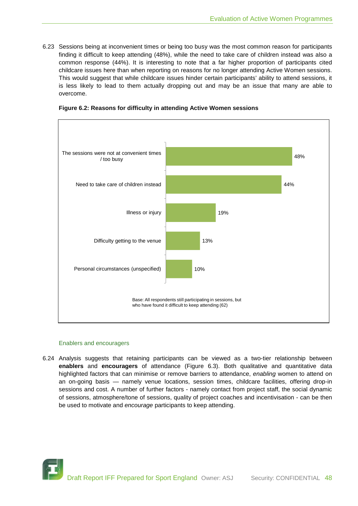6.23 Sessions being at inconvenient times or being too busy was the most common reason for participants finding it difficult to keep attending (48%), while the need to take care of children instead was also a common response (44%). It is interesting to note that a far higher proportion of participants cited childcare issues here than when reporting on reasons for no longer attending Active Women sessions. This would suggest that while childcare issues hinder certain participants' ability to attend sessions, it is less likely to lead to them actually dropping out and may be an issue that many are able to overcome.



**Figure 6.2: Reasons for difficulty in attending Active Women sessions**

#### Enablers and encouragers

6.24 Analysis suggests that retaining participants can be viewed as a two-tier relationship between **enablers** and **encouragers** of attendance (Figure 6.3). Both qualitative and quantitative data highlighted factors that can minimise or remove barriers to attendance, *enabling* women to attend on an on-going basis — namely venue locations, session times, childcare facilities, offering drop-in sessions and cost. A number of further factors - namely contact from project staff, the social dynamic of sessions, atmosphere/tone of sessions, quality of project coaches and incentivisation - can be then be used to motivate and *encourage* participants to keep attending.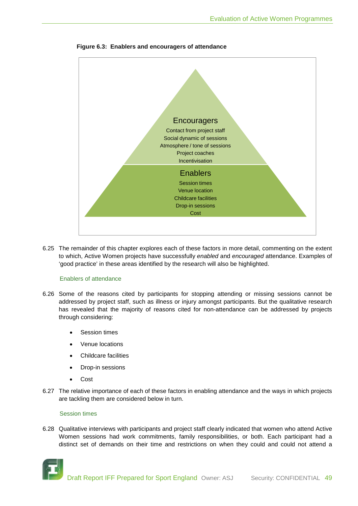

**Figure 6.3: Enablers and encouragers of attendance**

6.25 The remainder of this chapter explores each of these factors in more detail, commenting on the extent to which, Active Women projects have successfully *enabled* and *encouraged* attendance. Examples of 'good practice' in these areas identified by the research will also be highlighted.

#### Enablers of attendance

- 6.26 Some of the reasons cited by participants for stopping attending or missing sessions cannot be addressed by project staff, such as illness or injury amongst participants. But the qualitative research has revealed that the majority of reasons cited for non-attendance can be addressed by projects through considering:
	- Session times
	- Venue locations
	- Childcare facilities
	- Drop-in sessions
	- Cost
- 6.27 The relative importance of each of these factors in enabling attendance and the ways in which projects are tackling them are considered below in turn.

#### Session times

6.28 Qualitative interviews with participants and project staff clearly indicated that women who attend Active Women sessions had work commitments, family responsibilities, or both. Each participant had a distinct set of demands on their time and restrictions on when they could and could not attend a

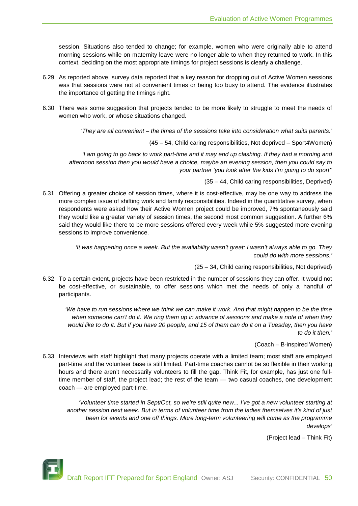session. Situations also tended to change; for example, women who were originally able to attend morning sessions while on maternity leave were no longer able to when they returned to work. In this context, deciding on the most appropriate timings for project sessions is clearly a challenge.

- 6.29 As reported above, survey data reported that a key reason for dropping out of Active Women sessions was that sessions were not at convenient times or being too busy to attend. The evidence illustrates the importance of getting the timings right.
- 6.30 There was some suggestion that projects tended to be more likely to struggle to meet the needs of women who work, or whose situations changed.

*'They are all convenient – the times of the sessions take into consideration what suits parents.'*

(45 – 54, Child caring responsibilities, Not deprived – Sport4Women)

*'I am going to go back to work part-time and it may end up clashing. If they had a morning and afternoon session then you would have a choice, maybe an evening session, then you could say to your partner 'you look after the kids I'm going to do sport''*

(35 – 44, Child caring responsibilities, Deprived)

6.31 Offering a greater choice of session times, where it is cost-effective, may be one way to address the more complex issue of shifting work and family responsibilities. Indeed in the quantitative survey, when respondents were asked how their Active Women project could be improved, 7% spontaneously said they would like a greater variety of session times, the second most common suggestion. A further 6% said they would like there to be more sessions offered every week while 5% suggested more evening sessions to improve convenience.

> *'It was happening once a week. But the availability wasn't great; I wasn't always able to go. They could do with more sessions.'*

> > (25 – 34, Child caring responsibilities, Not deprived)

6.32 To a certain extent, projects have been restricted in the number of sessions they can offer. It would not be cost-effective, or sustainable, to offer sessions which met the needs of only a handful of participants.

*'We have to run sessions where we think we can make it work. And that might happen to be the time when someone can't do it. We ring them up in advance of sessions and make a note of when they would like to do it. But if you have 20 people, and 15 of them can do it on a Tuesday, then you have to do it then.'*

(Coach – B-inspired Women)

6.33 Interviews with staff highlight that many projects operate with a limited team; most staff are employed part-time and the volunteer base is still limited. Part-time coaches cannot be so flexible in their working hours and there aren't necessarily volunteers to fill the gap. Think Fit, for example, has just one fulltime member of staff, the project lead; the rest of the team — two casual coaches, one development coach — are employed part-time.

*'Volunteer time started in Sept/Oct, so we're still quite new... I've got a new volunteer starting at another session next week. But in terms of volunteer time from the ladies themselves it's kind of just been for events and one off things. More long-term volunteering will come as the programme develops'*

(Project lead – Think Fit)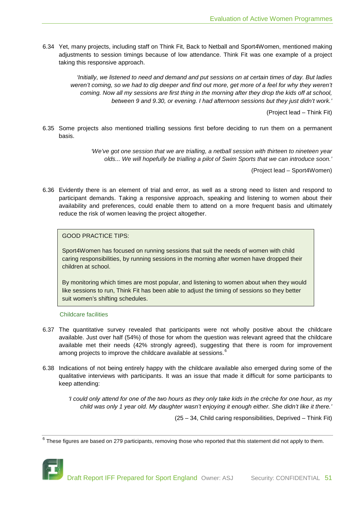6.34 Yet, many projects, including staff on Think Fit, Back to Netball and Sport4Women, mentioned making adjustments to session timings because of low attendance. Think Fit was one example of a project taking this responsive approach.

*'Initially, we listened to need and demand and put sessions on at certain times of day. But ladies weren't coming, so we had to dig deeper and find out more, get more of a feel for why they weren't coming. Now all my sessions are first thing in the morning after they drop the kids off at school, between 9 and 9.30, or evening. I had afternoon sessions but they just didn't work.'*

(Project lead – Think Fit)

6.35 Some projects also mentioned trialling sessions first before deciding to run them on a permanent basis.

> *'We've got one session that we are trialling, a netball session with thirteen to nineteen year olds... We will hopefully be trialling a pilot of Swim Sports that we can introduce soon.'*

> > (Project lead – Sport4Women)

6.36 Evidently there is an element of trial and error, as well as a strong need to listen and respond to participant demands. Taking a responsive approach, speaking and listening to women about their availability and preferences, could enable them to attend on a more frequent basis and ultimately reduce the risk of women leaving the project altogether.

GOOD PRACTICE TIPS:

Sport4Women has focused on running sessions that suit the needs of women with child caring responsibilities, by running sessions in the morning after women have dropped their children at school.

By monitoring which times are most popular, and listening to women about when they would like sessions to run, Think Fit has been able to adjust the timing of sessions so they better suit women's shifting schedules.

Childcare facilities

- 6.37 The quantitative survey revealed that participants were not wholly positive about the childcare available. Just over half (54%) of those for whom the question was relevant agreed that the childcare available met their needs (42% strongly agreed), suggesting that there is room for improvement among projects to improve the childcare available at sessions.<sup>[6](#page-50-0)</sup>
- 6.38 Indications of not being entirely happy with the childcare available also emerged during some of the qualitative interviews with participants. It was an issue that made it difficult for some participants to keep attending:

*'I could only attend for one of the two hours as they only take kids in the crèche for one hour, as my child was only 1 year old. My daughter wasn't enjoying it enough either. She didn't like it there.'* 

(25 – 34, Child caring responsibilities, Deprived – Think Fit)

<span id="page-50-0"></span> $6$  These figures are based on 279 participants, removing those who reported that this statement did not apply to them.

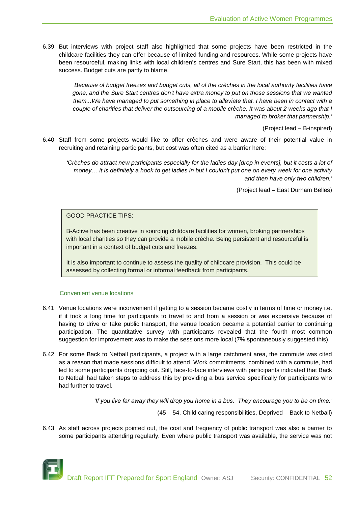6.39 But interviews with project staff also highlighted that some projects have been restricted in the childcare facilities they can offer because of limited funding and resources. While some projects have been resourceful, making links with local children's centres and Sure Start, this has been with mixed success. Budget cuts are partly to blame.

> *'Because of budget freezes and budget cuts, all of the crèches in the local authority facilities have gone, and the Sure Start centres don't have extra money to put on those sessions that we wanted them...We have managed to put something in place to alleviate that. I have been in contact with a couple of charities that deliver the outsourcing of a mobile crèche. It was about 2 weeks ago that I managed to broker that partnership.'*

> > (Project lead – B-inspired)

6.40 Staff from some projects would like to offer crèches and were aware of their potential value in recruiting and retaining participants, but cost was often cited as a barrier here:

*'Crèches do attract new participants especially for the ladies day [drop in events], but it costs a lot of money… it is definitely a hook to get ladies in but I couldn't put one on every week for one activity and then have only two children.'*

(Project lead – East Durham Belles)

GOOD PRACTICE TIPS:

B-Active has been creative in sourcing childcare facilities for women, broking partnerships with local charities so they can provide a mobile crèche. Being persistent and resourceful is important in a context of budget cuts and freezes.

It is also important to continue to assess the quality of childcare provision. This could be assessed by collecting formal or informal feedback from participants.

# Convenient venue locations

- 6.41 Venue locations were inconvenient if getting to a session became costly in terms of time or money i.e. if it took a long time for participants to travel to and from a session or was expensive because of having to drive or take public transport, the venue location became a potential barrier to continuing participation. The quantitative survey with participants revealed that the fourth most common suggestion for improvement was to make the sessions more local (7% spontaneously suggested this).
- 6.42 For some Back to Netball participants, a project with a large catchment area, the commute was cited as a reason that made sessions difficult to attend. Work commitments, combined with a commute, had led to some participants dropping out. Still, face-to-face interviews with participants indicated that Back to Netball had taken steps to address this by providing a bus service specifically for participants who had further to travel.

*'If you live far away they will drop you home in a bus. They encourage you to be on time.'*

(45 – 54, Child caring responsibilities, Deprived – Back to Netball)

6.43 As staff across projects pointed out, the cost and frequency of public transport was also a barrier to some participants attending regularly. Even where public transport was available, the service was not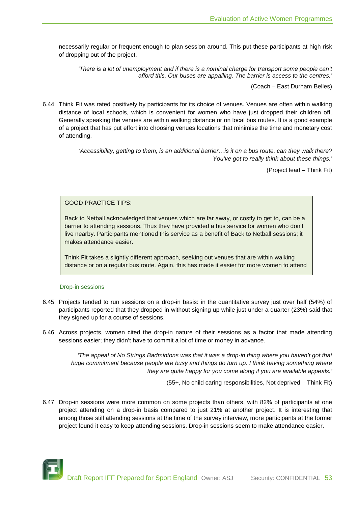necessarily regular or frequent enough to plan session around. This put these participants at high risk of dropping out of the project.

*'There is a lot of unemployment and if there is a nominal charge for transport some people can't afford this. Our buses are appalling. The barrier is access to the centres.'*

(Coach – East Durham Belles)

6.44 Think Fit was rated positively by participants for its choice of venues. Venues are often within walking distance of local schools, which is convenient for women who have just dropped their children off. Generally speaking the venues are within walking distance or on local bus routes. It is a good example of a project that has put effort into choosing venues locations that minimise the time and monetary cost of attending.

> *'Accessibility, getting to them, is an additional barrier…is it on a bus route, can they walk there? You've got to really think about these things.'*

> > (Project lead – Think Fit)

GOOD PRACTICE TIPS:

Back to Netball acknowledged that venues which are far away, or costly to get to, can be a barrier to attending sessions. Thus they have provided a bus service for women who don't live nearby. Participants mentioned this service as a benefit of Back to Netball sessions; it makes attendance easier.

Think Fit takes a slightly different approach, seeking out venues that are within walking distance or on a regular bus route. Again, this has made it easier for more women to attend

#### Drop-in sessions

- 6.45 Projects tended to run sessions on a drop-in basis: in the quantitative survey just over half (54%) of participants reported that they dropped in without signing up while just under a quarter (23%) said that they signed up for a course of sessions.
- 6.46 Across projects, women cited the drop-in nature of their sessions as a factor that made attending sessions easier; they didn't have to commit a lot of time or money in advance.

*'The appeal of No Strings Badmintons was that it was a drop-in thing where you haven't got that huge commitment because people are busy and things do turn up. I think having something where they are quite happy for you come along if you are available appeals.'*

(55+, No child caring responsibilities, Not deprived – Think Fit)

6.47 Drop-in sessions were more common on some projects than others, with 82% of participants at one project attending on a drop-in basis compared to just 21% at another project. It is interesting that among those still attending sessions at the time of the survey interview, more participants at the former project found it easy to keep attending sessions. Drop-in sessions seem to make attendance easier.

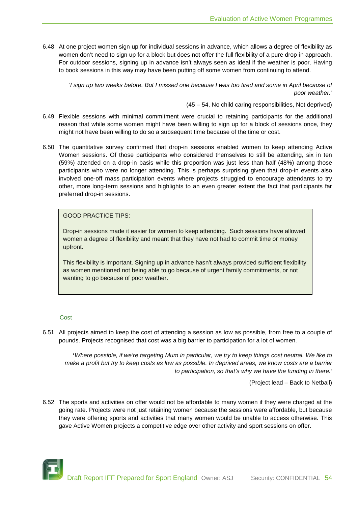6.48 At one project women sign up for individual sessions in advance, which allows a degree of flexibility as women don't need to sign up for a block but does not offer the full flexibility of a pure drop-in approach. For outdoor sessions, signing up in advance isn't always seen as ideal if the weather is poor. Having to book sessions in this way may have been putting off some women from continuing to attend.

*'I sign up two weeks before. But I missed one because I was too tired and some in April because of poor weather.'*

(45 – 54, No child caring responsibilities, Not deprived)

- 6.49 Flexible sessions with minimal commitment were crucial to retaining participants for the additional reason that while some women might have been willing to sign up for a block of sessions once, they might not have been willing to do so a subsequent time because of the time or cost.
- 6.50 The quantitative survey confirmed that drop-in sessions enabled women to keep attending Active Women sessions. Of those participants who considered themselves to still be attending, six in ten (59%) attended on a drop-in basis while this proportion was just less than half (48%) among those participants who were no longer attending. This is perhaps surprising given that drop-in events also involved one-off mass participation events where projects struggled to encourage attendants to try other, more long-term sessions and highlights to an even greater extent the fact that participants far preferred drop-in sessions.

GOOD PRACTICE TIPS:

Drop-in sessions made it easier for women to keep attending. Such sessions have allowed women a degree of flexibility and meant that they have not had to commit time or money upfront.

This flexibility is important. Signing up in advance hasn't always provided sufficient flexibility as women mentioned not being able to go because of urgent family commitments, or not wanting to go because of poor weather.

#### **Cost**

6.51 All projects aimed to keep the cost of attending a session as low as possible, from free to a couple of pounds. Projects recognised that cost was a big barrier to participation for a lot of women.

**'***Where possible, if we're targeting Mum in particular, we try to keep things cost neutral. We like to make a profit but try to keep costs as low as possible. In deprived areas, we know costs are a barrier to participation, so that's why we have the funding in there.'*

(Project lead – Back to Netball)

6.52 The sports and activities on offer would not be affordable to many women if they were charged at the going rate. Projects were not just retaining women because the sessions were affordable, but because they were offering sports and activities that many women would be unable to access otherwise. This gave Active Women projects a competitive edge over other activity and sport sessions on offer.

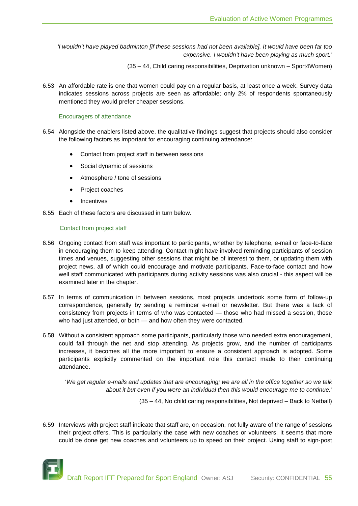*'I wouldn't have played badminton [if these sessions had not been available]. It would have been far too expensive. I wouldn't have been playing as much sport.'*

(35 – 44, Child caring responsibilities, Deprivation unknown – Sport4Women)

6.53 An affordable rate is one that women could pay on a regular basis, at least once a week. Survey data indicates sessions across projects are seen as affordable; only 2% of respondents spontaneously mentioned they would prefer cheaper sessions.

#### Encouragers of attendance

- 6.54 Alongside the enablers listed above, the qualitative findings suggest that projects should also consider the following factors as important for encouraging continuing attendance:
	- Contact from project staff in between sessions
	- Social dynamic of sessions
	- Atmosphere / tone of sessions
	- Project coaches
	- **Incentives**
- 6.55 Each of these factors are discussed in turn below.

#### Contact from project staff

- 6.56 Ongoing contact from staff was important to participants, whether by telephone, e-mail or face-to-face in encouraging them to keep attending. Contact might have involved reminding participants of session times and venues, suggesting other sessions that might be of interest to them, or updating them with project news, all of which could encourage and motivate participants. Face-to-face contact and how well staff communicated with participants during activity sessions was also crucial - this aspect will be examined later in the chapter.
- 6.57 In terms of communication in between sessions, most projects undertook some form of follow-up correspondence, generally by sending a reminder e-mail or newsletter. But there was a lack of consistency from projects in terms of who was contacted — those who had missed a session, those who had just attended, or both — and how often they were contacted.
- 6.58 Without a consistent approach some participants, particularly those who needed extra encouragement, could fall through the net and stop attending. As projects grow, and the number of participants increases, it becomes all the more important to ensure a consistent approach is adopted. Some participants explicitly commented on the important role this contact made to their continuing attendance.

'*We get regular e-mails and updates that are encouraging; we are all in the office together so we talk about it but even if you were an individual then this would encourage me to continue.'*

(35 – 44, No child caring responsibilities, Not deprived – Back to Netball)

6.59 Interviews with project staff indicate that staff are, on occasion, not fully aware of the range of sessions their project offers. This is particularly the case with new coaches or volunteers. It seems that more could be done get new coaches and volunteers up to speed on their project. Using staff to sign-post

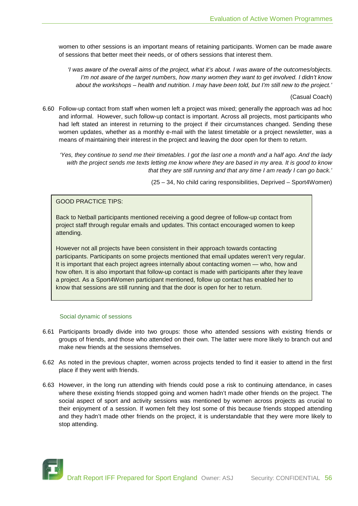women to other sessions is an important means of retaining participants. Women can be made aware of sessions that better meet their needs, or of others sessions that interest them.

*'I was aware of the overall aims of the project, what it's about. I was aware of the outcomes/objects. I'm not aware of the target numbers, how many women they want to get involved. I didn't know about the workshops – health and nutrition. I may have been told, but I'm still new to the project.'*

(Casual Coach)

6.60 Follow-up contact from staff when women left a project was mixed; generally the approach was ad hoc and informal. However, such follow-up contact is important. Across all projects, most participants who had left stated an interest in returning to the project if their circumstances changed. Sending these women updates, whether as a monthly e-mail with the latest timetable or a project newsletter, was a means of maintaining their interest in the project and leaving the door open for them to return.

*'Yes, they continue to send me their timetables. I got the last one a month and a half ago. And the lady with the project sends me texts letting me know where they are based in my area. It is good to know that they are still running and that any time I am ready I can go back.'*

(25 – 34, No child caring responsibilities, Deprived – Sport4Women)

GOOD PRACTICE TIPS:

Back to Netball participants mentioned receiving a good degree of follow-up contact from project staff through regular emails and updates. This contact encouraged women to keep attending.

However not all projects have been consistent in their approach towards contacting participants. Participants on some projects mentioned that email updates weren't very regular. It is important that each project agrees internally about contacting women — who, how and how often. It is also important that follow-up contact is made with participants after they leave a project. As a Sport4Women participant mentioned, follow up contact has enabled her to know that sessions are still running and that the door is open for her to return.

#### Social dynamic of sessions

- 6.61 Participants broadly divide into two groups: those who attended sessions with existing friends or groups of friends, and those who attended on their own. The latter were more likely to branch out and make new friends at the sessions themselves.
- 6.62 As noted in the previous chapter, women across projects tended to find it easier to attend in the first place if they went with friends.
- 6.63 However, in the long run attending with friends could pose a risk to continuing attendance, in cases where these existing friends stopped going and women hadn't made other friends on the project. The social aspect of sport and activity sessions was mentioned by women across projects as crucial to their enjoyment of a session. If women felt they lost some of this because friends stopped attending and they hadn't made other friends on the project, it is understandable that they were more likely to stop attending.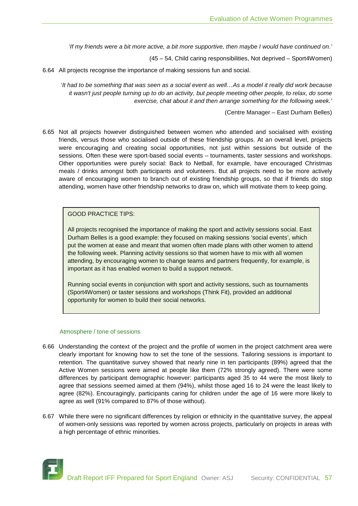*'If my friends were a bit more active, a bit more supportive, then maybe I would have continued on.'*

(45 – 54, Child caring responsibilities, Not deprived – Sport4Women)

6.64 All projects recognise the importance of making sessions fun and social.

'*It had to be something that was seen as a social event as well…As a model it really did work because it wasn't just people turning up to do an activity, but people meeting other people, to relax, do some exercise, chat about it and then arrange something for the following week.'*

(Centre Manager – East Durham Belles)

6.65 Not all projects however distinguished between women who attended and socialised with existing friends, versus those who socialised outside of these friendship groups. At an overall level, projects were encouraging and creating social opportunities, not just within sessions but outside of the sessions. Often these were sport-based social events – tournaments, taster sessions and workshops. Other opportunities were purely social: Back to Netball, for example, have encouraged Christmas meals / drinks amongst both participants and volunteers. But all projects need to be more actively aware of encouraging women to branch out of existing friendship groups, so that if friends do stop attending, women have other friendship networks to draw on, which will motivate them to keep going.

# GOOD PRACTICE TIPS:

All projects recognised the importance of making the sport and activity sessions social. East Durham Belles is a good example: they focused on making sessions 'social events', which put the women at ease and meant that women often made plans with other women to attend the following week. Planning activity sessions so that women have to mix with all women attending, by encouraging women to change teams and partners frequently, for example, is important as it has enabled women to build a support network.

Running social events in conjunction with sport and activity sessions, such as tournaments (Sport4Women) or taster sessions and workshops (Think Fit), provided an additional opportunity for women to build their social networks.

#### Atmosphere / tone of sessions

- 6.66 Understanding the context of the project and the profile of women in the project catchment area were clearly important for knowing how to set the tone of the sessions. Tailoring sessions is important to retention. The quantitative survey showed that nearly nine in ten participants (89%) agreed that the Active Women sessions were aimed at people like them (72% strongly agreed). There were some differences by participant demographic however: participants aged 35 to 44 were the most likely to agree that sessions seemed aimed at them (94%), whilst those aged 16 to 24 were the least likely to agree (82%). Encouragingly, participants caring for children under the age of 16 were more likely to agree as well (91% compared to 87% of those without).
- 6.67 While there were no significant differences by religion or ethnicity in the quantitative survey, the appeal of women-only sessions was reported by women across projects, particularly on projects in areas with a high percentage of ethnic minorities.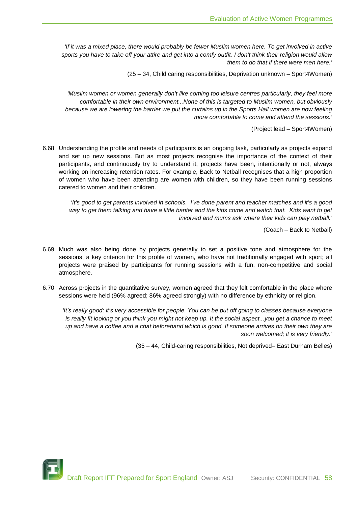*If it was a mixed place, there would probably be fewer Muslim women here. To get involved in active sports you have to take off your attire and get into a comfy outfit. I don't think their religion would allow them to do that if there were men here.'*

(25 – 34, Child caring responsibilities, Deprivation unknown – Sport4Women)

*'Muslim women or women generally don't like coming too leisure centres particularly, they feel more comfortable in their own environment...None of this is targeted to Muslim women, but obviously because we are lowering the barrier we put the curtains up in the Sports Hall women are now feeling more comfortable to come and attend the sessions.'*

(Project lead – Sport4Women)

6.68 Understanding the profile and needs of participants is an ongoing task, particularly as projects expand and set up new sessions. But as most projects recognise the importance of the context of their participants, and continuously try to understand it, projects have been, intentionally or not, always working on increasing retention rates. For example, Back to Netball recognises that a high proportion of women who have been attending are women with children, so they have been running sessions catered to women and their children.

*'It's good to get parents involved in schools. I've done parent and teacher matches and it's a good way to get them talking and have a little banter and the kids come and watch that. Kids want to get involved and mums ask where their kids can play netball.'*

(Coach – Back to Netball)

- 6.69 Much was also being done by projects generally to set a positive tone and atmosphere for the sessions, a key criterion for this profile of women, who have not traditionally engaged with sport; all projects were praised by participants for running sessions with a fun, non-competitive and social atmosphere.
- 6.70 Across projects in the quantitative survey, women agreed that they felt comfortable in the place where sessions were held (96% agreed; 86% agreed strongly) with no difference by ethnicity or religion.

*'It's really good; it's very accessible for people. You can be put off going to classes because everyone is really fit looking or you think you might not keep up. It the social aspect...you get a chance to meet up and have a coffee and a chat beforehand which is good. If someone arrives on their own they are soon welcomed; it is very friendly.'*

(35 – 44, Child-caring responsibilities, Not deprived– East Durham Belles)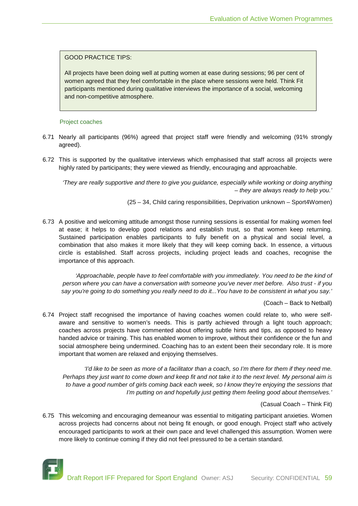# GOOD PRACTICE TIPS:

All projects have been doing well at putting women at ease during sessions; 96 per cent of women agreed that they feel comfortable in the place where sessions were held. Think Fit participants mentioned during qualitative interviews the importance of a social, welcoming and non-competitive atmosphere.

#### Project coaches

- 6.71 Nearly all participants (96%) agreed that project staff were friendly and welcoming (91% strongly agreed).
- 6.72 This is supported by the qualitative interviews which emphasised that staff across all projects were highly rated by participants; they were viewed as friendly, encouraging and approachable.

*'They are really supportive and there to give you guidance, especially while working or doing anything – they are always ready to help you.'* 

(25 – 34, Child caring responsibilities, Deprivation unknown – Sport4Women)

6.73 A positive and welcoming attitude amongst those running sessions is essential for making women feel at ease; it helps to develop good relations and establish trust, so that women keep returning. Sustained participation enables participants to fully benefit on a physical and social level, a combination that also makes it more likely that they will keep coming back. In essence, a virtuous circle is established. Staff across projects, including project leads and coaches, recognise the importance of this approach.

'Approachable, people have to feel comfortable with you immediately. You need to be the kind of *person where you can have a conversation with someone you've never met before. Also trust - if you say you're going to do something you really need to do it...You have to be consistent in what you say.'*

(Coach – Back to Netball)

6.74 Project staff recognised the importance of having coaches women could relate to, who were selfaware and sensitive to women's needs. This is partly achieved through a light touch approach; coaches across projects have commented about offering subtle hints and tips, as opposed to heavy handed advice or training. This has enabled women to improve, without their confidence or the fun and social atmosphere being undermined. Coaching has to an extent been their secondary role. It is more important that women are relaxed and enjoying themselves.

*'I'd like to be seen as more of a facilitator than a coach, so I'm there for them if they need me. Perhaps they just want to come down and keep fit and not take it to the next level. My personal aim is to have a good number of girls coming back each week, so I know they're enjoying the sessions that I'm putting on and hopefully just getting them feeling good about themselves.'*

(Casual Coach – Think Fit)

6.75 This welcoming and encouraging demeanour was essential to mitigating participant anxieties. Women across projects had concerns about not being fit enough, or good enough. Project staff who actively encouraged participants to work at their own pace and level challenged this assumption. Women were more likely to continue coming if they did not feel pressured to be a certain standard.

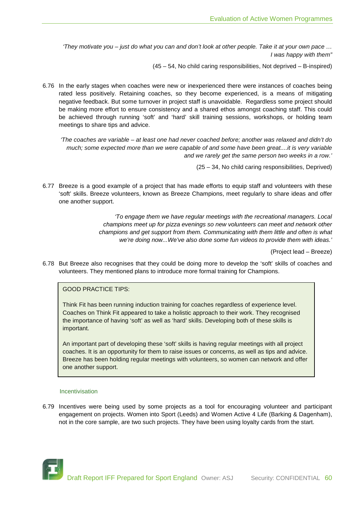*'They motivate you – just do what you can and don't look at other people. Take it at your own pace … I was happy with them"*

(45 – 54, No child caring responsibilities, Not deprived – B-inspired)

6.76 In the early stages when coaches were new or inexperienced there were instances of coaches being rated less positively. Retaining coaches, so they become experienced, is a means of mitigating negative feedback. But some turnover in project staff is unavoidable. Regardless some project should be making more effort to ensure consistency and a shared ethos amongst coaching staff. This could be achieved through running 'soft' and 'hard' skill training sessions, workshops, or holding team meetings to share tips and advice.

*'The coaches are variable – at least one had never coached before; another was relaxed and didn't do much; some expected more than we were capable of and some have been great....it is very variable and we rarely get the same person two weeks in a row.'*

(25 – 34, No child caring responsibilities, Deprived)

6.77 Breeze is a good example of a project that has made efforts to equip staff and volunteers with these 'soft' skills. Breeze volunteers, known as Breeze Champions, meet regularly to share ideas and offer one another support.

> *'To engage them we have regular meetings with the recreational managers. Local champions meet up for pizza evenings so new volunteers can meet and network other champions and get support from them. Communicating with them little and often is what we're doing now...We've also done some fun videos to provide them with ideas.'*

> > (Project lead – Breeze)

6.78 But Breeze also recognises that they could be doing more to develop the 'soft' skills of coaches and volunteers. They mentioned plans to introduce more formal training for Champions.

# GOOD PRACTICE TIPS:

Think Fit has been running induction training for coaches regardless of experience level. Coaches on Think Fit appeared to take a holistic approach to their work. They recognised the importance of having 'soft' as well as 'hard' skills. Developing both of these skills is important.

An important part of developing these 'soft' skills is having regular meetings with all project coaches. It is an opportunity for them to raise issues or concerns, as well as tips and advice. Breeze has been holding regular meetings with volunteers, so women can network and offer one another support.

#### Incentivisation

6.79 Incentives were being used by some projects as a tool for encouraging volunteer and participant engagement on projects. Women into Sport (Leeds) and Women Active 4 Life (Barking & Dagenham), not in the core sample, are two such projects. They have been using loyalty cards from the start.

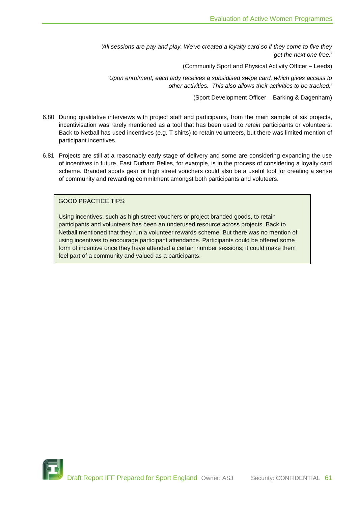*'All sessions are pay and play. We've created a loyalty card so if they come to five they get the next one free.'*

(Community Sport and Physical Activity Officer – Leeds)

*'Upon enrolment, each lady receives a subsidised swipe card, which gives access to other activities. This also allows their activities to be tracked.'*

(Sport Development Officer – Barking & Dagenham)

- 6.80 During qualitative interviews with project staff and participants, from the main sample of six projects, incentivisation was rarely mentioned as a tool that has been used to *retain* participants or volunteers. Back to Netball has used incentives (e.g. T shirts) to retain volunteers, but there was limited mention of participant incentives.
- 6.81 Projects are still at a reasonably early stage of delivery and some are considering expanding the use of incentives in future. East Durham Belles, for example, is in the process of considering a loyalty card scheme. Branded sports gear or high street vouchers could also be a useful tool for creating a sense of community and rewarding commitment amongst both participants and voluteers.

GOOD PRACTICE TIPS:

Using incentives, such as high street vouchers or project branded goods, to retain participants and volunteers has been an underused resource across projects. Back to Netball mentioned that they run a volunteer rewards scheme. But there was no mention of using incentives to encourage participant attendance. Participants could be offered some form of incentive once they have attended a certain number sessions; it could make them feel part of a community and valued as a participants.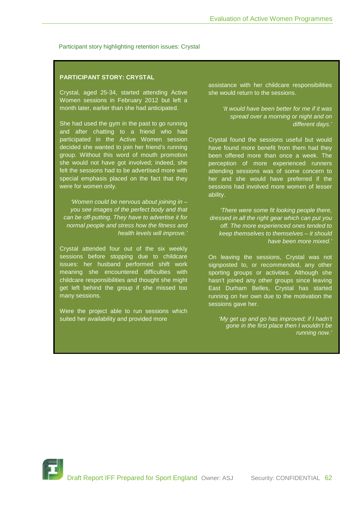Participant story highlighting retention issues: Crystal

# **PARTICIPANT STORY: CRYSTAL**

Crystal, aged 25-34, started attending Active Women sessions in February 2012 but left a month later, earlier than she had anticipated.

She had used the gym in the past to go running and after chatting to a friend who had participated in the Active Women session decided she wanted to join her friend's running group. Without this word of mouth promotion she would not have got involved; indeed, she felt the sessions had to be advertised more with special emphasis placed on the fact that they were for women only.

*'Women could be nervous about joining in – you see images of the perfect body and that can be off-putting. They have to advertise it for normal people and stress how the fitness and health levels will improve.'*

Crystal attended four out of the six weekly sessions before stopping due to childcare issues: her husband performed shift work meaning she encountered difficulties with childcare responsibilities and thought she might get left behind the group if she missed too many sessions.

Were the project able to run sessions which suited her availability and provided more

assistance with her childcare responsibilities she would return to the sessions.

> *'It would have been better for me if it was spread over a morning or night and on different days.'*

Crystal found the sessions useful but would have found more benefit from them had they been offered more than once a week. The perception of more experienced runners attending sessions was of some concern to her and she would have preferred if the sessions had involved more women of lesser ability.

*'There were some fit looking people there, dressed in all the right gear which can put you off. The more experienced ones tended to keep themselves to themselves – it should have been more mixed.'*

On leaving the sessions, Crystal was not signposted to, or recommended, any other sporting groups or activities. Although she hasn't joined any other groups since leaving East Durham Belles, Crystal has started running on her own due to the motivation the sessions gave her.

*'My get up and go has improved; if I hadn't gone in the first place then I wouldn't be running now.'*

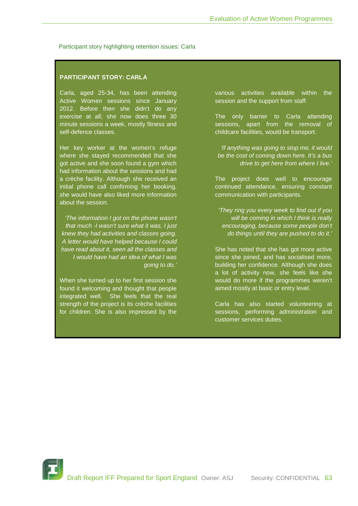Participant story highlighting retention issues: Carla

# **PARTICIPANT STORY: CARLA**

Carla, aged 25-34, has been attending Active Women sessions since January 2012. Before then she didn't do any exercise at all; she now does three 30 minute sessions a week, mostly fitness and self-defence classes.

Her key worker at the women's refuge where she stayed recommended that she got active and she soon found a gym which had information about the sessions and had a crèche facility. Although she received an initial phone call confirming her booking, she would have also liked more information about the session.

*'The information I got on the phone wasn't that much -I wasn't sure what it was, I just knew they had activities and classes going. A letter would have helped because I could have read about it, seen all the classes and I would have had an idea of what I was going to do.'*

When she turned up to her first session she found it welcoming and thought that people integrated well. She feels that the real strength of the project is its crèche facilities for children. She is also impressed by the various activities available within the session and the support from staff.

The only barrier to Carla attending sessions, apart from the removal of childcare facilities, would be transport.

*'If anything was going to stop me, it would be the cost of coming down here. It's a bus drive to get here from where I live.'*

The project does well to encourage continued attendance, ensuring constant communication with participants.

*'They ring you every week to find out if you will be coming in which I think is really encouraging, because some people don't do things until they are pushed to do it.'*

She has noted that she has got more active since she joined, and has socialised more, building her confidence. Although she does a lot of activity now, she feels like she would do more if the programmes weren't aimed mostly at basic or entry level.

Carla has also started volunteering at sessions, performing administration and customer services duties.

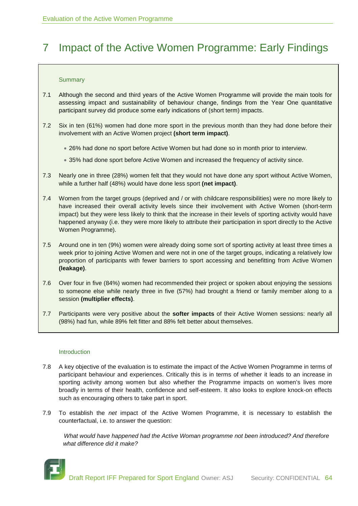# 7 Impact of the Active Women Programme: Early Findings

# **Summary**

- 7.1 Although the second and third years of the Active Women Programme will provide the main tools for assessing impact and sustainability of behaviour change, findings from the Year One quantitative participant survey did produce some early indications of (short term) impacts.
- 7.2 Six in ten (61%) women had done more sport in the previous month than they had done before their involvement with an Active Women project **(short term impact)**.
	- 26% had done no sport before Active Women but had done so in month prior to interview.
	- 35% had done sport before Active Women and increased the frequency of activity since.
- 7.3 Nearly one in three (28%) women felt that they would not have done any sport without Active Women, while a further half (48%) would have done less sport **(net impact)**.
- 7.4 Women from the target groups (deprived and / or with childcare responsibilities) were no more likely to have increased their overall activity levels since their involvement with Active Women (short-term impact) but they were less likely to think that the increase in their levels of sporting activity would have happened anyway (i.e. they were more likely to attribute their participation in sport directly to the Active Women Programme).
- 7.5 Around one in ten (9%) women were already doing some sort of sporting activity at least three times a week prior to joining Active Women and were not in one of the target groups, indicating a relatively low proportion of participants with fewer barriers to sport accessing and benefitting from Active Women **(leakage)**.
- 7.6 Over four in five (84%) women had recommended their project or spoken about enjoying the sessions to someone else while nearly three in five (57%) had brought a friend or family member along to a session **(multiplier effects)**.
- 7.7 Participants were very positive about the **softer impacts** of their Active Women sessions: nearly all (98%) had fun, while 89% felt fitter and 88% felt better about themselves.

#### Introduction

- 7.8 A key objective of the evaluation is to estimate the impact of the Active Women Programme in terms of participant behaviour and experiences. Critically this is in terms of whether it leads to an increase in sporting activity among women but also whether the Programme impacts on women's lives more broadly in terms of their health, confidence and self-esteem. It also looks to explore knock-on effects such as encouraging others to take part in sport.
- 7.9 To establish the *net* impact of the Active Women Programme, it is necessary to establish the counterfactual, i.e. to answer the question:

*What would have happened had the Active Woman programme not been introduced? And therefore what difference did it make?*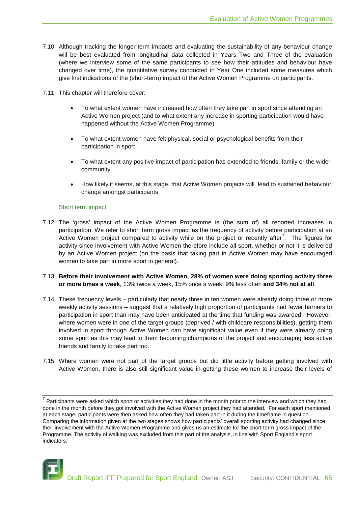- 7.10 Although tracking the longer-term impacts and evaluating the sustainability of any behaviour change will be best evaluated from longitudinal data collected in Years Two and Three of the evaluation (where we interview some of the same participants to see how their attitudes and behaviour have changed over time), the quantitative survey conducted in Year One included some measures which give first indications of the (short-term) impact of the Active Women Programme on participants.
- 7.11 This chapter will therefore cover:
	- To what extent women have increased how often they take part in sport since attending an Active Women project (and to what extent any increase in sporting participation would have happened without the Active Women Programme)
	- To what extent women have felt physical, social or psychological benefits from their participation in sport
	- To what extent any positive impact of participation has extended to friends, family or the wider community
	- How likely it seems, at this stage, that Active Women projects will lead to sustained behaviour change amongst participants

#### Short term impact

- 7.12 The 'gross' impact of the Active Women Programme is (the sum of) all reported increases in participation. We refer to short term gross impact as the frequency of activity before participation at an Active Women project compared to activity while on the project or recently after<sup>[7](#page-64-0)</sup>. The figures for activity since involvement with Active Women therefore include all sport, whether or not it is delivered by an Active Women project (on the basis that taking part in Active Women may have encouraged women to take part in more sport in general).
- 7.13 **Before their involvement with Active Women, 28% of women were doing sporting activity three or more times a week**, 13% twice a week, 15% once a week, 9% less often **and 34% not at all**.
- 7.14 These frequency levels particularly that nearly three in ten women were already doing three or more weekly activity sessions – suggest that a relatively high proportion of participants had fewer barriers to participation in sport than may have been anticipated at the time that funding was awarded. However, where women were in one of the target groups (deprived / with childcare responsibilities), getting them involved in sport through Active Women can have significant value even if they were already doing some sport as this may lead to them becoming champions of the project and encouraging less active friends and family to take part too.
- 7.15 Where women were not part of the target groups but did little activity before getting involved with Active Women, there is also still significant value in getting these women to increase their levels of

<span id="page-64-0"></span> $7$  Participants were asked which sport or activities they had done in the month prior to the interview and which they had done in the month before they got involved with the Active Women project they had attended. For each sport mentioned at each stage, participants were then asked how often they had taken part in it during the timeframe in question. Comparing the information given at the two stages shows how participants' overall sporting activity had changed since their involvement with the Active Women Programme and gives us an estimate for the short term gross impact of the Programme. The activity of walking was excluded from this part of the analysis, in line with Sport England's sport indicators.

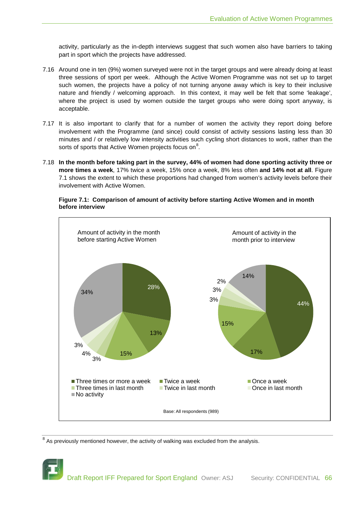activity, particularly as the in-depth interviews suggest that such women also have barriers to taking part in sport which the projects have addressed.

- 7.16 Around one in ten (9%) women surveyed were not in the target groups and were already doing at least three sessions of sport per week. Although the Active Women Programme was not set up to target such women, the projects have a policy of not turning anyone away which is key to their inclusive nature and friendly / welcoming approach. In this context, it may well be felt that some 'leakage', where the project is used by women outside the target groups who were doing sport anyway, is acceptable.
- 7.17 It is also important to clarify that for a number of women the activity they report doing before involvement with the Programme (and since) could consist of activity sessions lasting less than 30 minutes and / or relatively low intensity activities such cycling short distances to work, rather than the sorts of sports that Active Women projects focus on $^8$  $^8$ .
- 7.18 **In the month before taking part in the survey, 44% of women had done sporting activity three or more times a week**, 17% twice a week, 15% once a week, 8% less often **and 14% not at all**. Figure 7.1 shows the extent to which these proportions had changed from women's activity levels before their involvement with Active Women.



**Figure 7.1: Comparison of amount of activity before starting Active Women and in month before interview**

<span id="page-65-0"></span> $8$  As previously mentioned however, the activity of walking was excluded from the analysis.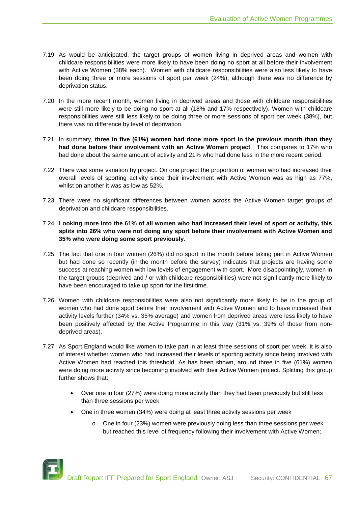- 7.19 As would be anticipated, the target groups of women living in deprived areas and women with childcare responsibilities were more likely to have been doing no sport at all before their involvement with Active Women (38% each). Women with childcare responsibilities were also less likely to have been doing three or more sessions of sport per week (24%), although there was no difference by deprivation status.
- 7.20 In the more recent month, women living in deprived areas and those with childcare responsibilities were still more likely to be doing no sport at all (18% and 17% respectively). Women with childcare responsibilities were still less likely to be doing three or more sessions of sport per week (38%), but there was no difference by level of deprivation.
- 7.21 In summary, **three in five (61%) women had done more sport in the previous month than they had done before their involvement with an Active Women project**. This compares to 17% who had done about the same amount of activity and 21% who had done less in the more recent period.
- 7.22 There was some variation by project. On one project the proportion of women who had increased their overall levels of sporting activity since their involvement with Active Women was as high as 77%, whilst on another it was as low as 52%.
- 7.23 There were no significant differences between women across the Active Women target groups of deprivation and childcare responsibilities.

# 7.24 **Looking more into the 61% of all women who had increased their level of sport or activity, this splits into 26% who were not doing any sport before their involvement with Active Women and 35% who were doing some sport previously**.

- 7.25 The fact that one in four women (26%) did no sport in the month before taking part in Active Women but had done so recently (in the month before the survey) indicates that projects are having some success at reaching women with low levels of engagement with sport. More disappointingly, women in the target groups (deprived and / or with childcare responsibilities) were not significantly more likely to have been encouraged to take up sport for the first time.
- 7.26 Women with childcare responsibilities were also not significantly more likely to be in the group of women who had done sport before their involvement with Active Women and to have increased their activity levels further (34% vs. 35% average) and women from deprived areas were less likely to have been positively affected by the Active Programme in this way (31% vs. 39% of those from nondeprived areas).
- 7.27 As Sport England would like women to take part in at least three sessions of sport per week, it is also of interest whether women who had increased their levels of sporting activity since being involved with Active Women had reached this threshold. As has been shown, around three in five (61%) women were doing more activity since becoming involved with their Active Women project. Splitting this group further shows that:
	- Over one in four (27%) were doing more activity than they had been previously but still less than three sessions per week
	- One in three women (34%) were doing at least three activity sessions per week
		- o One in four (23%) women were previously doing less than three sessions per week but reached this level of frequency following their involvement with Active Women;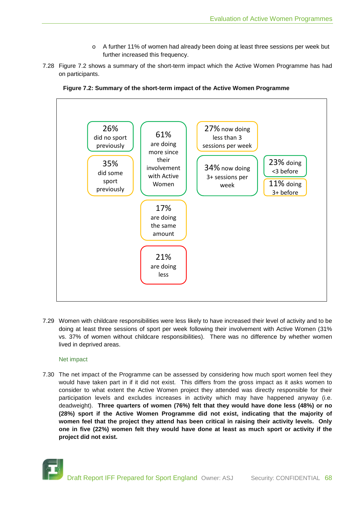- o A further 11% of women had already been doing at least three sessions per week but further increased this frequency.
- 7.28 Figure 7.2 shows a summary of the short-term impact which the Active Women Programme has had on participants.





7.29 Women with childcare responsibilities were less likely to have increased their level of activity and to be doing at least three sessions of sport per week following their involvement with Active Women (31% vs. 37% of women without childcare responsibilities). There was no difference by whether women lived in deprived areas.

# Net impact

7.30 The net impact of the Programme can be assessed by considering how much sport women feel they would have taken part in if it did not exist. This differs from the gross impact as it asks women to consider to what extent the Active Women project they attended was directly responsible for their participation levels and excludes increases in activity which may have happened anyway (i.e. deadweight). **Three quarters of women (76%) felt that they would have done less (48%) or no (28%) sport if the Active Women Programme did not exist, indicating that the majority of women feel that the project they attend has been critical in raising their activity levels. Only one in five (22%) women felt they would have done at least as much sport or activity if the project did not exist.**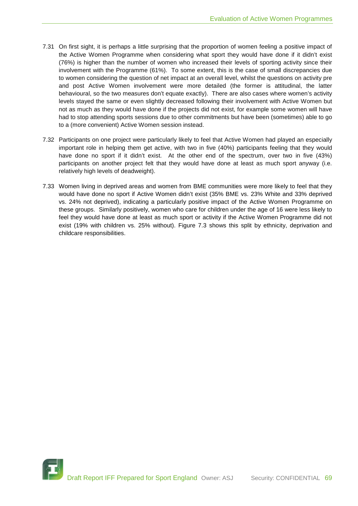- 7.31 On first sight, it is perhaps a little surprising that the proportion of women feeling a positive impact of the Active Women Programme when considering what sport they would have done if it didn't exist (76%) is higher than the number of women who increased their levels of sporting activity since their involvement with the Programme (61%). To some extent, this is the case of small discrepancies due to women considering the question of net impact at an overall level, whilst the questions on activity pre and post Active Women involvement were more detailed (the former is attitudinal, the latter behavioural, so the two measures don't equate exactly). There are also cases where women's activity levels stayed the same or even slightly decreased following their involvement with Active Women but not as much as they would have done if the projects did not exist, for example some women will have had to stop attending sports sessions due to other commitments but have been (sometimes) able to go to a (more convenient) Active Women session instead.
- 7.32 Participants on one project were particularly likely to feel that Active Women had played an especially important role in helping them get active, with two in five (40%) participants feeling that they would have done no sport if it didn't exist. At the other end of the spectrum, over two in five (43%) participants on another project felt that they would have done at least as much sport anyway (i.e. relatively high levels of deadweight).
- 7.33 Women living in deprived areas and women from BME communities were more likely to feel that they would have done no sport if Active Women didn't exist (35% BME vs. 23% White and 33% deprived vs. 24% not deprived), indicating a particularly positive impact of the Active Women Programme on these groups. Similarly positively, women who care for children under the age of 16 were less likely to feel they would have done at least as much sport or activity if the Active Women Programme did not exist (19% with children vs. 25% without). Figure 7.3 shows this split by ethnicity, deprivation and childcare responsibilities.

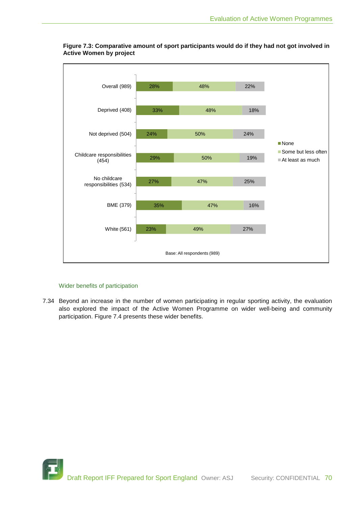



# Wider benefits of participation

7.34 Beyond an increase in the number of women participating in regular sporting activity, the evaluation also explored the impact of the Active Women Programme on wider well-being and community participation. Figure 7.4 presents these wider benefits.

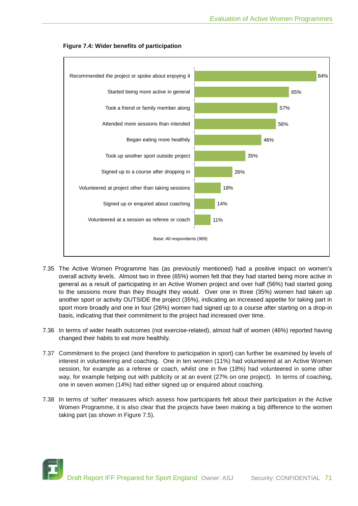

**Figure 7.4: Wider benefits of participation**

- 7.35 The Active Women Programme has (as previously mentioned) had a positive impact on women's overall activity levels. Almost two in three (65%) women felt that they had started being more active in general as a result of participating in an Active Women project and over half (56%) had started going to the sessions more than they thought they would. Over one in three (35%) women had taken up another sport or activity OUTSIDE the project (35%), indicating an increased appetite for taking part in sport more broadly and one in four (26%) women had signed up to a course after starting on a drop-in basis, indicating that their commitment to the project had increased over time.
- 7.36 In terms of wider health outcomes (not exercise-related), almost half of women (46%) reported having changed their habits to eat more healthily.
- 7.37 Commitment to the project (and therefore to participation in sport) can further be examined by levels of interest in volunteering and coaching. One in ten women (11%) had volunteered at an Active Women session, for example as a referee or coach, whilst one in five (18%) had volunteered in some other way, for example helping out with publicity or at an event (27% on one project). In terms of coaching, one in seven women (14%) had either signed up or enquired about coaching.
- 7.38 In terms of 'softer' measures which assess how participants felt about their participation in the Active Women Programme, it is also clear that the projects have been making a big difference to the women taking part (as shown in Figure 7.5).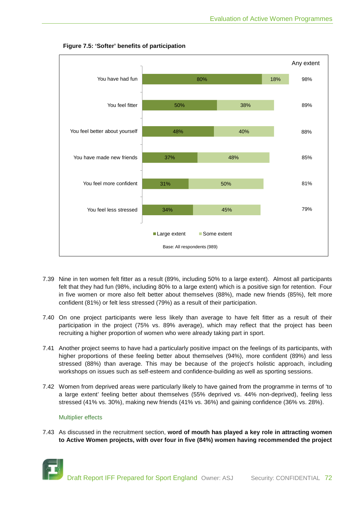

# **Figure 7.5: 'Softer' benefits of participation**

- 7.39 Nine in ten women felt fitter as a result (89%, including 50% to a large extent). Almost all participants felt that they had fun (98%, including 80% to a large extent) which is a positive sign for retention. Four in five women or more also felt better about themselves (88%), made new friends (85%), felt more confident (81%) or felt less stressed (79%) as a result of their participation.
- 7.40 On one project participants were less likely than average to have felt fitter as a result of their participation in the project (75% vs. 89% average), which may reflect that the project has been recruiting a higher proportion of women who were already taking part in sport.
- 7.41 Another project seems to have had a particularly positive impact on the feelings of its participants, with higher proportions of these feeling better about themselves (94%), more confident (89%) and less stressed (88%) than average. This may be because of the project's holistic approach, including workshops on issues such as self-esteem and confidence-building as well as sporting sessions.
- 7.42 Women from deprived areas were particularly likely to have gained from the programme in terms of 'to a large extent' feeling better about themselves (55% deprived vs. 44% non-deprived), feeling less stressed (41% vs. 30%), making new friends (41% vs. 36%) and gaining confidence (36% vs. 28%).

# Multiplier effects

7.43 As discussed in the recruitment section, **word of mouth has played a key role in attracting women to Active Women projects, with over four in five (84%) women having recommended the project** 

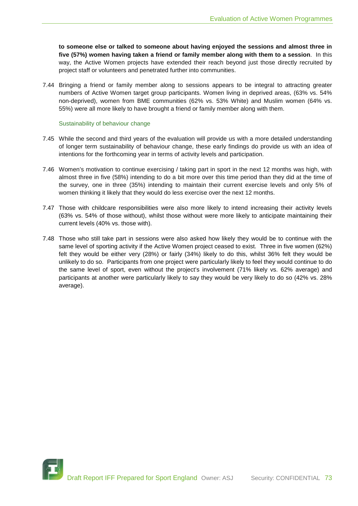**to someone else or talked to someone about having enjoyed the sessions and almost three in five (57%) women having taken a friend or family member along with them to a session**. In this way, the Active Women projects have extended their reach beyond just those directly recruited by project staff or volunteers and penetrated further into communities.

7.44 Bringing a friend or family member along to sessions appears to be integral to attracting greater numbers of Active Women target group participants. Women living in deprived areas, (63% vs. 54% non-deprived), women from BME communities (62% vs. 53% White) and Muslim women (64% vs. 55%) were all more likely to have brought a friend or family member along with them.

#### Sustainability of behaviour change

- 7.45 While the second and third years of the evaluation will provide us with a more detailed understanding of longer term sustainability of behaviour change, these early findings do provide us with an idea of intentions for the forthcoming year in terms of activity levels and participation.
- 7.46 Women's motivation to continue exercising / taking part in sport in the next 12 months was high, with almost three in five (58%) intending to do a bit more over this time period than they did at the time of the survey, one in three (35%) intending to maintain their current exercise levels and only 5% of women thinking it likely that they would do less exercise over the next 12 months.
- 7.47 Those with childcare responsibilities were also more likely to intend increasing their activity levels (63% vs. 54% of those without), whilst those without were more likely to anticipate maintaining their current levels (40% vs. those with).
- 7.48 Those who still take part in sessions were also asked how likely they would be to continue with the same level of sporting activity if the Active Women project ceased to exist. Three in five women (62%) felt they would be either very (28%) or fairly (34%) likely to do this, whilst 36% felt they would be unlikely to do so. Participants from one project were particularly likely to feel they would continue to do the same level of sport, even without the project's involvement (71% likely vs. 62% average) and participants at another were particularly likely to say they would be very likely to do so (42% vs. 28% average).

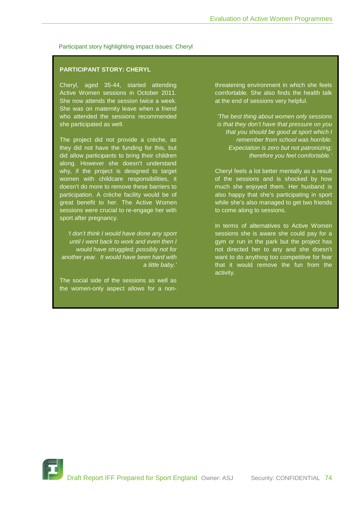#### Participant story highlighting impact issues: Cheryl

### **PARTICIPANT STORY: CHERYL**

Cheryl, aged 35-44, started attending Active Women sessions in October 2011. She now attends the session twice a week. She was on maternity leave when a friend who attended the sessions recommended she participated as well.

The project did not provide a crèche, as they did not have the funding for this, but did allow participants to bring their children along. However she doesn't understand why, if the project is designed to target women with childcare responsibilities, it doesn't do more to remove these barriers to participation. A crèche facility would be of great benefit to her. The Active Women sessions were crucial to re-engage her with sport after pregnancy.

*'I don't think I would have done any sport until I went back to work and even then I would have struggled; possibly not for another year. It would have been hard with a little baby.'*

The social side of the sessions as well as the women-only aspect allows for a nonthreatening environment in which she feels comfortable. She also finds the health talk at the end of sessions very helpful.

*'The best thing about women only sessions is that they don't have that pressure on you that you should be good at sport which I remember from school was horrible. Expectation is zero but not patronizing; therefore you feel comfortable.'*

Cheryl feels a lot better mentally as a result of the sessions and is shocked by how much she enjoyed them. Her husband is also happy that she's participating in sport while she's also managed to get two friends to come along to sessions.

In terms of alternatives to Active Women sessions she is aware she could pay for a gym or run in the park but the project has not directed her to any and she doesn't want to do anything too competitive for fear that it would remove the fun from the activity.

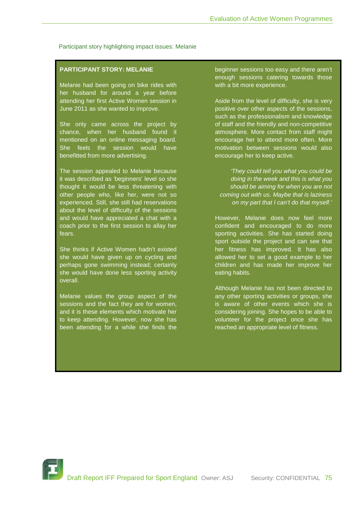Participant story highlighting impact issues: Melanie

# **PARTICIPANT STORY: MELANIE**

Melanie had been going on bike rides with her husband for around a year before attending her first Active Women session in June 2011 as she wanted to improve.

She only came across the project by chance, when her husband found it mentioned on an online messaging board. She feels the session would have benefitted from more advertising.

The session appealed to Melanie because it was described as 'beginners' level so she thought it would be less threatening with other people who, like her, were not so experienced. Still, she still had reservations about the level of difficulty of the sessions and would have appreciated a chat with a coach prior to the first session to allay her fears.

She thinks if Active Women hadn't existed she would have given up on cycling and perhaps gone swimming instead; certainly she would have done less sporting activity overall.

Melanie values the group aspect of the sessions and the fact they are for women, and it is these elements which motivate her to keep attending. However, now she has been attending for a while she finds the

beginner sessions too easy and there aren't enough sessions catering towards those with a bit more experience.

Aside from the level of difficulty, she is very positive over other aspects of the sessions, such as the professionalism and knowledge of staff and the friendly and non-competitive atmosphere. More contact from staff might encourage her to attend more often. More motivation between sessions would also encourage her to keep active.

*'They could tell you what you could be doing in the week and this is what you should be aiming for when you are not coming out with us. Maybe that is laziness on my part that I can't do that myself.'*

However, Melanie does now feel more confident and encouraged to do more sporting activities. She has started doing sport outside the project and can see that her fitness has improved. It has also allowed her to set a good example to her children and has made her improve her eating habits.

Although Melanie has not been directed to any other sporting activities or groups, she is aware of other events which she is considering joining. She hopes to be able to volunteer for the project once she has reached an appropriate level of fitness.

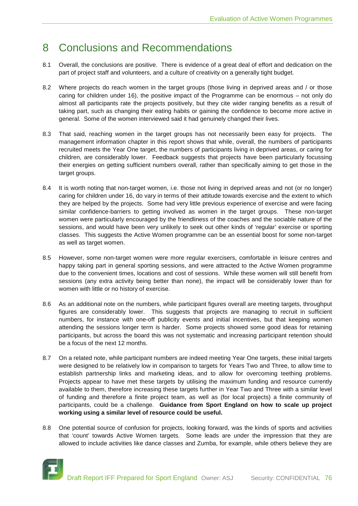# 8 Conclusions and Recommendations

- 8.1 Overall, the conclusions are positive. There is evidence of a great deal of effort and dedication on the part of project staff and volunteers, and a culture of creativity on a generally tight budget.
- 8.2 Where projects do reach women in the target groups (those living in deprived areas and / or those caring for children under 16), the positive impact of the Programme can be enormous – not only do almost all participants rate the projects positively, but they cite wider ranging benefits as a result of taking part, such as changing their eating habits or gaining the confidence to become more active in general. Some of the women interviewed said it had genuinely changed their lives.
- 8.3 That said, reaching women in the target groups has not necessarily been easy for projects. The management information chapter in this report shows that while, overall, the numbers of participants recruited meets the Year One target, the numbers of participants living in deprived areas, or caring for children, are considerably lower. Feedback suggests that projects have been particularly focussing their energies on getting sufficient numbers overall, rather than specifically aiming to get those in the target groups.
- 8.4 It is worth noting that non-target women, i.e. those not living in deprived areas and not (or no longer) caring for children under 16, do vary in terms of their attitude towards exercise and the extent to which they are helped by the projects. Some had very little previous experience of exercise and were facing similar confidence-barriers to getting involved as women in the target groups. These non-target women were particularly encouraged by the friendliness of the coaches and the sociable nature of the sessions, and would have been very unlikely to seek out other kinds of 'regular' exercise or sporting classes. This suggests the Active Women programme can be an essential boost for some non-target as well as target women.
- 8.5 However, some non-target women were more regular exercisers, comfortable in leisure centres and happy taking part in general sporting sessions, and were attracted to the Active Women programme due to the convenient times, locations and cost of sessions. While these women will still benefit from sessions (any extra activity being better than none), the impact will be considerably lower than for women with little or no history of exercise.
- 8.6 As an additional note on the numbers, while participant figures overall are meeting targets, throughput figures are considerably lower. This suggests that projects are managing to recruit in sufficient numbers, for instance with one-off publicity events and initial incentives, but that keeping women attending the sessions longer term is harder. Some projects showed some good ideas for retaining participants, but across the board this was not systematic and increasing participant retention should be a focus of the next 12 months.
- 8.7 On a related note, while participant numbers are indeed meeting Year One targets, these initial targets were designed to be relatively low in comparison to targets for Years Two and Three, to allow time to establish partnership links and marketing ideas, and to allow for overcoming teething problems. Projects appear to have met these targets by utilising the maximum funding and resource currently available to them, therefore increasing these targets further in Year Two and Three with a similar level of funding and therefore a finite project team, as well as (for local projects) a finite community of participants, could be a challenge. **Guidance from Sport England on how to scale up project working using a similar level of resource could be useful.**
- 8.8 One potential source of confusion for projects, looking forward, was the kinds of sports and activities that 'count' towards Active Women targets. Some leads are under the impression that they are allowed to include activities like dance classes and Zumba, for example, while others believe they are

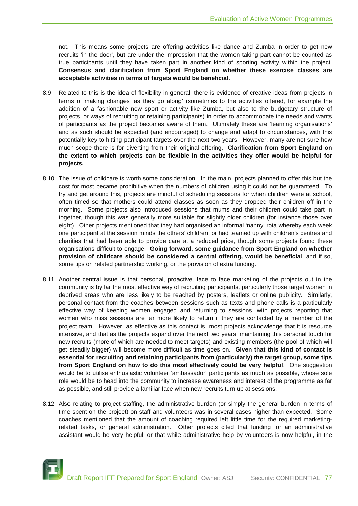not. This means some projects are offering activities like dance and Zumba in order to get new recruits 'in the door', but are under the impression that the women taking part cannot be counted as true participants until they have taken part in another kind of sporting activity within the project. **Consensus and clarification from Sport England on whether these exercise classes are acceptable activities in terms of targets would be beneficial.**

- 8.9 Related to this is the idea of flexibility in general; there is evidence of creative ideas from projects in terms of making changes 'as they go along' (sometimes to the activities offered, for example the addition of a fashionable new sport or activity like Zumba, but also to the budgetary structure of projects, or ways of recruiting or retaining participants) in order to accommodate the needs and wants of participants as the project becomes aware of them. Ultimately these are 'learning organisations' and as such should be expected (and encouraged) to change and adapt to circumstances, with this potentially key to hitting participant targets over the next two years. However, many are not sure how much scope there is for diverting from their original offering. **Clarification from Sport England on the extent to which projects can be flexible in the activities they offer would be helpful for projects.**
- 8.10 The issue of childcare is worth some consideration. In the main, projects planned to offer this but the cost for most became prohibitive when the numbers of children using it could not be guaranteed. To try and get around this, projects are mindful of scheduling sessions for when children were at school, often timed so that mothers could attend classes as soon as they dropped their children off in the morning. Some projects also introduced sessions that mums and their children could take part in together, though this was generally more suitable for slightly older children (for instance those over eight). Other projects mentioned that they had organised an informal 'nanny' rota whereby each week one participant at the session minds the others' children, or had teamed up with children's centres and charities that had been able to provide care at a reduced price, though some projects found these organisations difficult to engage. **Going forward, some guidance from Sport England on whether provision of childcare should be considered a central offering, would be beneficial**, and if so, some tips on related partnership working, or the provision of extra funding.
- 8.11 Another central issue is that personal, proactive, face to face marketing of the projects out in the community is by far the most effective way of recruiting participants, particularly those target women in deprived areas who are less likely to be reached by posters, leaflets or online publicity. Similarly, personal contact from the coaches between sessions such as texts and phone calls is a particularly effective way of keeping women engaged and returning to sessions, with projects reporting that women who miss sessions are far more likely to return if they are contacted by a member of the project team. However, as effective as this contact is, most projects acknowledge that it is resource intensive, and that as the projects expand over the next two years, maintaining this personal touch for new recruits (more of which are needed to meet targets) and existing members (the pool of which will get steadily bigger) will become more difficult as time goes on. **Given that this kind of contact is essential for recruiting and retaining participants from (particularly) the target group, some tips from Sport England on how to do this most effectively could be very helpful**. One suggestion would be to utilise enthusiastic volunteer 'ambassador' participants as much as possible, whose sole role would be to head into the community to increase awareness and interest of the programme as far as possible, and still provide a familiar face when new recruits turn up at sessions.
- 8.12 Also relating to project staffing, the administrative burden (or simply the general burden in terms of time spent on the project) on staff and volunteers was in several cases higher than expected. Some coaches mentioned that the amount of coaching required left little time for the required marketingrelated tasks, or general administration. Other projects cited that funding for an administrative assistant would be very helpful, or that while administrative help by volunteers is now helpful, in the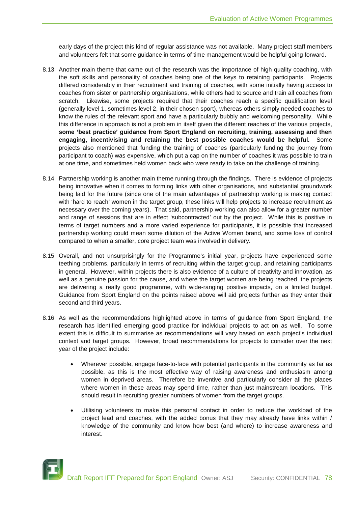early days of the project this kind of regular assistance was not available. Many project staff members and volunteers felt that some guidance in terms of time management would be helpful going forward.

- 8.13 Another main theme that came out of the research was the importance of high quality coaching, with the soft skills and personality of coaches being one of the keys to retaining participants. Projects differed considerably in their recruitment and training of coaches, with some initially having access to coaches from sister or partnership organisations, while others had to source and train all coaches from scratch. Likewise, some projects required that their coaches reach a specific qualification level (generally level 1, sometimes level 2, in their chosen sport), whereas others simply needed coaches to know the rules of the relevant sport and have a particularly bubbly and welcoming personality. While this difference in approach is not a problem in itself given the different reaches of the various projects, **some 'best practice' guidance from Sport England on recruiting, training, assessing and then engaging, incentivising and retaining the best possible coaches would be helpful.** Some projects also mentioned that funding the training of coaches (particularly funding the journey from participant to coach) was expensive, which put a cap on the number of coaches it was possible to train at one time, and sometimes held women back who were ready to take on the challenge of training.
- 8.14 Partnership working is another main theme running through the findings. There is evidence of projects being innovative when it comes to forming links with other organisations, and substantial groundwork being laid for the future (since one of the main advantages of partnership working is making contact with 'hard to reach' women in the target group, these links will help projects to increase recruitment as necessary over the coming years). That said, partnership working can also allow for a greater number and range of sessions that are in effect 'subcontracted' out by the project. While this is positive in terms of target numbers and a more varied experience for participants, it is possible that increased partnership working could mean some dilution of the Active Women brand, and some loss of control compared to when a smaller, core project team was involved in delivery.
- 8.15 Overall, and not unsurprisingly for the Programme's initial year, projects have experienced some teething problems, particularly in terms of recruiting within the target group, and retaining participants in general. However, within projects there is also evidence of a culture of creativity and innovation, as well as a genuine passion for the cause, and where the target women are being reached, the projects are delivering a really good programme, with wide-ranging positive impacts, on a limited budget. Guidance from Sport England on the points raised above will aid projects further as they enter their second and third years.
- 8.16 As well as the recommendations highlighted above in terms of guidance from Sport England, the research has identified emerging good practice for individual projects to act on as well. To some extent this is difficult to summarise as recommendations will vary based on each project's individual context and target groups. However, broad recommendations for projects to consider over the next year of the project include:
	- Wherever possible, engage face-to-face with potential participants in the community as far as possible, as this is the most effective way of raising awareness and enthusiasm among women in deprived areas. Therefore be inventive and particularly consider all the places where women in these areas may spend time, rather than just mainstream locations. This should result in recruiting greater numbers of women from the target groups.
	- Utilising volunteers to make this personal contact in order to reduce the workload of the project lead and coaches, with the added bonus that they may already have links within / knowledge of the community and know how best (and where) to increase awareness and interest.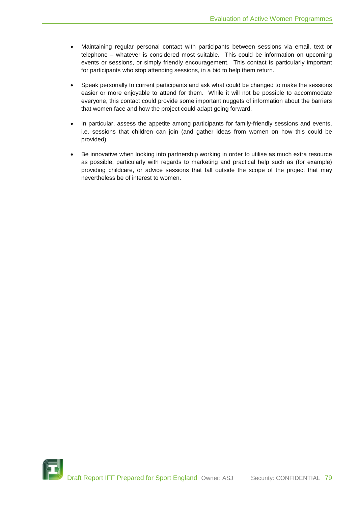- Maintaining regular personal contact with participants between sessions via email, text or telephone – whatever is considered most suitable. This could be information on upcoming events or sessions, or simply friendly encouragement. This contact is particularly important for participants who stop attending sessions, in a bid to help them return.
- Speak personally to current participants and ask what could be changed to make the sessions easier or more enjoyable to attend for them. While it will not be possible to accommodate everyone, this contact could provide some important nuggets of information about the barriers that women face and how the project could adapt going forward.
- In particular, assess the appetite among participants for family-friendly sessions and events, i.e. sessions that children can join (and gather ideas from women on how this could be provided).
- Be innovative when looking into partnership working in order to utilise as much extra resource as possible, particularly with regards to marketing and practical help such as (for example) providing childcare, or advice sessions that fall outside the scope of the project that may nevertheless be of interest to women.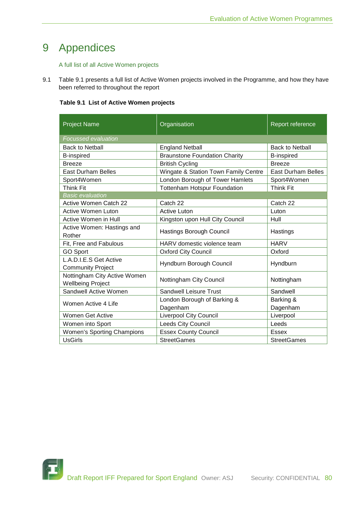# 9 Appendices

# A full list of all Active Women projects

9.1 Table 9.1 presents a full list of Active Women projects involved in the Programme, and how they have been referred to throughout the report

| Table 9.1 List of Active Women projects |  |  |  |  |
|-----------------------------------------|--|--|--|--|
|-----------------------------------------|--|--|--|--|

| <b>Project Name</b>                                      | Organisation                         | Report reference          |  |  |  |
|----------------------------------------------------------|--------------------------------------|---------------------------|--|--|--|
| <b>Focussed evaluation</b>                               |                                      |                           |  |  |  |
| <b>Back to Netball</b>                                   | <b>England Netball</b>               | <b>Back to Netball</b>    |  |  |  |
| <b>B-inspired</b>                                        | <b>Braunstone Foundation Charity</b> | <b>B-inspired</b>         |  |  |  |
| <b>Breeze</b>                                            | <b>British Cycling</b>               | <b>Breeze</b>             |  |  |  |
| <b>East Durham Belles</b>                                | Wingate & Station Town Family Centre | <b>East Durham Belles</b> |  |  |  |
| Sport4Women                                              | London Borough of Tower Hamlets      | Sport4Women               |  |  |  |
| <b>Think Fit</b>                                         | <b>Tottenham Hotspur Foundation</b>  | <b>Think Fit</b>          |  |  |  |
| <b>Basic evaluation</b>                                  |                                      |                           |  |  |  |
| <b>Active Women Catch 22</b>                             | Catch 22                             | Catch 22                  |  |  |  |
| Active Women Luton                                       | <b>Active Luton</b>                  | Luton                     |  |  |  |
| Active Women in Hull                                     | Kingston upon Hull City Council      | Hull                      |  |  |  |
| Active Women: Hastings and<br>Rother                     | Hastings Borough Council             | Hastings                  |  |  |  |
| Fit, Free and Fabulous                                   | HARV domestic violence team          | <b>HARV</b>               |  |  |  |
| <b>GO Sport</b>                                          | <b>Oxford City Council</b>           | Oxford                    |  |  |  |
| L.A.D.I.E.S Get Active<br><b>Community Project</b>       | Hyndburn Borough Council             | Hyndburn                  |  |  |  |
| Nottingham City Active Women<br><b>Wellbeing Project</b> | Nottingham City Council              | Nottingham                |  |  |  |
| Sandwell Active Women                                    | <b>Sandwell Leisure Trust</b>        | Sandwell                  |  |  |  |
| Women Active 4 Life                                      | London Borough of Barking &          | Barking &                 |  |  |  |
|                                                          | Dagenham                             | Dagenham                  |  |  |  |
| Women Get Active                                         | <b>Liverpool City Council</b>        | Liverpool                 |  |  |  |
| Women into Sport                                         | Leeds City Council                   | Leeds                     |  |  |  |
| Women's Sporting Champions                               | <b>Essex County Council</b>          | Essex                     |  |  |  |
| <b>UsGirls</b>                                           | <b>StreetGames</b>                   | <b>StreetGames</b>        |  |  |  |

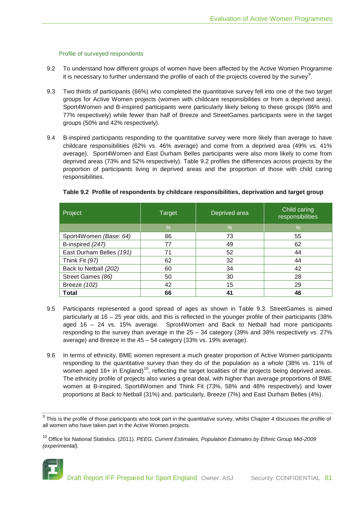### Profile of surveyed respondents

- 9.2 To understand how different groups of women have been affected by the Active Women Programme it is necessary to further understand the profile of each of the projects covered by the survey $^9$  $^9$ .
- 9.3 Two thirds of participants (66%) who completed the quantitative survey fell into one of the two target groups for Active Women projects (women with childcare responsibilities or from a deprived area). Sport4Women and B-inspired participants were particularly likely belong to these groups (86% and 77% respectively) while fewer than half of Breeze and StreetGames participants were in the target groups (50% and 42% respectively).
- 9.4 B-inspired participants responding to the quantitative survey were more likely than average to have childcare responsibilities (62% vs. 46% average) and come from a deprived area (49% vs. 41% average). Sport4Women and East Durham Belles participants were also more likely to come from deprived areas (73% and 52% respectively). Table 9.2 profiles the differences across projects by the proportion of participants living in deprived areas and the proportion of those with child caring responsibilities.

| Project                  | Target | Deprived area | Child caring<br>responsibilities |  |
|--------------------------|--------|---------------|----------------------------------|--|
|                          | $\%$   | $\frac{0}{6}$ | $\%$                             |  |
| Sport4Women (Base: 64)   | 86     | 73            | 55                               |  |
| B-inspired (247)         | 77     | 49            | 62                               |  |
| East Durham Belles (191) | 71     | 52            | 44                               |  |
| Think Fit (97)           | 62     | 32            | 44                               |  |
| Back to Netball (202)    | 60     | 34            | 42                               |  |
| Street Games (86)        | 50     | 30            | 28                               |  |
| Breeze (102)             | 42     | 15            | 29                               |  |
| <b>Total</b>             | 66     | 41            | 46                               |  |

# **Table 9.2 Profile of respondents by childcare responsibilities, deprivation and target group**

- 9.5 Participants represented a good spread of ages as shown in Table 9.3. StreetGames is aimed particularly at 16 – 25 year olds, and this is reflected in the younger profile of their participants (38% aged 16 – 24 vs. 15% average. Sprot4Women and Back to Netball had more participants responding to the survey than average in the 25 – 34 category (39% and 38% respectively vs. 27% average) and Breeze in the 45 – 54 category (33% vs. 19% average).
- 9.6 In terms of ethnicity, BME women represent a much greater proportion of Active Women participants responding to the quantitative survey than they do of the population as a whole (38% vs. 11% of women aged 16+ in England)<sup>10</sup>, reflecting the target localities of the projects being deprived areas. The ethnicity profile of projects also varies a great deal, with higher than average proportions of BME women at B-inspired, Sport4Women and Think Fit (73%, 58% and 48% respectively) and lower proportions at Back to Netball (31%) and, particularly, Breeze (7%) and East Durham Belles (4%).

<span id="page-80-1"></span><sup>10</sup> Office for National Statistics. (2011). *[PEEG, Current Estimates, Population Estimates by Ethnic Group Mid-2009](http://www.ons.gov.uk/ons/rel/peeg/population-estimates-by-ethnic-group--experimental-/current-estimates/population-estimates-by-ethnic-group-mid-2009--experimental--.zip)  [\(experimental\).](http://www.ons.gov.uk/ons/rel/peeg/population-estimates-by-ethnic-group--experimental-/current-estimates/population-estimates-by-ethnic-group-mid-2009--experimental--.zip)*



<span id="page-80-0"></span> $9$  This is the profile of those participants who took part in the quantitative survey, whilst Chapter 4 discusses the profile of all women who have taken part in the Active Women projects.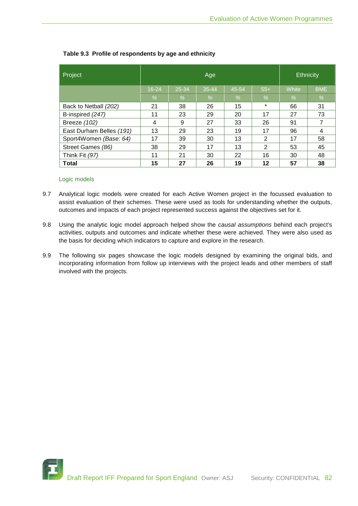| Project                  | Age       |           |           |       |         | <b>Ethnicity</b> |            |
|--------------------------|-----------|-----------|-----------|-------|---------|------------------|------------|
|                          | $16 - 24$ | $25 - 34$ | $35 - 44$ | 45-54 | $55+$   | White            | <b>BME</b> |
|                          | $\%$      | $\%$      | $\%$      | %     | $\%$    | $\%$             | %          |
| Back to Netball (202)    | 21        | 38        | 26        | 15    | $\star$ | 66               | 31         |
| B-inspired (247)         | 11        | 23        | 29        | 20    | 17      | 27               | 73         |
| Breeze (102)             | 4         | 9         | 27        | 33    | 26      | 91               | 7          |
| East Durham Belles (191) | 13        | 29        | 23        | 19    | 17      | 96               | 4          |
| Sport4Women (Base: 64)   | 17        | 39        | 30        | 13    | 2       | 17               | 58         |
| Street Games (86)        | 38        | 29        | 17        | 13    | 2       | 53               | 45         |
| Think Fit (97)           | 11        | 21        | 30        | 22    | 16      | 30               | 48         |
| <b>Total</b>             | 15        | 27        | 26        | 19    | 12      | 57               | 38         |

# **Table 9.3 Profile of respondents by age and ethnicity**

#### Logic models

- 9.7 Analytical logic models were created for each Active Women project in the focussed evaluation to assist evaluation of their schemes. These were used as tools for understanding whether the outputs, outcomes and impacts of each project represented success against the objectives set for it.
- 9.8 Using the analytic logic model approach helped show the *causal assumptions* behind each project's activities, outputs and outcomes and indicate whether these were achieved. They were also used as the basis for deciding which indicators to capture and explore in the research.
- 9.9 The following six pages showcase the logic models designed by examining the original bids, and incorporating information from follow up interviews with the project leads and other members of staff involved with the projects.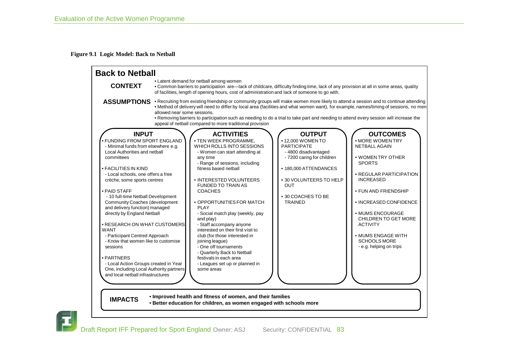#### **Figure 9.1 Logic Model: Back to Netball**



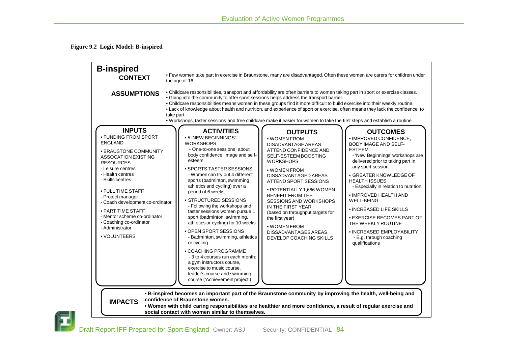# **Figure 9.2 Logic Model: B-inspired**

| <b>ASSUMPTIONS</b><br>take part.<br><b>INPUTS</b><br><b>ACTIVITIES</b><br>• FUNDING FROM SPORT<br>• 5 'NEW BEGINNINGS'<br><b>ENGLAND</b><br><b>WORKSHOPS</b><br>- One-to-one sessions about<br>· BRAUSTONE COMMUNITY<br>body confidence, image and self-<br>ASSOCATION EXISTING<br>esteem<br><b>RESOURCES</b><br>- Leisure centres<br>• SPORTS TASTER SESSIONS<br>- Health centres<br>- Women can try out 4 different<br>- Skills centres<br>sports (badminton, swimming,<br>athletics and cycling) over a<br>• FULL TIME STAFF<br>period of 6 weeks<br>- Project manager<br>• STRUCTURED SESSIONS<br>- Coach development co-ordinator<br>- Following the workshops and<br>• PART TIME STAFF<br>taster sessions women pursue 1<br>- Mentor scheme co-ordinator<br>sport (badminton, swimming,<br>- Coaching co-ordinator<br>athletics or cycling) for 10 weeks<br>- Administrator<br>• OPEN SPORT SESSIONS<br>• VOLUNTEERS<br>- Badminton, swimming, athletics<br>or cycling |                                                                                                                                                                                                                                                                                                                                                                                                                                       |                                                                                                                                                                                                                                                                                                                                                                                                                                                                                                                                                                                                                                                                                |  |  |  |  |  |  |  |
|------------------------------------------------------------------------------------------------------------------------------------------------------------------------------------------------------------------------------------------------------------------------------------------------------------------------------------------------------------------------------------------------------------------------------------------------------------------------------------------------------------------------------------------------------------------------------------------------------------------------------------------------------------------------------------------------------------------------------------------------------------------------------------------------------------------------------------------------------------------------------------------------------------------------------------------------------------------------------|---------------------------------------------------------------------------------------------------------------------------------------------------------------------------------------------------------------------------------------------------------------------------------------------------------------------------------------------------------------------------------------------------------------------------------------|--------------------------------------------------------------------------------------------------------------------------------------------------------------------------------------------------------------------------------------------------------------------------------------------------------------------------------------------------------------------------------------------------------------------------------------------------------------------------------------------------------------------------------------------------------------------------------------------------------------------------------------------------------------------------------|--|--|--|--|--|--|--|
|                                                                                                                                                                                                                                                                                                                                                                                                                                                                                                                                                                                                                                                                                                                                                                                                                                                                                                                                                                              |                                                                                                                                                                                                                                                                                                                                                                                                                                       | the age of 16.<br>. Childcare responsibilities, transport and affordability are often barriers to women taking part in sport or exercise classes.<br>. Going into the community to offer sport sessions helps address the transport barrier.<br>. Childcare responsibilities means women in these groups find it more difficult to build exercise into their weekly routine.<br>• Lack of knowledge about health and nutrition, and experience of sport or exercise, often means they lack the confidence to<br>. Workshops, taster sessions and free childcare make it easier for women to take the first steps and establish a routine.<br><b>OUTCOMES</b><br><b>OUTPUTS</b> |  |  |  |  |  |  |  |
| • COACHING PROGRAMME<br>- 3 to 4 courses run each month:<br>a gym instructors course,<br>exercise to music course,<br>leader's course and swimming<br>course ('Achievement project')                                                                                                                                                                                                                                                                                                                                                                                                                                                                                                                                                                                                                                                                                                                                                                                         | • WOMEN FROM<br><b>DISADVANTAGE AREAS</b><br>ATTEND CONFIDENCE AND<br>SELF-ESTEEM BOOSTING<br><b>WORKSHOPS</b><br>• WOMEN FROM<br>DISSADVANTAGED AREAS<br>ATTEND SPORT SESSIONS<br>· POTENTIALLY 1,666 WOMEN<br><b>BENEFIT FROM THE</b><br><b>SESSIONS AND WORKSHOPS</b><br>IN THE FIRST YEAR<br>(based on throughput targets for<br>the first year)<br>• WOMEN FROM<br><b>DISSADVANTAGES AREAS</b><br><b>DEVELOP COACHING SKILLS</b> | · IMPROVED CONFIDENCE,<br><b>BODY IMAGE AND SELF-</b><br><b>ESTEEM</b><br>- 'New Beginnings' workshops are<br>delivered prior to taking part in<br>any sport session<br>• GREATER KNOWLEDGE OF<br><b>HEALTH ISSUES</b><br>- Especially in relation to nutrition<br>• IMPROVED HEALTH AND<br><b>WELL-BEING</b><br>• INCREASED LIFE SKILLS<br><b>• EXERCISE BECOMES PART OF</b><br>THE WEEKLY ROUTINE<br>• INCREASED EMPLOYABILITY<br>- E.g. through coaching<br>qualifications                                                                                                                                                                                                  |  |  |  |  |  |  |  |

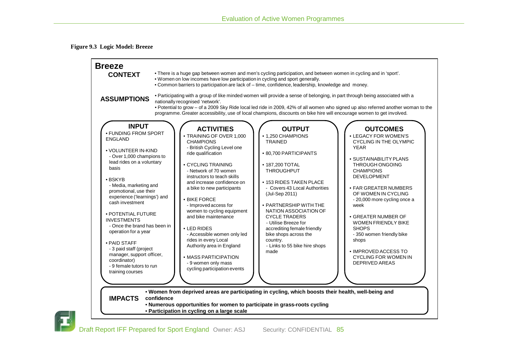#### **Figure 9.3 Logic Model: Breeze**



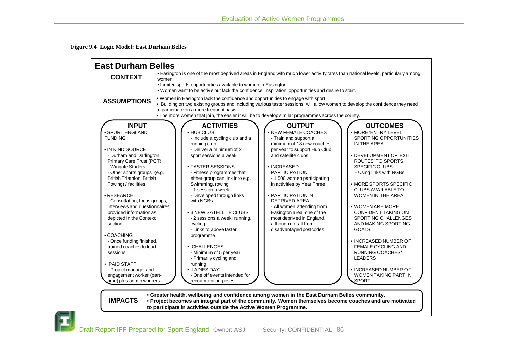**Figure 9.4 Logic Model: East Durham Belles**



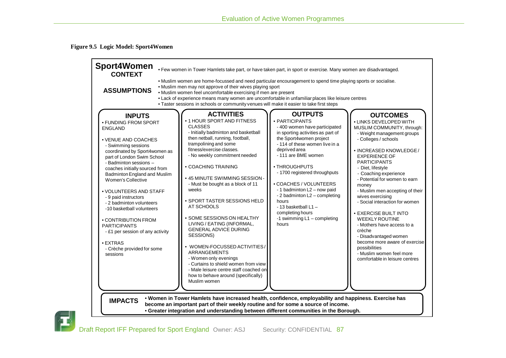**Figure 9.5 Logic Model: Sport4Women**

| <b>Sport4Women</b><br><b>CONTEXT</b><br><b>ASSUMPTIONS</b>                                                                                                                                                                                                                                                                                                                                                                                                                                                                                | . Few women in Tower Hamlets take part, or have taken part, in sport or exercise. Many women are disadvantaged.<br>. Muslim women are home-focussed and need particular encouragement to spend time playing sports or socialise.<br>. Muslim men may not approve of their wives playing sport<br>• Muslim women feel uncomfortable exercising if men are present<br>• Lack of experience means many women are uncomfortable in unfamiliar places like leisure centres<br>. Taster sessions in schools or community venues will make it easier to take first steps                                                                                                                                                                                                                                                                                                                                                                                                                                                                                                                                                                                                                                                                                                                                                                                                                                                                                                                                                                                                                                                                                                                                                                                                                                                           |  |  |  |  |  |  |
|-------------------------------------------------------------------------------------------------------------------------------------------------------------------------------------------------------------------------------------------------------------------------------------------------------------------------------------------------------------------------------------------------------------------------------------------------------------------------------------------------------------------------------------------|-----------------------------------------------------------------------------------------------------------------------------------------------------------------------------------------------------------------------------------------------------------------------------------------------------------------------------------------------------------------------------------------------------------------------------------------------------------------------------------------------------------------------------------------------------------------------------------------------------------------------------------------------------------------------------------------------------------------------------------------------------------------------------------------------------------------------------------------------------------------------------------------------------------------------------------------------------------------------------------------------------------------------------------------------------------------------------------------------------------------------------------------------------------------------------------------------------------------------------------------------------------------------------------------------------------------------------------------------------------------------------------------------------------------------------------------------------------------------------------------------------------------------------------------------------------------------------------------------------------------------------------------------------------------------------------------------------------------------------------------------------------------------------------------------------------------------------|--|--|--|--|--|--|
| <b>INPUTS</b><br>• FUNDING FROM SPORT<br><b>ENGLAND</b><br>• VENUE AND COACHES<br>- Swimming sessions<br>coordinated by Sport4women as<br>part of London Swim School<br>- Badminton sessions -<br>coaches initially sourced from<br>Badminton England and Muslim<br>Women's Collective<br>• VOLUNTEERS AND STAFF<br>- 9 paid instructors<br>- 2 badminton volunteers<br>-10 basketball volunteers<br>• CONTRIBUTION FROM<br><b>PARTICIPANTS</b><br>- £1 per session of any activity<br>• EXTRAS<br>- Crèche provided for some<br>sessions | <b>ACTIVITIES</b><br><b>OUTPUTS</b><br><b>OUTCOMES</b><br>• 1 HOUR SPORT AND FITNESS<br>• PARTICIPANTS<br>• LINKS DEVELOPED WITH<br><b>CLASSES</b><br>- 400 women have participated<br>MUSLIM COMMUNITY, through:<br>- Initially badminton and basketball<br>in sporting activities as part of<br>- Weight management groups<br>then netball, running, football,<br>the Sport4women project<br>- Colleges / schools<br>trampolining and some<br>- 114 of these women live in a<br>fitness/exercise classes.<br>deprived area<br>· INCREASED KNOWLEDGE/<br>- No weekly commitment needed<br>- 111 are BME women<br><b>EXPERIENCE OF</b><br><b>PARTICIPANTS</b><br>• COACHING TRAINING<br>• THROUGHPUTS<br>- Diet, lifestyle<br>- 1700 registered throughputs<br>- Coaching experience<br>• 45 MINUTE SWIMMING SESSION -<br>- Potential for women to earn<br>• COACHES / VOLUNTEERS<br>- Must be bought as a block of 11<br>money<br>- 1 badminton L2 - now paid<br>weeks<br>- Muslim men accepting of their<br>- 2 badminton L2 - completing<br>wives exercising<br>· SPORT TASTER SESSIONS HELD<br>hours<br>- Social interaction for women<br>AT SCHOOLS<br>$-13$ basketball $L1 -$<br>completing hours<br><b>• EXERCISE BUILT INTO</b><br>• SOME SESSIONS ON HEALTHY<br>-1 swimming L1 - completing<br><b>WEEKLY ROUTINE</b><br>LIVING / EATING (INFORMAL,<br>hours<br>- Mothers have access to a<br><b>GENERAL ADVICE DURING</b><br>crèche<br>SESSIONS)<br>- Disadvantaged women<br>become more aware of exercise<br>• WOMEN-FOCUSSED ACTIVITIES/<br>possibilities<br><b>ARRANGEMENTS</b><br>- Muslim women feel more<br>- Women only evenings<br>comfortable in leisure centres<br>- Curtains to shield women from view<br>- Male leisure centre staff coached on<br>how to behave around (specifically)<br>Muslim women |  |  |  |  |  |  |